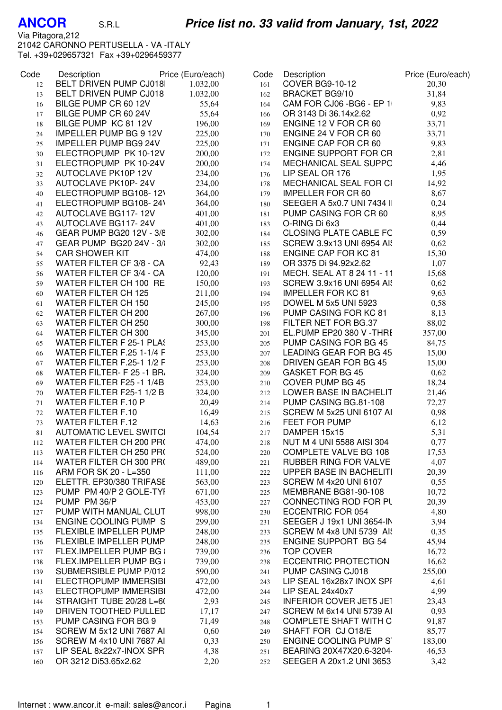| Code       | Description                                       | Price (Euro/each) | Code       | Description                                   | Price (Euro/each) |
|------------|---------------------------------------------------|-------------------|------------|-----------------------------------------------|-------------------|
| 12         | BELT DRIVEN PUMP CJ018                            | 1.032,00          | 161        | <b>COVER BG9-10-12</b>                        | 20,30             |
| 13         | BELT DRIVEN PUMP CJ018                            | 1.032,00          | 162        | BRACKET BG9/10                                | 31,84             |
| 16         | BILGE PUMP CR 60 12V                              | 55,64             | 164        | CAM FOR CJ06 - BG6 - EP 1                     | 9,83              |
| 17         | BILGE PUMP CR 60 24V                              | 55,64             | 166        | OR 3143 Di 36.14x2.62                         | 0,92              |
| 18         | BILGE PUMP KC 81 12V                              | 196,00            | 169        | ENGINE 12 V FOR CR 60                         | 33,71             |
| 24         | IMPELLER PUMP BG 9 12V                            | 225,00            | 170        | ENGINE 24 V FOR CR 60                         | 33,71             |
| 25         | IMPELLER PUMP BG9 24V                             | 225,00            | 171        | ENGINE CAP FOR CR 60                          | 9,83              |
| 30         | ELECTROPUMP PK 10-12V                             | 200,00            | 172        | ENGINE SUPPORT FOR CR                         | 2,81              |
| 31         | ELECTROPUMP PK 10-24V                             | 200,00            | 174        | MECHANICAL SEAL SUPPC                         | 4,46              |
| 32         | AUTOCLAVE PK10P 12V                               | 234,00            | 176        | LIP SEAL OR 176                               | 1,95              |
| 33         | AUTOCLAVE PK10P-24V                               | 234,00            | 178        | MECHANICAL SEAL FOR CI                        | 14,92             |
| 40         | ELECTROPUMP BG108-12\                             | 364,00            | 179        | IMPELLER FOR CR 60                            | 8,67              |
| 41         | ELECTROPUMP BG108-24\                             | 364,00            | 180        | SEEGER A 5x0.7 UNI 7434 II                    | 0,24              |
| 42         | AUTOCLAVE BG117-12V                               | 401,00            | 181        | PUMP CASING FOR CR 60                         | 8,95              |
| 43         | AUTOCLAVE BG117-24V                               | 401,00            | 183        | O-RING Di 6x3                                 | 0,44              |
| 46         | GEAR PUMP BG20 12V - 3/8                          | 302,00            | 184        | <b>CLOSING PLATE CABLE FC</b>                 | 0,59              |
| 47         | GEAR PUMP BG20 24V - 3/                           | 302,00            | 185        | SCREW 3.9x13 UNI 6954 AI                      | 0,62              |
| 54         | <b>CAR SHOWER KIT</b>                             | 474,00            | 188        | <b>ENGINE CAP FOR KC 81</b>                   | 15,30             |
| 55         | WATER FILTER CF 3/8 - CA                          | 92,43             | 189        | OR 3375 Di 94.92x2.62                         | 1,07              |
| 56         | WATER FILTER CF 3/4 - CA                          | 120,00            | 191        | MECH. SEAL AT 8 24 11 - 11                    | 15,68             |
| 59         | WATER FILTER CH 100 RE                            | 150,00            | 193        | SCREW 3.9x16 UNI 6954 AI                      | 0,62              |
| 60         | WATER FILTER CH 125                               | 211,00            | 194        | <b>IMPELLER FOR KC 81</b>                     | 9,63              |
| 61         | WATER FILTER CH 150                               | 245,00            | 195        | DOWEL M 5x5 UNI 5923                          | 0,58              |
| 62         | WATER FILTER CH 200                               | 267,00            | 196        | PUMP CASING FOR KC 81                         | 8,13              |
| 63         | WATER FILTER CH 250                               | 300,00            | 198        | FILTER NET FOR BG.37                          | 88,02             |
| 64         | WATER FILTER CH 300                               | 345,00            | 201        | EL.PUMP EP20 380 V -THRE                      | 357,00            |
| 65         | WATER FILTER F 25-1 PLAS                          | 253,00            | 205        | PUMP CASING FOR BG 45                         | 84,75             |
| 66         | WATER FILTER F.25 1-1/4 F                         | 253,00            | 207        | LEADING GEAR FOR BG 45                        | 15,00             |
| 67         | WATER FILTER F.25-1 1/2 F                         | 253,00            | 208        | DRIVEN GEAR FOR BG 45                         | 15,00             |
| 68         | WATER FILTER- F 25 -1 BR.                         | 324,00            | 209        | <b>GASKET FOR BG 45</b>                       | 0,62              |
| 69         | WATER FILTER F25 -1 1/4B                          | 253,00            | 210        | <b>COVER PUMP BG 45</b>                       | 18,24             |
| 70         | WATER FILTER F25-1 1/2 B                          | 324,00            | 212        | LOWER BASE IN BACHELIT                        | 21,46             |
| 71         | WATER FILTER F.10 P                               | 20,49             | 214        | PUMP CASING BG.81-108                         | 72,27             |
| 72         | WATER FILTER F.10                                 | 16,49             | 215        | SCREW M 5x25 UNI 6107 AI                      | 0,98              |
| 73         | <b>WATER FILTER F.12</b>                          | 14,63             | 216        | FEET FOR PUMP                                 | 6,12              |
| 81         | <b>AUTOMATIC LEVEL SWITCI</b>                     | 104,54            | 217        | DAMPER 15x15                                  | 5,31              |
| 112        | WATER FILTER CH 200 PR(                           | 474,00            | 218        | NUT M 4 UNI 5588 AISI 304                     | 0,77              |
| 113        | WATER FILTER CH 250 PR(                           | 524,00            | 220        | COMPLETE VALVE BG 108                         | 17,53             |
| 114        | WATER FILTER CH 300 PR(                           | 489,00            | 221        | <b>RUBBER RING FOR VALVE</b>                  | 4,07              |
| 116        | ARM FOR SK 20 - L=350                             | 111,00            | 222        | <b>UPPER BASE IN BACHELITI</b>                | 20,39             |
| 120        | ELETTR. EP30/380 TRIFASE                          | 563,00            | 223        | <b>SCREW M 4x20 UNI 6107</b>                  | 0,55              |
| 123        | PUMP PM 40/P 2 GOLE-TYI                           | 671,00            | 225        | MEMBRANE BG81-90-108                          | 10,72             |
| 124        | PUMP PM 36/P                                      | 453,00            | 227        | CONNECTING ROD FOR PL                         | 20,39             |
| 127        | PUMP WITH MANUAL CLUT                             | 998,00            | 230        | ECCENTRIC FOR 054                             | 4,80              |
| 134        | ENGINE COOLING PUMP S                             | 299,00            | 231        | SEEGER J 19x1 UNI 3654-IN                     | 3,94              |
| 135        | FLEXIBLE IMPELLER PUMP                            | 248,00            | 233        | SCREW M 4x8 UNI 5739 AIS                      | 0,35              |
| 136        | FLEXIBLE IMPELLER PUMP<br>FLEX.IMPELLER PUMP BG I | 248,00            | 235        | ENGINE SUPPORT BG 54<br><b>TOP COVER</b>      | 45,94             |
| 137        | FLEX.IMPELLER PUMP BG a                           | 739,00            | 236        | <b>ECCENTRIC PROTECTION</b>                   | 16,72             |
| 138        | SUBMERSIBLE PUMP P/012                            | 739,00<br>590,00  | 238        | PUMP CASING CJ018                             | 16,62<br>255,00   |
| 139        | ELECTROPUMP IMMERSIBI                             |                   | 241        |                                               |                   |
| 141        | ELECTROPUMP IMMERSIBI                             | 472,00<br>472,00  | 243        | LIP SEAL 16x28x7 INOX SPI<br>LIP SEAL 24x40x7 | 4,61<br>4,99      |
| 143        | STRAIGHT TUBE 20/28 L=6(                          | 2,93              | 244        | <b>INFERIOR COVER JET5 JET</b>                | 23,43             |
| 144        | DRIVEN TOOTHED PULLED                             |                   | 245        | SCREW M 6x14 UNI 5739 AI                      | 0,93              |
| 149        | PUMP CASING FOR BG 9                              | 17,17<br>71,49    | 247        | <b>COMPLETE SHAFT WITH C</b>                  | 91,87             |
| 153<br>154 | SCREW M 5x12 UNI 7687 AI                          | 0,60              | 248<br>249 | SHAFT FOR CJ O18/E                            | 85,77             |
| 156        | SCREW M 4x10 UNI 7687 AI                          | 0,33              | 250        | ENGINE COOLING PUMP ST                        | 183,00            |
| 157        | LIP SEAL 8x22x7-INOX SPR                          | 4,38              | 251        | BEARING 20X47X20.6-3204                       | 46,53             |
| 160        | OR 3212 Di53.65x2.62                              | 2,20              | 252        | SEEGER A 20x1.2 UNI 3653                      | 3,42              |
|            |                                                   |                   |            |                                               |                   |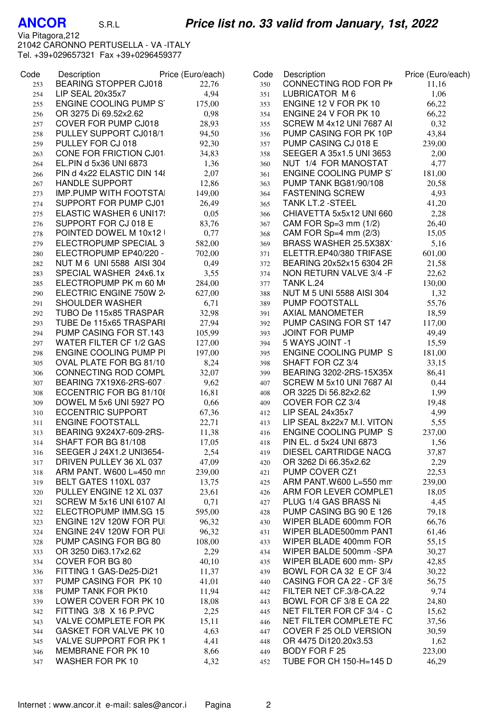| Code | Description                   | Price (Euro/each) | Code | Description                | Price (Euro/each) |
|------|-------------------------------|-------------------|------|----------------------------|-------------------|
| 253  | BEARING STOPPER CJ018         | 22,76             | 350  | CONNECTING ROD FOR PI      | 11,16             |
| 254  | LIP SEAL 20x35x7              | 4,94              | 351  | LUBRICATOR M6              | 1,06              |
| 255  | ENGINE COOLING PUMP S'        | 175,00            | 353  | ENGINE 12 V FOR PK 10      | 66,22             |
| 256  | OR 3275 Di 69.52x2.62         | 0,98              | 354  | ENGINE 24 V FOR PK 10      | 66,22             |
| 257  | COVER FOR PUMP CJ018          | 28,93             | 355  | SCREW M 4x12 UNI 7687 AI   | 0,32              |
| 258  | PULLEY SUPPORT CJ018/1        | 94,50             | 356  | PUMP CASING FOR PK 10P     | 43,84             |
| 259  | PULLEY FOR CJ 018             | 92,30             | 357  | PUMP CASING CJ 018 E       | 239,00            |
| 263  | <b>CONE FOR FRICTION CJ01</b> | 34,83             | 358  | SEEGER A 35x1.5 UNI 3653   | 2,00              |
| 264  | EL.PIN d 5x36 UNI 6873        | 1,36              | 360  | NUT 1/4 FOR MANOSTAT       | 4,77              |
| 266  | PIN d 4x22 ELASTIC DIN 148    | 2,07              | 361  | ENGINE COOLING PUMP ST     | 181,00            |
| 267  | <b>HANDLE SUPPORT</b>         | 12,86             | 363  | PUMP TANK BG81/90/108      | 20,58             |
| 273  | IMP.PUMP WITH FOOTSTAI        | 149,00            | 364  | <b>FASTENING SCREW</b>     | 4,93              |
| 274  | SUPPORT FOR PUMP CJ01         | 26,49             | 365  | TANK LT.2 - STEEL          | 41,20             |
| 275  | ELASTIC WASHER 6 UNI17!       | 0,05              | 366  | CHIAVETTA 5x5x12 UNI 660   | 2,28              |
| 276  | SUPPORT FOR CJ 018 E          | 83,76             | 367  | CAM FOR Sp=3 mm (1/2)      | 26,40             |
| 278  | POINTED DOWEL M 10x12         | 0,77              | 368  | CAM FOR Sp=4 mm (2/3)      | 15,05             |
| 279  | ELECTROPUMP SPECIAL 3         | 582,00            | 369  | BRASS WASHER 25.5X38X      | 5,16              |
| 280  | ELECTROPUMP EP40/220 -        | 702,00            | 371  | ELETTR.EP40/380 TRIFASE    | 601,00            |
| 282  | NUT M 6 UNI 5588 AISI 304     | 0,49              | 372  | BEARING 20x52x15 6304 2F   | 21,58             |
| 283  | SPECIAL WASHER 24x6.1x        | 3,55              | 374  | NON RETURN VALVE 3/4 -F    | 22,62             |
| 285  | ELECTROPUMP PK m 60 M         | 284,00            | 377  | TANK L.24                  | 130,00            |
| 290  | ELECTRIC ENGINE 750W 2        | 627,00            | 388  | NUT M 5 UNI 5588 AISI 304  | 1,32              |
| 291  | SHOULDER WASHER               | 6,71              | 389  | PUMP FOOTSTALL             | 55,76             |
| 292  | TUBO De 115x85 TRASPAR        | 32,98             | 391  | <b>AXIAL MANOMETER</b>     | 18,59             |
| 293  | TUBE De 115x65 TRASPARI       | 27,94             | 392  | PUMP CASING FOR ST 147     | 117,00            |
| 294  | PUMP CASING FOR ST.143        | 105,99            | 393  | <b>JOINT FOR PUMP</b>      | 49,49             |
| 297  | WATER FILTER CF 1/2 GAS       | 127,00            | 394  | 5 WAYS JOINT -1            | 15,59             |
| 298  | ENGINE COOLING PUMP PI        | 197,00            | 395  | ENGINE COOLING PUMP S      | 181,00            |
| 305  | OVAL PLATE FOR BG 81/10       | 8,24              | 398  | SHAFT FOR CZ 3/4           | 33,15             |
| 306  | CONNECTING ROD COMPL          | 32,07             | 399  | BEARING 3202-2RS-15X35X    | 86,41             |
| 307  | BEARING 7X19X6-2RS-607        | 9,62              | 407  | SCREW M 5x10 UNI 7687 AI   | 0,44              |
| 308  | ECCENTRIC FOR BG 81/108       | 16,81             | 408  | OR 3225 Di 56.82x2.62      | 1,99              |
| 309  | DOWEL M 5x6 UNI 5927 PO       | 0,66              | 409  | COVER FOR CZ 3/4           | 19,48             |
| 310  | <b>ECCENTRIC SUPPORT</b>      | 67,36             | 412  | LIP SEAL 24x35x7           | 4,99              |
| 311  | <b>ENGINE FOOTSTALL</b>       | 22,71             | 413  | LIP SEAL 8x22x7 M.I. VITON | 5,55              |
| 313  | BEARING 9X24X7-609-2RS-       | 11,38             | 416  | ENGINE COOLING PUMP S      | 237,00            |
| 314  | SHAFT FOR BG 81/108           | 17,05             | 418  | PIN EL. d 5x24 UNI 6873    | 1,56              |
| 316  | SEEGER J 24X1.2 UNI3654-      | 2,54              | 419  | DIESEL CARTRIDGE NACG      | 37,87             |
| 317  | DRIVEN PULLEY 36 XL 037       | 47,09             | 420  | OR 3262 Di 66.35x2.62      | 2,29              |
| 318  | ARM PANT. W600 L=450 mn       | 239,00            | 421  | PUMP COVER CZ1             | 22,53             |
| 319  | BELT GATES 110XL 037          | 13,75             | 425  | ARM PANT.W600 L=550 mm     | 239,00            |
| 320  | PULLEY ENGINE 12 XL 037       | 23,61             | 426  | ARM FOR LEVER COMPLET      | 18,05             |
| 321  | SCREW M 5x16 UNI 6107 AI      | 0,71              | 427  | PLUG 1/4 GAS BRASS Ni      | 4,45              |
| 322  | ELECTROPUMP IMM.SG 15         | 595,00            | 428  | PUMP CASING BG 90 E 126    | 79,18             |
| 323  | ENGINE 12V 120W FOR PUI       | 96,32             | 430  | WIPER BLADE 600mm FOR      | 66,76             |
| 324  | ENGINE 24V 120W FOR PUI       | 96,32             | 431  | WIPER BLADE500mm PANT      | 61,46             |
| 328  | PUMP CASING FOR BG 80         | 108,00            | 433  | WIPER BLADE 400mm FOR      | 55,15             |
| 333  | OR 3250 Di63.17x2.62          | 2,29              | 434  | WIPER BALDE 500mm - SPA    | 30,27             |
| 334  | COVER FOR BG 80               | 40,10             | 435  | WIPER BLADE 600 mm-SP/     | 42,85             |
| 336  | FITTING 1 GAS-De25-Di21       | 11,37             | 439  | BOWL FOR CA 32 E CF 3/4    | 30,22             |
| 337  | PUMP CASING FOR PK 10         | 41,01             | 440  | CASING FOR CA 22 - CF 3/8  | 56,75             |
| 338  | PUMP TANK FOR PK10            | 11,94             | 442  | FILTER NET CF.3/8-CA.22    | 9,74              |
| 339  | LOWER COVER FOR PK 10         | 18,08             | 443  | BOWL FOR CF 3/8 E CA 22    | 24,80             |
| 342  | FITTING 3/8 X 16 P.PVC        | 2,25              | 445  | NET FILTER FOR CF 3/4 - C  | 15,62             |
| 343  | VALVE COMPLETE FOR PK         | 15,11             | 446  | NET FILTER COMPLETE FC     | 37,56             |
| 344  | GASKET FOR VALVE PK 10        | 4,63              | 447  | COVER F 25 OLD VERSION     | 30,59             |
| 345  | VALVE SUPPORT FOR PK 1        | 4,41              | 448  | OR 4475 Di120.20x3.53      | 1,62              |
| 346  | MEMBRANE FOR PK 10            | 8,66              | 449  | BODY FOR F 25              | 223,00            |
| 347  | WASHER FOR PK 10              | 4,32              | 452  | TUBE FOR CH 150-H=145 D    | 46,29             |
|      |                               |                   |      |                            |                   |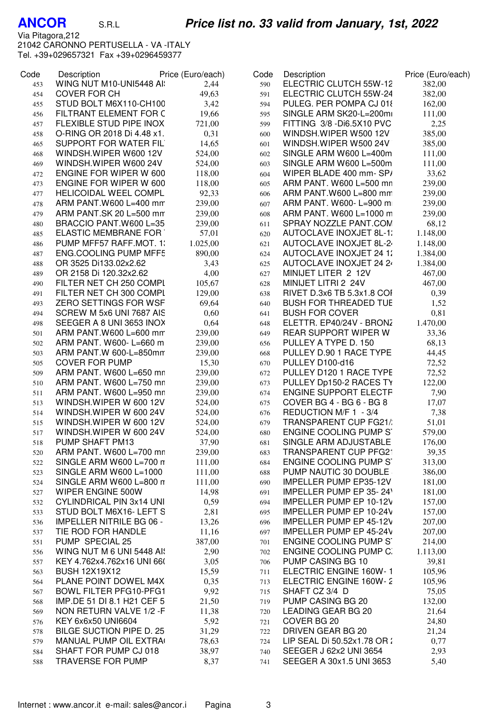| Code | Description                     | Price (Euro/each) | Code | Description                    | Price (Euro/each) |
|------|---------------------------------|-------------------|------|--------------------------------|-------------------|
| 453  | WING NUT M10-UNI5448 AI:        | 2,44              | 590  | ELECTRIC CLUTCH 55W-12         | 382,00            |
| 454  | <b>COVER FOR CH</b>             | 49,63             | 591  | ELECTRIC CLUTCH 55W-24         | 382,00            |
| 455  | STUD BOLT M6X110-CH100          | 3,42              | 594  | PULEG. PER POMPA CJ 018        | 162,00            |
| 456  | FILTRANT ELEMENT FOR C          | 19,66             | 595  | SINGLE ARM SK20-L=200mi        | 111,00            |
| 457  | FLEXIBLE STUD PIPE INOX         | 721,00            | 599  | FITTING 3/8 - Di6.5X10 PVC     | 2,25              |
| 458  | O-RING OR 2018 Di 4.48 x1.      | 0,31              | 600  | WINDSH.WIPER W500 12V          | 385,00            |
| 465  | SUPPORT FOR WATER FIL           | 14,65             | 601  | WINDSH.WIPER W500 24V          | 385,00            |
| 468  | WINDSH.WIPER W600 12V           | 524,00            | 602  | SINGLE ARM W600 L=400m         | 111,00            |
| 469  | WINDSH.WIPER W600 24V           | 524,00            | 603  | SINGLE ARM W600 L=500m         | 111,00            |
| 472  | ENGINE FOR WIPER W 600          | 118,00            | 604  | WIPER BLADE 400 mm-SP/         | 33,62             |
| 473  | ENGINE FOR WIPER W 600          | 118,00            | 605  | ARM PANT. W600 L=500 mn        | 239,00            |
| 477  | HELICOIDAL WEEL COMPL           | 92,33             | 606  | ARM PANT.W600 L=800 mm         | 239,00            |
| 478  | ARM PANT.W600 L=400 mm          | 239,00            | 607  | ARM PANT. W600- L=900 m        | 239,00            |
| 479  | ARM PANT.SK 20 L=500 mm         | 239,00            | 608  | ARM PANT. W600 L=1000 m        | 239,00            |
| 480  | BRACCIO PANT.W600 L=35          | 239,00            | 611  | SPRAY NOZZLE PANT.CON          | 68,12             |
| 485  | ELASTIC MEMBRANE FOR            | 57,01             | 620  | <b>AUTOCLAVE INOXJET 8L-1:</b> | 1.148,00          |
| 486  | PUMP MFF57 RAFF.MOT. 1:         | 1.025,00          | 621  | AUTOCLAVE INOXJET 8L-2         | 1.148,00          |
| 487  | <b>ENG.COOLING PUMP MFF5</b>    | 890,00            | 624  | <b>AUTOCLAVE INOXJET 24 1:</b> | 1.384,00          |
| 488  | OR 3525 Di133.02x2.62           | 3,43              | 625  | AUTOCLAVE INOXJET 24 24        | 1.384,00          |
| 489  | OR 2158 Di 120.32x2.62          | 4,00              | 627  | MINIJET LITER 2 12V            | 467,00            |
| 490  | FILTER NET CH 250 COMPL         | 105,67            | 628  | MINIJET LITRI 2 24V            | 467,00            |
| 491  | FILTER NET CH 300 COMPL         | 129,00            | 638  | RIVET D.3x6 TB 5.3x1.8 COI     | 0,39              |
| 493  | ZERO SETTINGS FOR WSF           | 69,64             | 640  | <b>BUSH FOR THREADED TUE</b>   | 1,52              |
| 494  | SCREW M 5x6 UNI 7687 AIS        | 0,60              | 641  | <b>BUSH FOR COVER</b>          | 0,81              |
| 498  | SEEGER A 8 UNI 3653 INOX        | 0,64              | 648  | ELETTR. EP40/24V - BRONZ       | 1.470,00          |
| 501  | ARM PANT.W600 L=600 mm          | 239,00            | 649  | <b>REAR SUPPORT WIPER W</b>    | 33,36             |
| 502  | ARM PANT. W600- L=660 m         | 239,00            | 656  | PULLEY A TYPE D. 150           | 68,13             |
| 503  | ARM PANT.W 600-L=850mm          | 239,00            | 668  | PULLEY D.90 1 RACE TYPE        | 44,45             |
| 505  | <b>COVER FOR PUMP</b>           | 15,30             | 670  | PULLEY D100-d16                | 72,52             |
| 509  | ARM PANT. W600 L=650 mn         | 239,00            | 672  | PULLEY D120 1 RACE TYPE        | 72,52             |
| 510  | ARM PANT. W600 L=750 mn         | 239,00            | 673  | PULLEY Dp150-2 RACES TY        | 122,00            |
| 511  | ARM PANT. W600 L=950 mn         | 239,00            | 674  | <b>ENGINE SUPPORT ELECTF</b>   | 7,90              |
| 513  | WINDSH.WIPER W 600 12V          | 524,00            | 675  | COVER BG 4 - BG 6 - BG 8       | 17,07             |
| 514  | WINDSH.WIPER W 600 24V          | 524,00            | 676  | REDUCTION M/F 1 - 3/4          | 7,38              |
| 515  | WINDSH.WIPER W 600 12V          | 524,00            | 679  | TRANSPARENT CUP FG21/          | 51,01             |
| 517  | WINDSH.WIPER W 600 24V          | 524,00            | 680  | ENGINE COOLING PUMP ST         | 579,00            |
| 518  | PUMP SHAFT PM13                 | 37,90             | 681  | SINGLE ARM ADJUSTABLE          | 176,00            |
| 520  | ARM PANT. W600 L=700 mn         | 239,00            | 683  | <b>TRANSPARENT CUP PFG21</b>   | 39,35             |
| 522  | SINGLE ARM W600 L=700 m         | 111,00            | 684  | ENGINE COOLING PUMP ST         | 313,00            |
| 523  | SINGLE ARM W600 L=1000          | 111,00            | 688  | PUMP NAUTIC 30 DOUBLE          | 386,00            |
| 524  | SINGLE ARM W600 L=800 m         | 111,00            | 690  | IMPELLER PUMP EP35-12V         | 181,00            |
| 527  | WIPER ENGINE 500W               | 14,98             | 691  | IMPELLER PUMP EP 35-24'        | 181,00            |
| 532  | <b>CYLINDRICAL PIN 3x14 UNI</b> | 0,59              | 694  | IMPELLER PUMP EP 10-12V        | 157,00            |
| 533  | STUD BOLT M6X16-LEFT S          | 2,81              | 695  | IMPELLER PUMP EP 10-24V        | 157,00            |
| 536  | <b>IMPELLER NITRILE BG 06 -</b> | 13,26             | 696  | IMPELLER PUMP EP 45-12V        | 207,00            |
| 537  | TIE ROD FOR HANDLE              | 11,16             | 697  | IMPELLER PUMP EP 45-24V        | 207,00            |
| 551  | PUMP SPECIAL 25                 | 387,00            | 701  | ENGINE COOLING PUMP ST         | 214,00            |
| 556  | WING NUT M 6 UNI 5448 AIS       | 2,90              | 702  | ENGINE COOLING PUMP C.         | 1.113,00          |
| 557  | KEY 4.762x4.762x16 UNI 660      | 3,05              | 706  | PUMP CASING BG 10              | 39,81             |
| 563  | <b>BUSH 12X19X12</b>            | 15,59             | 711  | ELECTRIC ENGINE 160W-1         | 105,96            |
| 564  | PLANE POINT DOWEL M4X           | 0,35              | 713  | ELECTRIC ENGINE 160W-2         | 105,96            |
| 567  | <b>BOWL FILTER PFG10-PFG1</b>   | 9,92              | 715  | SHAFT CZ 3/4 D                 | 75,05             |
| 568  | IMP.DE 51 DI 8.1 H21 CEF 5      | 21,50             | 719  | PUMP CASING BG 20              | 132,00            |
| 569  | NON RETURN VALVE 1/2 -F         | 11,38             | 720  | <b>LEADING GEAR BG 20</b>      | 21,64             |
|      | KEY 6x6x50 UNI6604              | 5,92              |      | COVER BG 20                    | 24,80             |
| 576  | <b>BILGE SUCTION PIPE D. 25</b> | 31,29             | 721  | DRIVEN GEAR BG 20              | 21,24             |
| 578  | MANUAL PUMP OIL EXTRA           | 78,63             | 722  | LIP SEAL Di 50.52x1.78 OR :    | 0,77              |
| 579  | SHAFT FOR PUMP CJ 018           | 38,97             | 724  | SEEGER J 62x2 UNI 3654         | 2,93              |
| 584  | <b>TRAVERSE FOR PUMP</b>        | 8,37              | 740  | SEEGER A 30x1.5 UNI 3653       | 5,40              |
| 588  |                                 |                   | 741  |                                |                   |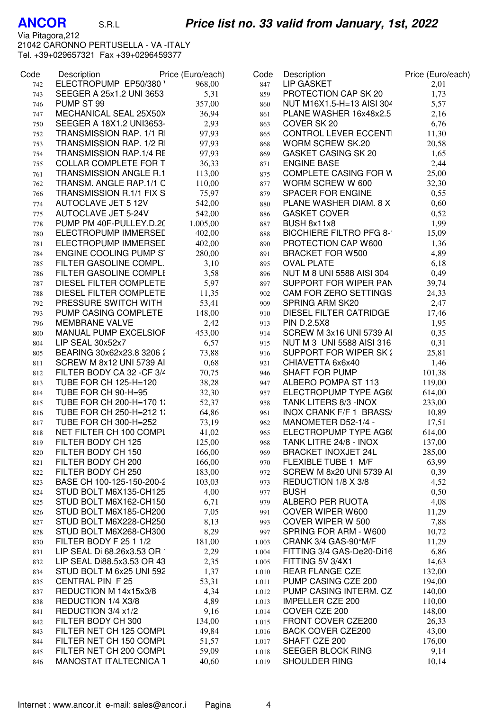| Code | Description                                      | Price (Euro/each) | Code       | Description                                | Price (Euro/each) |
|------|--------------------------------------------------|-------------------|------------|--------------------------------------------|-------------------|
| 742  | ELECTROPUMP EP50/380'                            | 968,00            | 847        | <b>LIP GASKET</b>                          | 2,01              |
| 743  | SEEGER A 25x1.2 UNI 3653                         | 5,31              | 859        | PROTECTION CAP SK 20                       | 1,73              |
| 746  | PUMP ST 99                                       | 357,00            | 860        | NUT M16X1.5-H=13 AISI 304                  | 5,57              |
| 747  | MECHANICAL SEAL 25X50X                           | 36,94             | 861        | PLANE WASHER 16x48x2.5                     | 2,16              |
| 750  | SEEGER A 18X1.2 UNI3653-                         | 2,93              | 863        | COVER SK 20                                | 6,76              |
| 752  | TRANSMISSION RAP. 1/1 RI                         | 97,93             | 865        | <b>CONTROL LEVER ECCENTI</b>               | 11,30             |
| 753  | TRANSMISSION RAP. 1/2 RI                         | 97,93             | 868        | WORM SCREW SK.20                           | 20,58             |
| 754  | TRANSMISSION RAP.1/4 RE                          | 97,93             | 869        | GASKET CASING SK 20                        | 1,65              |
| 755  | <b>COLLAR COMPLETE FOR T</b>                     | 36,33             | 871        | <b>ENGINE BASE</b>                         | 2,44              |
| 761  | <b>TRANSMISSION ANGLE R.1</b>                    | 113,00            | 875        | COMPLETE CASING FOR W                      | 25,00             |
| 762  | TRANSM. ANGLE RAP.1/1 C                          | 110,00            | 877        | WORM SCREW W 600                           | 32,30             |
| 766  | TRANSMISSION R.1/1 FIX S                         | 75,97             | 879        | SPACER FOR ENGINE                          | 0,55              |
| 774  | AUTOCLAVE JET 5 12V                              | 542,00            | 880        | PLANE WASHER DIAM. 8 X                     | 0,60              |
| 775  | AUTOCLAVE JET 5-24V                              | 542,00            | 886        | <b>GASKET COVER</b>                        | 0,52              |
| 778  | PUMP PM 40F-PULLEY.D.20                          | 1.005,00          | 887        | BUSH 8x11x8                                | 1,99              |
| 780  | ELECTROPUMP IMMERSED                             | 402,00            | 888        | <b>BICCHIERE FILTRO PFG 8-</b>             | 15,09             |
| 781  | ELECTROPUMP IMMERSEL                             | 402,00            | 890        | PROTECTION CAP W600                        | 1,36              |
| 784  | ENGINE COOLING PUMP ST                           | 280,00            | 891        | <b>BRACKET FOR W500</b>                    | 4,89              |
| 785  | FILTER GASOLINE COMPL.                           | 3,10              | 895        | <b>OVAL PLATE</b>                          | 6,18              |
| 786  | FILTER GASOLINE COMPLI                           | 3,58              | 896        | NUT M 8 UNI 5588 AISI 304                  | 0,49              |
| 787  | DIESEL FILTER COMPLETE                           | 5,97              | 897        | SUPPORT FOR WIPER PAN                      | 39,74             |
| 788  | DIESEL FILTER COMPLETE                           | 11,35             | 902        | CAM FOR ZERO SETTINGS                      | 24,33             |
| 792  | PRESSURE SWITCH WITH                             | 53,41             | 909        | SPRING ARM SK20                            | 2,47              |
| 793  | PUMP CASING COMPLETE                             | 148,00            | 910        | DIESEL FILTER CATRIDGE                     | 17,46             |
| 796  | MEMBRANE VALVE                                   | 2,42              | 913        | <b>PIN D.2.5X8</b>                         | 1,95              |
| 800  | MANUAL PUMP EXCELSIOF                            | 453,00            | 914        | <b>SCREW M 3x16 UNI 5739 AI</b>            | 0,35              |
| 804  | LIP SEAL 30x52x7                                 | 6,57              | 915        | NUT M 3 UNI 5588 AISI 316                  | 0,31              |
| 805  | BEARING 30x62x23.8 3206 2                        | 73,88             | 916        | SUPPORT FOR WIPER SK 2                     | 25,81             |
| 811  | SCREW M 8x12 UNI 5739 AI                         | 0,68              | 921        | CHIAVETTA 6x6x40                           | 1,46              |
| 812  | FILTER BODY CA 32 - CF 3/4                       | 70,75             | 946        | SHAFT FOR PUMP                             | 101,38            |
| 813  | TUBE FOR CH 125-H=120                            | 38,28             | 947        | ALBERO POMPA ST 113                        | 119,00            |
| 814  | TUBE FOR CH 90-H=95                              | 32,30             | 957        | ELECTROPUMP TYPE AG6(                      | 614,00            |
| 815  | TUBE FOR CH 200-H=170 1.                         | 52,37             | 958        | TANK LITERS 8/3 - INOX                     | 233,00            |
| 816  | TUBE FOR CH 250-H=212 1.                         | 64,86             | 961        | INOX CRANK F/F 1 BRASS/                    | 10,89             |
| 817  | TUBE FOR CH 300-H=252                            | 73,19             | 962        | MANOMETER D52-1/4 -                        | 17,51             |
| 818  | NET FILTER CH 100 COMPL                          | 41,02             | 965        | ELECTROPUMP TYPE AG60                      | 614,00            |
| 819  | FILTER BODY CH 125                               | 125,00            | 968        | TANK LITRE 24/8 - INOX                     | 137,00            |
|      |                                                  |                   |            |                                            |                   |
| 820  | FILTER BODY CH 150<br>FILTER BODY CH 200         | 166,00<br>166,00  | 969<br>970 | BRACKET INOXJET 24L<br>FLEXIBLE TUBE 1 M/F | 285,00<br>63,99   |
| 821  | FILTER BODY CH 250                               | 183,00            |            | SCREW M 8x20 UNI 5739 AI                   | 0,39              |
| 822  | BASE CH 100-125-150-200-2                        | 103,03            | 972<br>973 | REDUCTION 1/8 X 3/8                        | 4,52              |
| 823  | STUD BOLT M6X135-CH125                           | 4,00              |            | <b>BUSH</b>                                |                   |
| 824  | STUD BOLT M6X162-CH150                           | 6,71              | 977        | ALBERO PER RUOTA                           | 0,50              |
| 825  |                                                  |                   | 979        | <b>COVER WIPER W600</b>                    | 4,08              |
| 826  | STUD BOLT M6X185-CH200<br>STUD BOLT M6X228-CH250 | 7,05              | 991        | COVER WIPER W 500                          | 11,29             |
| 827  | STUD BOLT M6X268-CH300                           | 8,13              | 993        | SPRING FOR ARM - W600                      | 7,88              |
| 828  |                                                  | 8,29              | 997        | CRANK 3/4 GAS-90°M/F                       | 10,72             |
| 830  | FILTER BODY F 25 1 1/2                           | 181,00            | 1.003      |                                            | 11,29             |
| 831  | LIP SEAL Di 68.26x3.53 OR                        | 2,29              | 1.004      | FITTING 3/4 GAS-De20-Di16                  | 6,86              |
| 832  | LIP SEAL Di88.5x3.53 OR 43                       | 2,35              | 1.005      | FITTING 5V 3/4X1                           | 14,63             |
| 834  | STUD BOLT M 6x25 UNI 592                         | 1,37              | 1.010      | <b>REAR FLANGE CZE</b>                     | 132,00            |
| 835  | <b>CENTRAL PIN F 25</b>                          | 53,31             | 1.011      | PUMP CASING CZE 200                        | 194,00            |
| 837  | REDUCTION M 14x15x3/8                            | 4,34              | 1.012      | PUMP CASING INTERM. CZ                     | 140,00            |
| 838  | REDUCTION 1/4 X3/8                               | 4,89              | 1.013      | <b>IMPELLER CZE 200</b>                    | 110,00            |
| 841  | REDUCTION 3/4 x1/2                               | 9,16              | 1.014      | COVER CZE 200                              | 148,00            |
| 842  | FILTER BODY CH 300                               | 134,00            | 1.015      | FRONT COVER CZE200                         | 26,33             |
| 843  | FILTER NET CH 125 COMPL                          | 49,84             | 1.016      | <b>BACK COVER CZE200</b>                   | 43,00             |
| 844  | FILTER NET CH 150 COMPL                          | 51,57             | 1.017      | SHAFT CZE 200                              | 176,00            |
| 845  | FILTER NET CH 200 COMPL                          | 59,09             | 1.018      | SEEGER BLOCK RING                          | 9,14              |
| 846  | MANOSTAT ITALTECNICA 1                           | 40,60             | 1.019      | <b>SHOULDER RING</b>                       | 10,14             |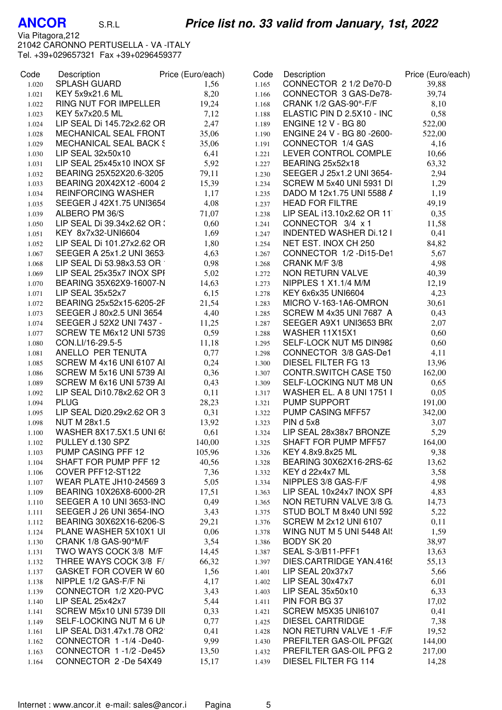| Code      | Description                    | Price (Euro/each) | Code  | Description                     | Price (Euro/each) |
|-----------|--------------------------------|-------------------|-------|---------------------------------|-------------------|
| 1.020     | SPLASH GUARD                   | 1,56              | 1.165 | CONNECTOR 2 1/2 De70-D          | 39,88             |
| 1.021     | KEY 5x9x21.6 ML                | 8,20              | 1.166 | CONNECTOR 3 GAS-De78-           | 39,74             |
| 1.022     | RING NUT FOR IMPELLER          | 19,24             | 1.168 | CRANK 1/2 GAS-90°-F/F           | 8,10              |
| 1.023     | KEY 5x7x20.5 ML                | 7,12              | 1.188 | ELASTIC PIN D 2.5X10 - INC      | 0,58              |
| 1.024     | LIP SEAL Di 145.72x2.62 OR     | 2,47              | 1.189 | <b>ENGINE 12 V - BG 80</b>      | 522,00            |
| 1.028     | MECHANICAL SEAL FRONT          | 35,06             | 1.190 | ENGINE 24 V - BG 80 - 2600-     | 522,00            |
| 1.029     | <b>MECHANICAL SEAL BACK S</b>  | 35,06             | 1.191 | CONNECTOR 1/4 GAS               | 4,16              |
| 1.030     | LIP SEAL 32x50x10              | 6,41              | 1.221 | LEVER CONTROL COMPLE            | 10,66             |
| 1.031     | LIP SEAL 25x45x10 INOX SF      | 5,92              | 1.227 | BEARING 25x52x18                | 63,32             |
| 1.032     | BEARING 25X52X20.6-3205        | 79,11             | 1.230 | SEEGER J 25x1.2 UNI 3654-       | 2,94              |
| 1.033     | BEARING 20X42X12 -6004 2       | 15,39             | 1.234 | <b>SCREW M 5x40 UNI 5931 DI</b> | 1,29              |
| 1.034     | <b>REINFORCING WASHER</b>      | 1,17              | 1.235 | DADO M 12x1.75 UNI 5588 /       | 1,19              |
| 1.035     | SEEGER J 42X1.75 UNI3654       | 4,08              | 1.237 | <b>HEAD FOR FILTRE</b>          | 49,19             |
| 1.039     | ALBERO PM 36/S                 | 71,07             | 1.238 | LIP SEAL i13.10x2.62 OR 11      | 0,35              |
| 1.050     | LIP SEAL Di 39.34x2.62 OR :    | 0,60              | 1.241 | CONNECTOR 3/4 x 1               | 11,58             |
| 1.051     | KEY 8x7x32-UNI6604             | 1,69              | 1.247 | <b>INDENTED WASHER Di.12 I</b>  | 0,41              |
| 1.052     | LIP SEAL Di 101.27x2.62 OR     | 1,80              | 1.254 | NET EST. INOX CH 250            | 84,82             |
| 1.067     | SEEGER A 25x1.2 UNI 3653       | 4,63              | 1.267 | CONNECTOR 1/2 - Di15-De1        | 5,67              |
|           | LIP SEAL Di 53.98x3.53 OR 1    | 0,98              |       | CRANK M/F 3/8                   | 4,98              |
| 1.068     | LIP SEAL 25x35x7 INOX SPI      |                   | 1.268 | NON RETURN VALVE                |                   |
| 1.069     |                                | 5,02              | 1.272 |                                 | 40,39             |
| 1.070     | BEARING 35X62X9-16007-N        | 14,63             | 1.273 | NIPPLES 1 X1.1/4 M/M            | 12,19             |
| 1.071     | LIP SEAL 35x52x7               | 6,15              | 1.278 | KEY 6x6x35 UNI6604              | 4,23              |
| 1.072     | BEARING 25x52x15-6205-2F       | 21,54             | 1.283 | MICRO V-163-1A6-OMRON           | 30,61             |
| 1.073     | SEEGER J 80x2.5 UNI 3654       | 4,40              | 1.285 | SCREW M 4x35 UNI 7687 A         | 0,43              |
| 1.074     | SEEGER J 52X2 UNI 7437 -       | 11,25             | 1.287 | SEEGER A9X1 UNI3653 BRO         | 2,07              |
| 1.077     | SCREW TE M6x12 UNI 5739        | 0,59              | 1.288 | WASHER 11X15X1                  | 0,60              |
| $1.080\,$ | CON.LI/16-29.5-5               | 11,18             | 1.295 | SELF-LOCK NUT M5 DIN982         | 0,60              |
| 1.081     | ANELLO PER TENUTA              | 0,77              | 1.298 | CONNECTOR 3/8 GAS-De1           | 4,11              |
| 1.085     | SCREW M 4x16 UNI 6107 AI       | 0,24              | 1.300 | DIESEL FILTER FG 13             | 13,96             |
| 1.086     | SCREW M 5x16 UNI 5739 AI       | 0,36              | 1.307 | <b>CONTR.SWITCH CASE T50</b>    | 162,00            |
| 1.089     | SCREW M 6x16 UNI 5739 AI       | 0,43              | 1.309 | SELF-LOCKING NUT M8 UN          | 0,65              |
| 1.092     | LIP SEAL Di10.78x2.62 OR 3     | 0,11              | 1.317 | WASHER EL. A 8 UNI 1751 I       | 0,05              |
| 1.094     | <b>PLUG</b>                    | 28,23             | 1.321 | PUMP SUPPORT                    | 191,00            |
| 1.095     | LIP SEAL Di20.29x2.62 OR 3     | 0,31              | 1.322 | PUMP CASING MFF57               | 342,00            |
| 1.098     | <b>NUT M 28x1.5</b>            | 13,92             | 1.323 | PIN d 5x8                       | 3,07              |
| 1.100     | WASHER 8X17.5X1.5 UNI 65       | 0,61              | 1.324 | LIP SEAL 28x38x7 BRONZE         | 5,29              |
| 1.102     | PULLEY d.130 SPZ               | 140,00            | 1.325 | SHAFT FOR PUMP MFF57            | 164,00            |
| 1.103     | PUMP CASING PFF 12             | 105,96            | 1.326 | KEY 4.8x9.8x25 ML               | 9,38              |
| 1.104     | SHAFT FOR PUMP PFF 12          | 40,56             | 1.328 | BEARING 30X62X16-2RS-62         | 13,62             |
| 1.106     | COVER PFF12-ST122              | 7,36              | 1.332 | KEY d 22x4x7 ML                 | 3,58              |
| 1.107     | <b>WEAR PLATE JH10-24569 3</b> | 5,05              | 1.334 | NIPPLES 3/8 GAS-F/F             | 4,98              |
| 1.109     | BEARING 10X26X8-6000-2R        | 17,51             | 1.363 | LIP SEAL 10x24x7 INOX SPI       | 4,83              |
| 1.110     | SEEGER A 10 UNI 3653-INO       | 0,49              | 1.365 | NON RETURN VALVE 3/8 G.         | 14,73             |
| 1.111     | SEEGER J 26 UNI 3654-INO.      | 3,43              | 1.375 | STUD BOLT M 8x40 UNI 592        | 5,22              |
| 1.112     | BEARING 30X62X16-6206-S        | 29,21             | 1.376 | <b>SCREW M 2x12 UNI 6107</b>    | 0,11              |
| 1.124     | PLANE WASHER 5X10X1 UI         | 0,06              | 1.378 | WING NUT M 5 UNI 5448 AI        | 1,59              |
| 1.130     | CRANK 1/8 GAS-90°M/F           | 3,54              | 1.386 | <b>BODY SK 20</b>               | 38,97             |
| 1.131     | TWO WAYS COCK 3/8 M/F          | 14,45             | 1.387 | SEAL S-3/B11-PFF1               | 13,63             |
| 1.132     | THREE WAYS COCK 3/8 F/         | 66,32             | 1.397 | DIES.CARTRIDGE YAN.416!         | 55,13             |
| 1.137     | GASKET FOR COVER W 60          | 1,56              | 1.401 | LIP SEAL 20x37x7                | 5,66              |
| 1.138     | NIPPLE 1/2 GAS-F/F Ni          | 4,17              | 1.402 | LIP SEAL 30x47x7                | 6,01              |
| 1.139     | CONNECTOR 1/2 X20-PVC          | 3,43              | 1.403 | LIP SEAL 35x50x10               | 6,33              |
| 1.140     | LIP SEAL 25x42x7               | 5,44              | 1.411 | PIN FOR BG 37                   | 17,02             |
| 1.141     | SCREW M5x10 UNI 5739 DII       | 0,33              | 1.421 | SCREW M5X35 UNI6107             | 0,41              |
| 1.149     | SELF-LOCKING NUT M 6 UN        | 0,77              | 1.425 | <b>DIESEL CARTRIDGE</b>         | 7,38              |
| 1.161     | LIP SEAL Di31.47x1.78 OR2      | 0,41              | 1.428 | NON RETURN VALVE 1 - F/F        | 19,52             |
|           | CONNECTOR 1-1/4-De40-          | 9,99              |       | PREFILTER GAS-OIL PFG2(         | 144,00            |
| 1.162     | CONNECTOR 1-1/2-De45>          | 13,50             | 1.430 | PREFILTER GAS-OIL PFG 2         | 217,00            |
| 1.163     | CONNECTOR 2 -De 54X49          |                   | 1.432 | DIESEL FILTER FG 114            |                   |
| 1.164     |                                | 15,17             | 1.439 |                                 | 14,28             |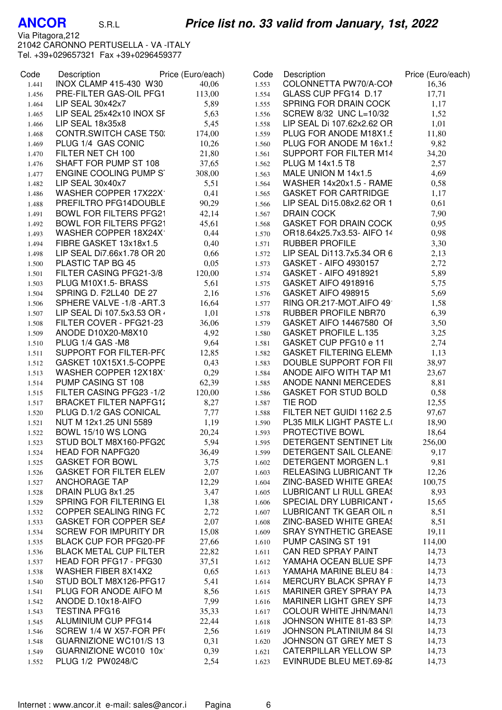| Code  | Description                   | Price (Euro/each) | Code  | Description                    | Price (Euro/each) |
|-------|-------------------------------|-------------------|-------|--------------------------------|-------------------|
| 1.441 | INOX CLAMP 415-430 W30        | 40,06             | 1.553 | COLONNETTA PW70/A-COM          | 16,36             |
| 1.456 | PRE-FILTER GAS-OIL PFG1       | 113,00            | 1.554 | GLASS CUP PFG14 D.17           | 17,71             |
| 1.464 | LIP SEAL 30x42x7              | 5,89              | 1.555 | SPRING FOR DRAIN COCK          | 1,17              |
| 1.465 | LIP SEAL 25x42x10 INOX SF     | 5,63              | 1.556 | SCREW 8/32 UNC L=10/32         | 1,52              |
| 1.466 | LIP SEAL 18x35x8              | 5,45              | 1.558 | LIP SEAL Di 107.62x2.62 OR     | 1,01              |
| 1.468 | <b>CONTR.SWITCH CASE T50:</b> | 174,00            | 1.559 | PLUG FOR ANODE M18X1.5         | 11,80             |
| 1.469 | PLUG 1/4 GAS CONIC            | 10,26             | 1.560 | PLUG FOR ANODE M 16x1.         | 9,82              |
| 1.470 | FILTER NET CH 100             | 21,80             | 1.561 | SUPPORT FOR FILTER M14         | 34,20             |
| 1.476 | SHAFT FOR PUMP ST 108         | 37,65             | 1.562 | PLUG M 14x1.5 T8               | 2,57              |
| 1.477 | ENGINE COOLING PUMP ST        | 308,00            | 1.563 | MALE UNION M 14x1.5            | 4,69              |
| 1.482 | LIP SEAL 30x40x7              | 5,51              | 1.564 | <b>WASHER 14x20x1.5 - RAME</b> | 0,58              |
| 1.486 | WASHER COPPER 17X22X          | 0,41              | 1.565 | <b>GASKET FOR CARTRIDGE</b>    | 1,17              |
| 1.488 | PREFILTRO PFG14DOUBLE         | 90,29             | 1.566 | LIP SEAL Di15.08x2.62 OR 1     | 0,61              |
| 1.491 | <b>BOWL FOR FILTERS PFG21</b> | 42,14             | 1.567 | <b>DRAIN COCK</b>              | 7,90              |
| 1.492 | <b>BOWL FOR FILTERS PFG21</b> | 45,61             | 1.568 | <b>GASKET FOR DRAIN COCK</b>   | 0,95              |
| 1.493 | WASHER COPPER 18X24X          | 0,44              | 1.570 | OR18.64x25.7x3.53- AIFO 14     | 0,98              |
| 1.494 | FIBRE GASKET 13x18x1.5        | 0,40              | 1.571 | <b>RUBBER PROFILE</b>          | 3,30              |
|       | LIP SEAL Di7.66x1.78 OR 20    | 0,66              | 1.572 | LIP SEAL Di113.7x5.34 OR 6     | 2,13              |
| 1.498 | PLASTIC TAP BG 45             | 0,05              |       | GASKET - AIFO 4930157          |                   |
| 1.500 | FILTER CASING PFG21-3/8       |                   | 1.573 |                                | 2,72              |
| 1.501 |                               | 120,00            | 1.574 | GASKET - AIFO 4918921          | 5,89              |
| 1.503 | PLUG M10X1.5- BRASS           | 5,61              | 1.575 | GASKET AIFO 4918916            | 5,75              |
| 1.504 | SPRING D. F2LL40 DE 27        | 2,16              | 1.576 | GASKET AIFO 498915             | 5,69              |
| 1.506 | SPHERE VALVE -1/8 -ART.3      | 16,64             | 1.577 | RING OR.217-MOT.AIFO 49        | 1,58              |
| 1.507 | LIP SEAL Di 107.5x3.53 OR 4   | 1,01              | 1.578 | <b>RUBBER PROFILE NBR70</b>    | 6,39              |
| 1.508 | FILTER COVER - PFG21-23       | 36,06             | 1.579 | GASKET AIFO 14467580 OF        | 3,50              |
| 1.509 | ANODE D10X20-M8X10            | 4,92              | 1.580 | <b>GASKET PROFILE L.135</b>    | 3,25              |
| 1.510 | PLUG 1/4 GAS -M8              | 9,64              | 1.581 | GASKET CUP PFG10 e 11          | 2,74              |
| 1.511 | SUPPORT FOR FILTER-PFC        | 12,85             | 1.582 | <b>GASKET FILTERING ELEMN</b>  | 1,13              |
| 1.512 | GASKET 10X15X1.5-COPPE        | 0,43              | 1.583 | DOUBLE SUPPORT FOR FII         | 38,97             |
| 1.513 | WASHER COPPER 12X18X          | 0,29              | 1.584 | ANODE AIFO WITH TAP M1         | 23,67             |
| 1.514 | PUMP CASING ST 108            | 62,39             | 1.585 | ANODE NANNI MERCEDES           | 8,81              |
| 1.515 | FILTER CASING PFG23 -1/2      | 120,00            | 1.586 | <b>GASKET FOR STUD BOLD</b>    | 0,58              |
| 1.517 | <b>BRACKET FILTER NAPFG12</b> | 8,27              | 1.587 | TIE ROD                        | 12,55             |
| 1.520 | PLUG D.1/2 GAS CONICAL        | 7,77              | 1.588 | FILTER NET GUIDI 1162 2.5      | 97,67             |
| 1.521 | NUT M 12x1.25 UNI 5589        | 1,19              | 1.590 | PL35 MILK LIGHT PASTE L.I      | 18,90             |
| 1.522 | BOWL 15/10 WS LONG            | 20,24             | 1.593 | PROTECTIVE BOWL                | 18,64             |
| 1.523 | STUD BOLT M8X160-PFG20        | 5,94              | 1.595 | <b>DETERGENT SENTINET Lite</b> | 256,00            |
| 1.524 | <b>HEAD FOR NAPFG20</b>       | 36,49             | 1.599 | DETERGENT SAIL CLEANE          | 9,17              |
| 1.525 | <b>GASKET FOR BOWL</b>        | 3,75              | 1.602 | DETERGENT MORGEN L.1           | 9,81              |
| 1.526 | <b>GASKET FOR FILTER ELEN</b> | 2,07              | 1.603 | RELEASING LUBRICANT TK         | 12,26             |
| 1.527 | <b>ANCHORAGE TAP</b>          | 12,29             | 1.604 | ZINC-BASED WHITE GREAS         | 100,75            |
| 1.528 | DRAIN PLUG 8x1.25             | 3,47              | 1.605 | <b>LUBRICANT LI RULL GREAS</b> | 8,93              |
| 1.529 | SPRING FOR FILTERING EL       | 1,38              | 1.606 | SPECIAL DRY LUBRICANT .        | 15,65             |
| 1.532 | COPPER SEALING RING FC        | 2,72              | 1.607 | LUBRICANT TK GEAR OIL n        | 8,51              |
| 1.533 | <b>GASKET FOR COPPER SEA</b>  | 2,07              | 1.608 | ZINC-BASED WHITE GREAS         | 8,51              |
| 1.534 | <b>SCREW FOR IMPURITY DR</b>  | 15,08             | 1.609 | <b>SRAY SYNTHETIC GREASE</b>   | 19,11             |
| 1.535 | <b>BLACK CUP FOR PFG20-PF</b> | 27,66             | 1.610 | PUMP CASING ST 191             | 114,00            |
| 1.536 | <b>BLACK METAL CUP FILTER</b> | 22,82             | 1.611 | CAN RED SPRAY PAINT            | 14,73             |
| 1.537 | HEAD FOR PFG17 - PFG30        | 37,51             | 1.612 | YAMAHA OCEAN BLUE SPF          | 14,73             |
| 1.538 | WASHER FIBER 8X14X2           | 0,65              | 1.613 | YAMAHA MARINE BLEU 84          | 14,73             |
| 1.540 | STUD BOLT M8X126-PFG17        | 5,41              | 1.614 | MERCURY BLACK SPRAY F          | 14,73             |
| 1.541 | PLUG FOR ANODE AIFO M         | 8,56              | 1.615 | MARINER GREY SPRAY PA          | 14,73             |
| 1.542 | ANODE D.10x18-AIFO            | 7,99              | 1.616 | MARINER LIGHT GREY SPF         | 14,73             |
| 1.543 | <b>TESTINA PFG16</b>          | 35,33             | 1.617 | <b>COLOUR WHITE JHN/MAN/I</b>  | 14,73             |
| 1.545 | ALUMINIUM CUP PFG14           | 22,44             | 1.618 | JOHNSON WHITE 81-83 SP         | 14,73             |
| 1.546 | SCREW 1/4 W X57-FOR PF(       | 2,56              | 1.619 | <b>JOHNSON PLATINIUM 84 SI</b> | 14,73             |
|       | <b>GUARNIZIONE WC101/S13</b>  | 0,31              |       | JOHNSON GT GREY MET S          | 14,73             |
| 1.548 | GUARNIZIONE WC010 10x         | 0,39              | 1.620 | CATERPILLAR YELLOW SP          | 14,73             |
| 1.549 | PLUG 1/2 PW0248/C             |                   | 1.621 | EVINRUDE BLEU MET.69-82        |                   |
| 1.552 |                               | 2,54              | 1.623 |                                | 14,73             |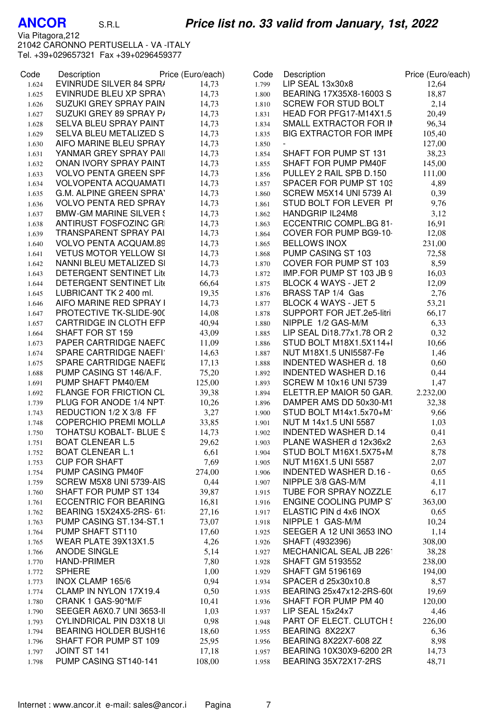| Code  | Description                     | Price (Euro/each) | Code  | Description                   | Price (Euro/each) |
|-------|---------------------------------|-------------------|-------|-------------------------------|-------------------|
| 1.624 | EVINRUDE SILVER 84 SPR/         | 14,73             | 1.799 | LIP SEAL 13x30x8              | 12,64             |
| 1.625 | EVINRUDE BLEU XP SPRAY          | 14,73             | 1.800 | BEARING 17X35X8-16003 S       | 18,87             |
| 1.626 | SUZUKI GREY SPRAY PAIN          | 14,73             | 1.810 | <b>SCREW FOR STUD BOLT</b>    | 2,14              |
| 1.627 | SUZUKI GREY 89 SPRAY P/         | 14,73             | 1.831 | HEAD FOR PFG17-M14X1.5        | 20,49             |
| 1.628 | SELVA BLEU SPRAY PAINT          | 14,73             | 1.834 | SMALL EXTRACTOR FOR IN        | 96,34             |
| 1.629 | SELVA BLEU METALIZED S          | 14,73             | 1.835 | <b>BIG EXTRACTOR FOR IMPE</b> | 105,40            |
| 1.630 | AIFO MARINE BLEU SPRAY          | 14,73             | 1.850 |                               | 127,00            |
| 1.631 | YANMAR GREY SPRAY PAII          | 14,73             | 1.854 | SHAFT FOR PUMP ST 131         | 38,23             |
| 1.632 | ONAN IVORY SPRAY PAINT          | 14,73             | 1.855 | SHAFT FOR PUMP PM40F          | 145,00            |
| 1.633 | <b>VOLVO PENTA GREEN SPF</b>    | 14,73             | 1.856 | PULLEY 2 RAIL SPB D.150       | 111,00            |
| 1.634 | <b>VOLVOPENTA ACQUAMATI</b>     | 14,73             | 1.857 | SPACER FOR PUMP ST 103        | 4,89              |
| 1.635 | G.M. ALPINE GREEN SPRAY         | 14,73             | 1.860 | SCREW M5X14 UNI 5739 AI       | 0,39              |
| 1.636 | <b>VOLVO PENTA RED SPRAY</b>    | 14,73             | 1.861 | STUD BOLT FOR LEVER PI        | 9,76              |
| 1.637 | <b>BMW-GM MARINE SILVER \$</b>  | 14,73             | 1.862 | <b>HANDGRIP IL24M8</b>        | 3,12              |
| 1.638 | <b>ANTIRUST FOSFOZINC GRI</b>   | 14,73             | 1.863 | <b>ECCENTRIC COMPL.BG 81-</b> | 16,91             |
| 1.639 | TRANSPARENT SPRAY PAI           | 14,73             | 1.864 | COVER FOR PUMP BG9-10         | 12,08             |
| 1.640 | <b>VOLVO PENTA ACQUAM.89</b>    | 14,73             | 1.865 | <b>BELLOWS INOX</b>           | 231,00            |
| 1.641 | <b>VETUS MOTOR YELLOW SI</b>    | 14,73             | 1.868 | PUMP CASING ST 103            | 72,58             |
| 1.642 | NANNI BLEU METALIZED SI         | 14,73             | 1.870 | COVER FOR PUMP ST 103         | 8,59              |
| 1.643 | <b>DETERGENT SENTINET Lite</b>  | 14,73             | 1.872 | IMP.FOR PUMP ST 103 JB 9      | 16,03             |
| 1.644 | <b>DETERGENT SENTINET Lite</b>  | 66,64             | 1.875 | BLOCK 4 WAYS - JET 2          | 12,09             |
| 1.645 | LUBRICANT TK 2 400 ml.          | 19,35             | 1.876 | BRASS TAP 1/4 Gas             | 2,76              |
| 1.646 | AIFO MARINE RED SPRAY I         | 14,73             | 1.877 | BLOCK 4 WAYS - JET 5          | 53,21             |
| 1.647 | PROTECTIVE TK-SLIDE-900         | 14,08             | 1.878 | SUPPORT FOR JET.2e5-litri     | 66,17             |
| 1.657 | <b>CARTRIDGE IN CLOTH EFP</b>   | 40,94             | 1.880 | NIPPLE 1/2 GAS-M/M            | 6,33              |
| 1.664 | SHAFT FOR ST 159                | 43,09             | 1.885 | LIP SEAL Di18.77x1.78 OR 2    | 0,32              |
| 1.673 | PAPER CARTRIDGE NAEFC           | 11,09             | 1.886 | STUD BOLT M18X1.5X114+I       | 10,66             |
| 1.674 | SPARE CARTRIDGE NAEFI           | 14,63             | 1.887 | NUT M18X1.5 UNI5587-Fe        | 1,46              |
| 1.675 | <b>SPARE CARTRIDGE NAEFI</b>    | 17,13             | 1.888 | <b>INDENTED WASHER d. 18</b>  | 0,60              |
| 1.688 | PUMP CASING ST 146/A.F.         | 75,20             | 1.892 | <b>INDENTED WASHER D.16</b>   | 0,44              |
| 1.691 | PUMP SHAFT PM40/EM              | 125,00            | 1.893 | <b>SCREW M 10x16 UNI 5739</b> | 1,47              |
| 1.692 | <b>FLANGE FOR FRICTION CL</b>   | 39,38             | 1.894 | ELETTR.EP MAIOR 50 GAR.       | 2.232,00          |
| 1.739 | PLUG FOR ANODE 1/4 NPT          | 10,26             | 1.896 | DAMPER AMS DD 50x30-M1        | 32,38             |
| 1.743 | REDUCTION 1/2 X 3/8 FF          | 3,27              | 1.900 | STUD BOLT M14x1.5x70+M        | 9,66              |
| 1.748 | COPERCHIO PREMI MOLLA           | 33,85             | 1.901 | NUT M 14x1.5 UNI 5587         | 1,03              |
| 1.750 | <b>TOHATSU KOBALT- BLUE S</b>   | 14,73             | 1.902 | <b>INDENTED WASHER D.14</b>   | 0,41              |
| 1.751 | <b>BOAT CLENEAR L.5</b>         | 29,62             | 1.903 | PLANE WASHER d 12x36x2        | 2,63              |
| 1.752 | <b>BOAT CLENEAR L.1</b>         | 6,61              | 1.904 | STUD BOLT M16X1.5X75+M        | 8,78              |
| 1.753 | <b>CUP FOR SHAFT</b>            | 7,69              | 1.905 | NUT M16X1.5 UNI 5587          | 2,07              |
| 1.754 | PUMP CASING PM40F               | 274,00            | 1.906 | INDENTED WASHER D.16 -        | 0,65              |
| 1.759 | SCREW M5X8 UNI 5739-AIS         | 0,44              | 1.907 | NIPPLE 3/8 GAS-M/M            | 4,11              |
| 1.760 | SHAFT FOR PUMP ST 134           | 39,87             | 1.915 | TUBE FOR SPRAY NOZZLE         | 6,17              |
| 1.761 | <b>ECCENTRIC FOR BEARING</b>    | 16,81             | 1.916 | ENGINE COOLING PUMP ST        | 363,00            |
| 1.762 | BEARING 15X24X5-2RS- 61         | 27,16             | 1.917 | ELASTIC PIN d 4x6 INOX        | 0,65              |
| 1.763 | PUMP CASING ST.134-ST.1         | 73,07             | 1.918 | NIPPLE 1 GAS-M/M              | 10,24             |
| 1.764 | PUMP SHAFT ST110                | 17,60             | 1.925 | SEEGER A 12 UNI 3653 INO      | 1,14              |
| 1.765 | WEAR PLATE 39X13X1.5            | 4,26              | 1.926 | SHAFT (4932396)               | 308,00            |
| 1.766 | ANODE SINGLE                    | 5,14              | 1.927 | MECHANICAL SEAL JB 226        | 38,28             |
| 1.770 | HAND-PRIMER                     | 7,80              | 1.928 | <b>SHAFT GM 5193552</b>       | 238,00            |
| 1.772 | <b>SPHERE</b>                   | 1,00              | 1.929 | <b>SHAFT GM 5196169</b>       | 194,00            |
| 1.773 | INOX CLAMP 165/6                | 0,94              | 1.934 | SPACER d 25x30x10.8           | 8,57              |
| 1.774 | CLAMP IN NYLON 17X19.4          | 0,50              | 1.935 | BEARING 25x47x12-2RS-60(      | 19,69             |
| 1.780 | CRANK 1 GAS-90°M/F              | 10,41             | 1.936 | SHAFT FOR PUMP PM 40          | 120,00            |
| 1.790 | SEEGER A6X0.7 UNI 3653-II       | 1,03              | 1.937 | LIP SEAL 15x24x7              | 4,46              |
| 1.793 | <b>CYLINDRICAL PIN D3X18 UI</b> | 0,98              | 1.948 | PART OF ELECT. CLUTCH !       | 226,00            |
| 1.794 | <b>BEARING HOLDER BUSH16</b>    | 18,60             | 1.955 | BEARING 8X22X7                | 6,36              |
| 1.796 | SHAFT FOR PUMP ST 109           | 25,95             | 1.956 | BEARING 8X22X7-608 2Z         | 8,98              |
| 1.797 | <b>JOINT ST 141</b>             | 17,18             | 1.957 | BEARING 10X30X9-6200 2R       | 14,73             |
| 1.798 | PUMP CASING ST140-141           | 108,00            | 1.958 | BEARING 35X72X17-2RS          | 48,71             |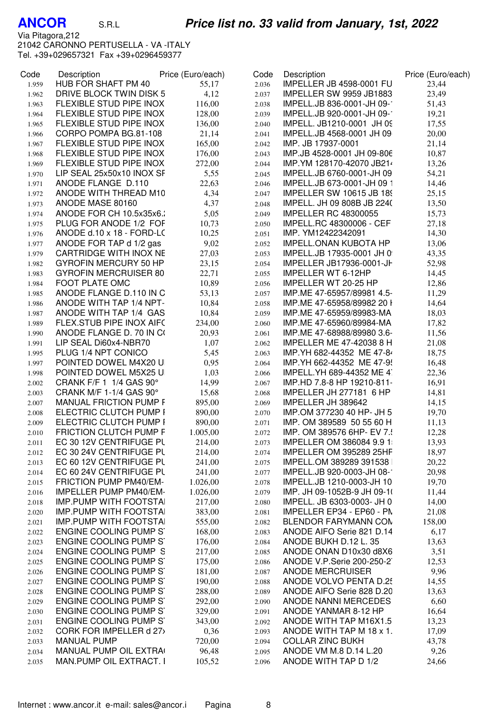| Code  | Description                   | Price (Euro/each) | Code  | Description                     | Price (Euro/each) |
|-------|-------------------------------|-------------------|-------|---------------------------------|-------------------|
| 1.959 | HUB FOR SHAFT PM 40           | 55,17             | 2.036 | IMPELLER JB 4598-0001 FU        | 23,44             |
| 1.962 | DRIVE BLOCK TWIN DISK 5       | 4,12              | 2.037 | IMPELLER SW 9959 JB1883         | 23,49             |
| 1.963 | FLEXIBLE STUD PIPE INOX       | 116,00            | 2.038 | IMPELL.JB 836-0001-JH 09-       | 51,43             |
| 1.964 | FLEXIBLE STUD PIPE INOX       | 128,00            | 2.039 | IMPELL.JB 920-0001-JH 09-1      | 19,21             |
| 1.965 | FLEXIBLE STUD PIPE INOX       | 136,00            | 2.040 | IMPELL. JB1210-0001 JH 09       | 17,55             |
| 1.966 | CORPO POMPA BG.81-108         | 21,14             | 2.041 | IMPELL.JB 4568-0001 JH 09       | 20,00             |
| 1.967 | FLEXIBLE STUD PIPE INOX       | 165,00            | 2.042 | IMP. JB 17937-0001              | 21,14             |
| 1.968 | FLEXIBLE STUD PIPE INOX       | 176,00            | 2.043 | IMP.JB 4528-0001 JH 09-806      | 10,87             |
| 1.969 | FLEXIBLE STUD PIPE INOX       | 272,00            | 2.044 | IMP.YM 128170-42070 JB214       | 13,26             |
| 1.970 | LIP SEAL 25x50x10 INOX SF     | 5,55              | 2.045 | IMPELL.JB 6760-0001-JH 09       | 54,21             |
| 1.971 | ANODE FLANGE D.110            | 22,63             | 2.046 | IMPELL.JB 673-0001-JH 09 1      | 14,46             |
| 1.972 | ANODE WITH THREAD M10         | 4,34              | 2.047 | <b>IMPELLER SW 10615 JB 189</b> | 25,15             |
|       | ANODE MASE 80160              | 4,37              | 2.048 | IMPELL. JH 09 808B JB 224(      | 13,50             |
| 1.973 | ANODE FOR CH 10.5x35x6.:      |                   |       |                                 |                   |
| 1.974 |                               | 5,05              | 2.049 | <b>IMPELLER RC 48300055</b>     | 15,73             |
| 1.975 | PLUG FOR ANODE 1/2 FOF        | 10,73             | 2.050 | IMPELL.RC 48300006 - CEF        | 27,18             |
| 1.976 | ANODE d.10 x 18 - FORD-LC     | 10,25             | 2.051 | IMP. YM12422342091              | 14,30             |
| 1.977 | ANODE FOR TAP d 1/2 gas       | 9,02              | 2.052 | IMPELL.ONAN KUBOTA HP           | 13,06             |
| 1.979 | CARTRIDGE WITH INOX NE        | 27,03             | 2.053 | IMPELL.JB 17935-0001 JH 0       | 43,35             |
| 1.982 | GYROFIN MERCURY 50 HP         | 23,15             | 2.054 | IMPELLER JB17936-0001-JH        | 52,98             |
| 1.983 | <b>GYROFIN MERCRUISER 80</b>  | 22,71             | 2.055 | <b>IMPELLER WT 6-12HP</b>       | 14,45             |
| 1.984 | FOOT PLATE OMC                | 10,89             | 2.056 | IMPELLER WT 20-25 HP            | 12,86             |
| 1.985 | ANODE FLANGE D.110 IN C       | 53,13             | 2.057 | IMP.ME 47-65957/89981 4.5-      | 11,29             |
| 1.986 | ANODE WITH TAP 1/4 NPT-       | 10,84             | 2.058 | IMP.ME 47-65958/89982 20 I      | 14,64             |
| 1.987 | ANODE WITH TAP 1/4 GAS        | 10,84             | 2.059 | IMP.ME 47-65959/89983-MA        | 18,03             |
| 1.989 | FLEX.STUB PIPE INOX AIFC      | 234,00            | 2.060 | IMP.ME 47-65960/89984-MA        | 17,82             |
| 1.990 | ANODE FLANGE D. 70 IN CO      | 20,93             | 2.061 | IMP.ME 47-68988/89980 3.6-      | 11,56             |
| 1.991 | LIP SEAL Di60x4-NBR70         | 1,07              | 2.062 | <b>IMPELLER ME 47-42038 8 H</b> | 21,08             |
| 1.995 | PLUG 1/4 NPT CONICO           | 5,45              | 2.063 | IMP.YH 682-44352 ME 47-84       | 18,75             |
| 1.997 | POINTED DOWEL M4X20 UI        | 0,95              | 2.064 | IMP.YH 662-44352 ME 47-9!       | 16,48             |
| 1.998 | POINTED DOWEL M5X25 UI        | 1,03              | 2.066 | IMPELL.YH 689-44352 ME 4        | 22,36             |
| 2.002 | CRANK F/F 1 1/4 GAS 90°       | 14,99             | 2.067 | IMP.HD 7.8-8 HP 19210-811-      | 16,91             |
| 2.003 | CRANK M/F 1-1/4 GAS 90°       | 15,68             | 2.068 | IMPELLER JH 277181 6 HP         | 14,81             |
| 2.007 | MANUAL FRICTION PUMP F        | 895,00            | 2.069 | IMPELLER JH 389642              | 14,15             |
| 2.008 | ELECTRIC CLUTCH PUMP I        | 890,00            | 2.070 | IMP.OM 377230 40 HP- JH 5       | 19,70             |
| 2.009 | ELECTRIC CLUTCH PUMP I        | 890,00            | 2.071 | IMP. OM 389589 50 55 60 H       | 11,13             |
| 2.010 | <b>FRICTION CLUTCH PUMP F</b> | 1.005,00          | 2.072 | IMP. OM 389576 6HP- EV 7.       | 12,28             |
| 2.011 | EC 30 12V CENTRIFUGE PL       | 214,00            | 2.073 | IMPELLER OM 386084 9.9 1        | 13,93             |
|       | EC 30 24V CENTRIFUGE PL       | 214,00            |       | IMPELLER OM 395289 25HF         | 18,97             |
| 2.012 | EC 60 12V CENTRIFUGE PL       | 241,00            | 2.074 | IMPELL.OM 389289 391538         | 20,22             |
| 2.013 | EC 60 24V CENTRIFUGE PL       |                   | 2.075 | IMPELL.JB 920-0003-JH 08-       |                   |
| 2.014 |                               | 241,00            | 2.077 |                                 | 20,98             |
| 2.015 | FRICTION PUMP PM40/EM-        | 1.026,00          | 2.078 | IMPELL.JB 1210-0003-JH 10       | 19,70             |
| 2.016 | IMPELLER PUMP PM40/EM-        | 1.026,00          | 2.079 | IMP. JH 09-1052B-9 JH 09-10     | 11,44             |
| 2.018 | <b>IMP.PUMP WITH FOOTSTAI</b> | 217,00            | 2.080 | IMPELL. JB 6303-0003- JH 0      | 14,00             |
| 2.020 | <b>IMP.PUMP WITH FOOTSTAI</b> | 383,00            | 2.081 | IMPELLER EP34 - EP60 - PN       | 21,08             |
| 2.021 | <b>IMP.PUMP WITH FOOTSTAI</b> | 555,00            | 2.082 | BLENDOR FARYMANN CON            | 158,00            |
| 2.022 | ENGINE COOLING PUMP ST        | 168,00            | 2.083 | ANODE AIFO Serie 821 D.14       | 6,17              |
| 2.023 | <b>ENGINE COOLING PUMP S'</b> | 176,00            | 2.084 | ANODE BUKH D.12 L. 35           | 13,63             |
| 2.024 | ENGINE COOLING PUMP S         | 217,00            | 2.085 | ANODE ONAN D10x30 d8X6          | 3,51              |
| 2.025 | ENGINE COOLING PUMP ST        | 175,00            | 2.086 | ANODE V.P.Serie 200-250-2       | 12,53             |
| 2.026 | ENGINE COOLING PUMP ST        | 181,00            | 2.087 | ANODE MERCRUISER                | 9,96              |
| 2.027 | ENGINE COOLING PUMP ST        | 190,00            | 2.088 | ANODE VOLVO PENTA D.25          | 14,55             |
| 2.028 | ENGINE COOLING PUMP ST        | 288,00            | 2.089 | ANODE AIFO Serie 828 D.20       | 13,63             |
| 2.029 | ENGINE COOLING PUMP ST        | 292,00            | 2.090 | ANODE NANNI MERCEDES            | 6,60              |
| 2.030 | ENGINE COOLING PUMP ST        | 329,00            | 2.091 | ANODE YANMAR 8-12 HP            | 16,64             |
| 2.031 | ENGINE COOLING PUMP ST        | 343,00            | 2.092 | ANODE WITH TAP M16X1.5          | 13,23             |
| 2.032 | CORK FOR IMPELLER d 27>       | 0,36              | 2.093 | ANODE WITH TAP M 18 x 1.        | 17,09             |
| 2.033 | <b>MANUAL PUMP</b>            | 720,00            | 2.094 | <b>COLLAR ZINC BUKH</b>         | 43,78             |
| 2.034 | MANUAL PUMP OIL EXTRA         | 96,48             | 2.095 | ANODE VM M.8 D.14 L.20          | 9,26              |
| 2.035 | MAN.PUMP OIL EXTRACT. I       | 105,52            | 2.096 | ANODE WITH TAP D 1/2            | 24,66             |
|       |                               |                   |       |                                 |                   |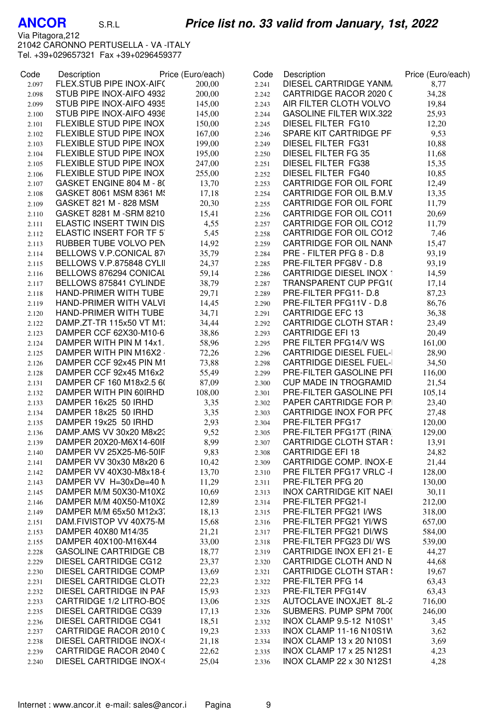| Code  | Description                    | Price (Euro/each) | Code  | Description                     | Price (Euro/each) |
|-------|--------------------------------|-------------------|-------|---------------------------------|-------------------|
| 2.097 | FLEX.STUB PIPE INOX-AIF(       | 200,00            | 2.241 | DIESEL CARTRIDGE YANM.          | 8,77              |
| 2.098 | STUB PIPE INOX-AIFO 4932       | 200,00            | 2.242 | <b>CARTRIDGE RACOR 2020 C</b>   | 34,28             |
| 2.099 | STUB PIPE INOX-AIFO 4935       | 145,00            | 2.243 | AIR FILTER CLOTH VOLVO          | 19,84             |
| 2.100 | STUB PIPE INOX-AIFO 4936       | 145,00            | 2.244 | <b>GASOLINE FILTER WIX.322</b>  | 25,93             |
| 2.101 | FLEXIBLE STUD PIPE INOX        | 150,00            | 2.245 | DIESEL FILTER FG10              | 12,20             |
| 2.102 | FLEXIBLE STUD PIPE INOX        | 167,00            | 2.246 | SPARE KIT CARTRIDGE PF          | 9,53              |
| 2.103 | FLEXIBLE STUD PIPE INOX        | 199,00            | 2.249 | DIESEL FILTER FG31              | 10,88             |
| 2.104 | FLEXIBLE STUD PIPE INOX        | 195,00            | 2.250 | <b>DIESEL FILTER FG 35</b>      | 11,68             |
|       | FLEXIBLE STUD PIPE INOX        | 247,00            | 2.251 | DIESEL FILTER FG38              | 15,35             |
| 2.105 | FLEXIBLE STUD PIPE INOX        | 255,00            |       | DIESEL FILTER FG40              | 10,85             |
| 2.106 | GASKET ENGINE 804 M - 80       |                   | 2.252 |                                 |                   |
| 2.107 |                                | 13,70             | 2.253 | CARTRIDGE FOR OIL FORE          | 12,49             |
| 2.108 | GASKET 8061 MSM 8361 MS        | 17,18             | 2.254 | CARTRIDGE FOR OIL B.M.V         | 13,35             |
| 2.109 | GASKET 821 M - 828 MSM         | 20,30             | 2.255 | CARTRIDGE FOR OIL FORE          | 11,79             |
| 2.110 | GASKET 8281 M - SRM 8210       | 15,41             | 2.256 | CARTRIDGE FOR OIL CO11          | 20,69             |
| 2.111 | ELASTIC INSERT TWIN DIS        | 4,55              | 2.257 | CARTRIDGE FOR OIL CO12          | 11,79             |
| 2.112 | ELASTIC INSERT FOR TF 5        | 5,45              | 2.258 | CARTRIDGE FOR OIL CO12          | 7,46              |
| 2.113 | RUBBER TUBE VOLVO PEN          | 14,92             | 2.259 | CARTRIDGE FOR OIL NANN          | 15,47             |
| 2.114 | BELLOWS V.P.CONICAL 87         | 35,79             | 2.284 | PRE - FILTER PFG 8 - D.8        | 93,19             |
| 2.115 | BELLOWS V.P.875848 CYLII       | 24,37             | 2.285 | PRE-FILTER PFG8V - D.8          | 93,19             |
| 2.116 | BELLOWS 876294 CONICAL         | 59,14             | 2.286 | <b>CARTRIDGE DIESEL INOX 1</b>  | 14,59             |
| 2.117 | BELLOWS 875841 CYLINDE         | 38,79             | 2.287 | TRANSPARENT CUP PFG1(           | 17,14             |
| 2.118 | HAND-PRIMER WITH TUBE          | 29,71             | 2.289 | PRE-FILTER PFG11-D.8            | 87,23             |
| 2.119 | HAND-PRIMER WITH VALVI         | 14,45             | 2.290 | PRE-FILTER PFG11V - D.8         | 86,76             |
| 2.120 | HAND-PRIMER WITH TUBE          | 34,71             | 2.291 | <b>CARTRIDGE EFC 13</b>         | 36,38             |
| 2.122 | DAMP.ZT-TR 115x50 VT M1.       | 34,44             | 2.292 | <b>CARTRIDGE CLOTH STAR :</b>   | 23,49             |
| 2.123 | DAMPER CCF 62X30-M10-6         | 38,86             | 2.293 | <b>CARTRIDGE EFI 13</b>         | 20,49             |
| 2.124 | DAMPER WITH PIN M 14x1.        | 58,96             | 2.295 | PRE FILTER PFG14/V WS           | 161,00            |
| 2.125 | DAMPER WITH PIN M16X2 -        | 72,26             | 2.296 | <b>CARTRIDGE DIESEL FUEL-</b>   | 28,90             |
|       | DAMPER CCF 92x45 PIN M1        | 73,88             |       | <b>CARTRIDGE DIESEL FUEL-</b>   |                   |
| 2.126 |                                |                   | 2.298 |                                 | 34,50             |
| 2.128 | DAMPER CCF 92x45 M16x2         | 55,49             | 2.299 | PRE-FILTER GASOLINE PFI         | 116,00            |
| 2.131 | DAMPER CF 160 M18x2.5 6(       | 87,09             | 2.300 | <b>CUP MADE IN TROGRAMID</b>    | 21,54             |
| 2.132 | DAMPER WITH PIN 60IRHD         | 108,00            | 2.301 | PRE-FILTER GASOLINE PFI         | 105,14            |
| 2.133 | DAMPER 16x25 50 IRHD           | 3,35              | 2.302 | PAPER CARTRIDGE FOR P           | 23,40             |
| 2.134 | DAMPER 18x25 50 IRHD           | 3,35              | 2.303 | CARTRIDGE INOX FOR PF(          | 27,48             |
| 2.135 | DAMPER 19x25 50 IRHD           | 2,93              | 2.304 | PRE-FILTER PFG17                | 120,00            |
| 2.136 | DAMP.AMS VV 30x20 M8x23        | 9,52              | 2.305 | PRE-FILTER PFG17T (RINA         | 129,00            |
| 2.139 | DAMPER 20X20-M6X14-60IF        | 8,99              | 2.307 | <b>CARTRIDGE CLOTH STAR :</b>   | 13,91             |
| 2.140 | DAMPER VV 25X25-M6-50IF        | 9,83              | 2.308 | <b>CARTRIDGE EFI 18</b>         | 24,82             |
| 2.141 | DAMPER VV 30x30 M8x20 6        | 10,42             | 2.309 | <b>CARTRIDGE COMP. INOX-E</b>   | 21,44             |
| 2.142 | DAMPER VV 40X30-M8x18-6        | 13,70             | 2.310 | PRE FILTER PFG17 VRLC -I        | 128,00            |
| 2.143 | DAMPER VV H=30xDe=40 N         | 11,29             | 2.311 | PRE-FILTER PFG 20               | 130,00            |
| 2.145 | DAMPER M/M 50X30-M10X2         | 10,69             | 2.313 | <b>INOX CARTRIDGE KIT NAEI</b>  | 30,11             |
| 2.146 | DAMPER M/M 40X50-M10X2         | 12,89             | 2.314 | PRE-FILTER PFG21-I              | 212,00            |
| 2.149 | DAMPER M/M 65x50 M12x37        | 18,13             | 2.315 | PRE-FILTER PFG21 I/WS           | 318,00            |
| 2.151 | DAM.FIVISTOP VV 40X75-M        | 15,68             | 2.316 | PRE-FILTER PFG21 YI/WS          | 657,00            |
| 2.153 | DAMPER 40X80 M14/35            | 21,21             | 2.317 | PRE-FILTER PFG21 DI/WS          | 584,00            |
| 2.155 | DAMPER 40X100-M16X44           | 33,00             | 2.318 | PRE-FILTER PFG23 DI/WS          | 539,00            |
| 2.228 | <b>GASOLINE CARTRIDGE CB</b>   | 18,77             | 2.319 | <b>CARTRIDGE INOX EFI 21- E</b> | 44,27             |
| 2.229 | DIESEL CARTRIDGE CG12          | 23,37             | 2.320 | CARTRIDGE CLOTH AND N           | 44,68             |
| 2.230 | DIESEL CARTRIDGE COMP          | 13,69             | 2.321 | <b>CARTRIDGE CLOTH STAR:</b>    | 19,67             |
| 2.231 | DIESEL CARTRIDGE CLOTI         | 22,23             | 2.322 | PRE-FILTER PFG 14               | 63,43             |
|       | DIESEL CARTRIDGE IN PAF        | 15,93             |       | PRE-FILTER PFG14V               | 63,43             |
| 2.232 | CARTRIDGE 1/2 LITRO-BOS        |                   | 2.323 | AUTOCLAVE INOXJET 8L-2          |                   |
| 2.233 |                                | 13,06             | 2.325 |                                 | 716,00            |
| 2.235 | DIESEL CARTRIDGE CG39          | 17,13             | 2.326 | SUBMERS. PUMP SPM 7000          | 246,00            |
| 2.236 | DIESEL CARTRIDGE CG41          | 18,51             | 2.332 | INOX CLAMP 9.5-12 N10S1'        | 3,45              |
| 2.237 | CARTRIDGE RACOR 2010 C         | 19,23             | 2.333 | <b>INOX CLAMP 11-16 N10S1W</b>  | 3,62              |
| 2.238 | <b>DIESEL CARTRIDGE INOX-(</b> | 21,18             | 2.334 | <b>INOX CLAMP 13 x 20 N10S1</b> | 3,69              |
| 2.239 | CARTRIDGE RACOR 2040 C         | 22,62             | 2.335 | <b>INOX CLAMP 17 x 25 N12S1</b> | 4,23              |
| 2.240 | <b>DIESEL CARTRIDGE INOX-(</b> | 25,04             | 2.336 | <b>INOX CLAMP 22 x 30 N12S1</b> | 4,28              |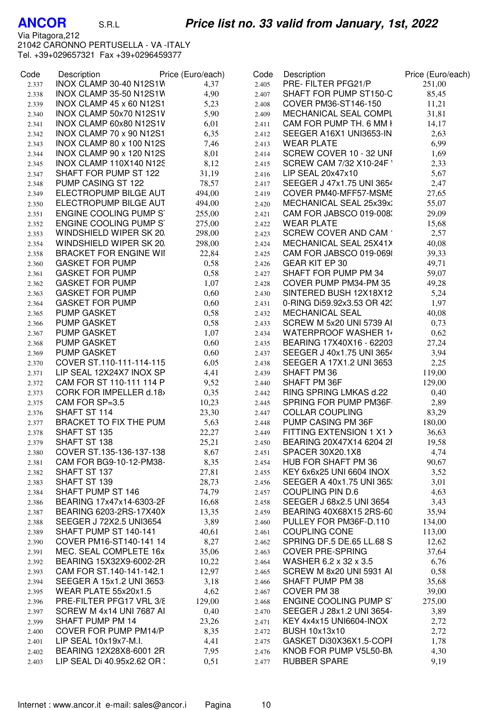| Code  | Description                     | Price (Euro/each) | Code  | Description                 | Price (Euro/each) |
|-------|---------------------------------|-------------------|-------|-----------------------------|-------------------|
| 2.337 | INOX CLAMP 30-40 N12S1W         | 4,37              | 2.405 | PRE- FILTER PFG21/P         | 251,00            |
| 2.338 | <b>INOX CLAMP 35-50 N12S1W</b>  | 4,90              | 2.407 | SHAFT FOR PUMP ST150-C      | 85,45             |
| 2.339 | INOX CLAMP 45 x 60 N12S1        | 5,23              | 2.408 | COVER PM36-ST146-150        | 11,21             |
| 2.340 | INOX CLAMP 50x70 N12S1V         | 5,90              | 2.409 | MECHANICAL SEAL COMPL       | 31,81             |
| 2.341 | INOX CLAMP 60x80 N12S1V         | 6,01              | 2.411 | CAM FOR PUMP TH. 6 MM I     | 14,17             |
| 2.342 | <b>INOX CLAMP 70 x 90 N12S1</b> | 6,35              | 2.412 | SEEGER A16X1 UNI3653-IN     | 2,63              |
| 2.343 | <b>INOX CLAMP 80 x 100 N12S</b> | 7,46              | 2.413 | <b>WEAR PLATE</b>           | 6,99              |
| 2.344 | <b>INOX CLAMP 90 x 120 N12S</b> | 8,01              | 2.414 | SCREW COVER 10 - 32 UNI     | 1,69              |
| 2.345 | <b>INOX CLAMP 110X140 N12S</b>  | 8,12              | 2.415 | SCREW CAM 7/32 X10-24F '    | 2,33              |
| 2.347 | SHAFT FOR PUMP ST 122           | 31,19             | 2.416 | LIP SEAL 20x47x10           | 5,67              |
| 2.348 | PUMP CASING ST 122              | 78,57             | 2.417 | SEEGER J 47x1.75 UNI 3654   | 2,47              |
| 2.349 | ELECTROPUMP BILGE AUT           | 494,00            | 2.419 | COVER PM40-MFF57-MSM5       | 27,65             |
| 2.350 | ELECTROPUMP BILGE AUT           | 494,00            | 2.420 | MECHANICAL SEAL 25x39x:     | 55,07             |
| 2.351 | ENGINE COOLING PUMP ST          | 255,00            | 2.421 | CAM FOR JABSCO 019-008      | 29,09             |
| 2.352 | ENGINE COOLING PUMP ST          | 275,00            | 2.422 | <b>WEAR PLATE</b>           | 15,68             |
| 2.353 | WINDSHIELD WIPER SK 20.         | 298,00            | 2.423 | SCREW COVER AND CAM 1       | 2,57              |
| 2.354 | WINDSHIELD WIPER SK 20.         | 298,00            | 2.424 | MECHANICAL SEAL 25X41X      | 40,08             |
| 2.358 | <b>BRACKET FOR ENGINE WII</b>   | 22,84             | 2.425 | CAM FOR JABSCO 019-069      | 39,33             |
| 2.360 | <b>GASKET FOR PUMP</b>          | 0,58              | 2.426 | GEAR KIT EP 30              | 49,71             |
| 2.361 | <b>GASKET FOR PUMP</b>          | 0,58              | 2.427 | SHAFT FOR PUMP PM 34        | 59,07             |
| 2.362 | <b>GASKET FOR PUMP</b>          | 1,07              | 2.428 | COVER PUMP PM34-PM 35       | 49,28             |
| 2.363 | <b>GASKET FOR PUMP</b>          | 0,60              | 2.430 | SINTERED BUSH 12X18X12      | 5,24              |
| 2.364 | <b>GASKET FOR PUMP</b>          | 0,60              | 2.431 | 0-RING Di59.92x3.53 OR 423  | 1,97              |
| 2.365 | <b>PUMP GASKET</b>              | 0,58              | 2.432 | <b>MECHANICAL SEAL</b>      | 40,08             |
| 2.366 | PUMP GASKET                     | 0,58              | 2.433 | SCREW M 5x20 UNI 5739 AI    | 0,73              |
| 2.367 | <b>PUMP GASKET</b>              | 1,07              | 2.434 | <b>WATERPROOF WASHER 14</b> | 0,62              |
| 2.368 | <b>PUMP GASKET</b>              | 0,60              | 2.435 | BEARING 17X40X16 - 62203    | 27,24             |
| 2.369 | <b>PUMP GASKET</b>              | 0,60              | 2.437 | SEEGER J 40x1.75 UNI 3654   | 3,94              |
| 2.370 | COVER ST.110-111-114-115        | 6,05              | 2.438 | SEEGER A 17X1.2 UNI 3653    | 2,25              |
| 2.371 | LIP SEAL 12X24X7 INOX SP        | 4,41              | 2.439 | SHAFT PM 36                 | 119,00            |
| 2.372 | CAM FOR ST 110-111 114 P        | 9,52              | 2.440 | SHAFT PM 36F                | 129,00            |
| 2.373 | CORK FOR IMPELLER d.18>         | 0,35              | 2.442 | RING SPRING LMKAS d.22      | 0,40              |
| 2.375 | CAM FOR SP=3.5                  | 10,23             | 2.445 | SPRING FOR PUMP PM36F       | 2,89              |
| 2.376 | SHAFT ST 114                    | 23,30             | 2.447 | <b>COLLAR COUPLING</b>      | 83,29             |
| 2.377 | BRACKET TO FIX THE PUM          | 5,63              | 2.448 | PUMP CASING PM 36F          | 180,00            |
| 2.378 | SHAFT ST 135                    | 22,27             | 2.449 | FITTING EXTENSION 1 X1 >    | 36,63             |
| 2.379 | SHAFT ST 138                    | 25,21             | 2.450 | BEARING 20X47X14 6204 2I    | 19,58             |
| 2.380 | COVER ST.135-136-137-138        | 8,67              | 2.451 | SPACER 30X20.1X8            | 4,74              |
| 2.381 | CAM FOR BG9-10-12-PM38-         | 8,35              | 2.454 | HUB FOR SHAFT PM 36         | 90,67             |
| 2.382 | SHAFT ST 137                    | 27,81             | 2.455 | KEY 6x6x25 UNI 6604 INOX    | 3,52              |
| 2.383 | SHAFT ST 139                    | 28,73             | 2.456 | SEEGER A 40x1.75 UNI 365    | 3,01              |
| 2.384 | SHAFT PUMP ST 146               | 74,79             | 2.457 | <b>COUPLING PIN D.6</b>     | 4,63              |
| 2.386 | BEARING 17x47x14-6303-2F        | 16,68             | 2.458 | SEEGER J 68x2.5 UNI 3654    | 3,43              |
| 2.387 | BEARING 6203-2RS-17X40X         | 13,35             | 2.459 | BEARING 40X68X15 2RS-60     | 35,94             |
| 2.388 | SEEGER J 72X2.5 UNI3654         | 3,89              | 2.460 | PULLEY FOR PM36F-D.110      | 134,00            |
| 2.389 | SHAFT PUMP ST 140-141           | 40,61             | 2.461 | <b>COUPLING CONE</b>        | 113,00            |
| 2.390 | COVER PM16-ST140-141 14         | 8,27              | 2.462 | SPRING DF.5 DE.65 LL.68 S   | 12,62             |
| 2.391 | MEC. SEAL COMPLETE 16x          | 35,06             | 2.463 | <b>COVER PRE-SPRING</b>     | 37,64             |
| 2.392 | BEARING 15X32X9-6002-2R         | 10,22             | 2.464 | WASHER 6.2 x 32 x 3.5       | 6,76              |
| 2.393 | CAM FOR ST.140-141-142.1        | 12,97             | 2.465 | SCREW M 8x20 UNI 5931 AI    | 0,58              |
| 2.394 | SEEGER A 15x1.2 UNI 3653        | 3,18              | 2.466 | SHAFT PUMP PM 38            | 35,68             |
| 2.395 | WEAR PLATE 55x20x1.5            | 4,62              | 2.467 | COVER PM 38                 | 39,00             |
| 2.396 | PRE-FILTER PFG17 VRL 3/8        | 129,00            | 2.468 | ENGINE COOLING PUMP ST      | 275,00            |
| 2.397 | SCREW M 4x14 UNI 7687 AI        | 0,40              | 2.470 | SEEGER J 28x1.2 UNI 3654-   | 3,89              |
| 2.399 | SHAFT PUMP PM 14                | 23,26             | 2.471 | KEY 4x4x15 UNI6604-INOX     | 2,72              |
| 2.400 | COVER FOR PUMP PM14/P           | 8,35              | 2.472 | <b>BUSH 10x13x10</b>        | 2,72              |
| 2.401 | LIP SEAL 10x19x7-M.I.           | 4,41              | 2.475 | GASKET DI30X36X1.5-COPI     | 1,78              |
| 2.402 | BEARING 12X28X8-6001 2R         | 7,95              | 2.476 | KNOB FOR PUMP V5L50-BN      | 4,30              |
| 2.403 | LIP SEAL Di 40.95x2.62 OR :     | 0,51              | 2.477 | <b>RUBBER SPARE</b>         | 9,19              |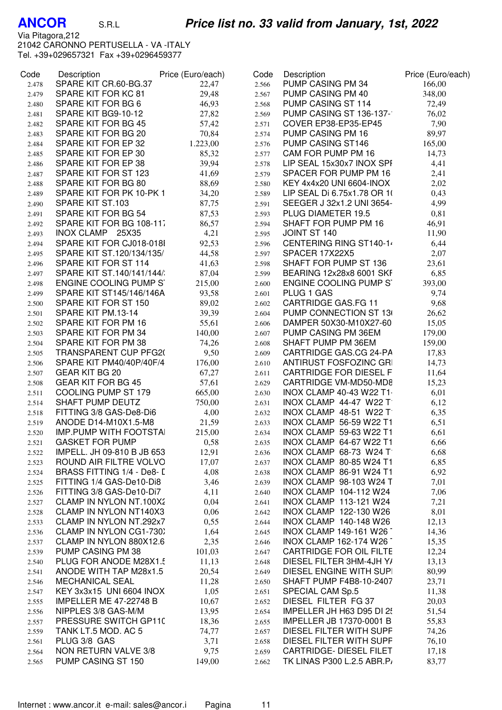Via Pitagora,212 21042 CARONNO PERTUSELLA - VA -ITALY Tel. +39+029657321 Fax +39+0296459377

| Code           | Description                                        | Price (Euro/each) | Code           | Description                                           | Price (Euro/each) |
|----------------|----------------------------------------------------|-------------------|----------------|-------------------------------------------------------|-------------------|
| 2.478          | SPARE KIT CR.60-BG.37                              | 22,47             | 2.566          | PUMP CASING PM 34                                     | 166,00            |
| 2.479          | SPARE KIT FOR KC 81                                | 29,48             | 2.567          | PUMP CASING PM 40                                     | 348,00            |
| 2.480          | SPARE KIT FOR BG 6                                 | 46,93             | 2.568          | PUMP CASING ST 114                                    | 72,49             |
| 2.481          | SPARE KIT BG9-10-12                                | 27,82             | 2.569          | PUMP CASING ST 136-137-                               | 76,02             |
| 2.482          | SPARE KIT FOR BG 45                                | 57,42             | 2.571          | COVER EP38-EP35-EP45                                  | 7,90              |
| 2.483          | SPARE KIT FOR BG 20                                | 70,84             | 2.574          | PUMP CASING PM 16                                     | 89,97             |
| 2.484          | SPARE KIT FOR EP 32                                | 1.223,00          | 2.576          | PUMP CASING ST146                                     | 165,00            |
| 2.485          | SPARE KIT FOR EP 30                                | 85,32             | 2.577          | CAM FOR PUMP PM 16                                    | 14,73             |
| 2.486          | SPARE KIT FOR EP 38                                | 39,94             | 2.578          | LIP SEAL 15x30x7 INOX SPI                             | 4,41              |
| 2.487          | SPARE KIT FOR ST 123                               | 41,69             | 2.579          | SPACER FOR PUMP PM 16                                 | 2,41              |
| 2.488          | SPARE KIT FOR BG 80                                | 88,69             | 2.580          | KEY 4x4x20 UNI 6604-INOX                              | 2,02              |
| 2.489          | SPARE KIT FOR PK 10-PK 1                           | 34,20             | 2.589          | LIP SEAL Di 6.75x1.78 OR 10                           | 0,43              |
| 2.490          | SPARE KIT ST.103                                   | 87,75             | 2.591          | SEEGER J 32x1.2 UNI 3654-                             | 4,99              |
| 2.491          | SPARE KIT FOR BG 54                                | 87,53             | 2.593          | PLUG DIAMETER 19.5                                    | 0,81              |
| 2.492          | SPARE KIT FOR BG 108-117                           | 86,57             | 2.594          | SHAFT FOR PUMP PM 16                                  | 46,91             |
| 2.493          | INOX CLAMP 25X35                                   | 4,21              | 2.595          | JOINT ST 140                                          | 11,90             |
| 2.494          | SPARE KIT FOR CJ018-018I                           | 92,53             | 2.596          | CENTERING RING ST140-14                               | 6,44              |
| 2.495          | SPARE KIT ST.120/134/135/                          | 44,58             | 2.597          | SPACER 17X22X5                                        | 2,07              |
| 2.496          | SPARE KIT FOR ST 114                               | 41,63             | 2.598          | SHAFT FOR PUMP ST 136                                 | 23,61             |
| 2.497          | SPARE KIT ST.140/141/144/                          | 87,04             | 2.599          | BEARING 12x28x8 6001 SKF                              | 6,85              |
| 2.498          | <b>ENGINE COOLING PUMP ST</b>                      | 215,00            | 2.600          | ENGINE COOLING PUMP ST                                | 393,00            |
| 2.499          | SPARE KIT ST145/146/146A                           | 93,58             | 2.601          | PLUG 1 GAS                                            | 9,74              |
| 2.500          | SPARE KIT FOR ST 150                               | 89,02             | 2.602          | <b>CARTRIDGE GAS.FG 11</b>                            | 9,68              |
| 2.501          | SPARE KIT PM.13-14                                 | 39,39             | 2.604          | PUMP CONNECTION ST 13                                 | 26,62             |
| 2.502          | SPARE KIT FOR PM 16                                | 55,61             | 2.606          | DAMPER 50X30-M10X27-60                                | 15,05             |
| 2.503          | SPARE KIT FOR PM 34                                | 140,00            | 2.607          | PUMP CASING PM 36EM                                   | 179,00            |
| 2.504          | SPARE KIT FOR PM 38                                | 74,26             | 2.608          | SHAFT PUMP PM 36EM                                    | 159,00            |
| 2.505          | TRANSPARENT CUP PFG2(                              | 9,50              | 2.609          | CARTRIDGE GAS.CG 24-PA                                | 17,83             |
| 2.506          | SPARE KIT PM40/40P/40F/4                           | 176,00            | 2.610          | ANTIRUST FOSFOZINC GRI                                | 14,73             |
| 2.507          | <b>GEAR KIT BG 20</b>                              | 67,27             | 2.611          | CARTRIDGE FOR DIESEL F                                | 11,64             |
| 2.508          | <b>GEAR KIT FOR BG 45</b>                          | 57,61             | 2.629          | CARTRIDGE VM-MD50-MD8                                 | 15,23             |
| 2.511          | COOLING PUMP ST 179                                | 665,00            | 2.630          | INOX CLAMP 40-43 W22 T1                               | 6,01              |
| 2.514          | SHAFT PUMP DEUTZ                                   | 750,00            | 2.631          | INOX CLAMP 44-47 W22 T                                | 6,12              |
| 2.518          | FITTING 3/8 GAS-De8-Di6                            | 4,00              | 2.632          | INOX CLAMP 48-51 W22 T                                | 6,35              |
| 2.519          | ANODE D14-M10X1.5-M8                               | 21,59             | 2.633          | INOX CLAMP 56-59 W22 T1                               | 6,51              |
| 2.520          | <b>IMP.PUMP WITH FOOTSTAI</b>                      | 215,00            | 2.634          | INOX CLAMP 59-63 W22 T1                               | 6,61              |
| 2.521          | <b>GASKET FOR PUMP</b>                             | 0,58              | 2.635          | INOX CLAMP 64-67 W22 T1                               | 6,66              |
| 2.522          | IMPELL. JH 09-810 B JB 653                         | 12,91             | 2.636          | INOX CLAMP 68-73 W24 T                                | 6,68              |
| 2.523          | ROUND AIR FILTRE VOLVO                             | 17,07             | 2.637          | INOX CLAMP 80-85 W24 T1                               | 6,85              |
| 2.524          | BRASS FITTING 1/4 - De8- L                         | 4,08              | 2.638          | INOX CLAMP 86-91 W24 T1                               | 6,92              |
| 2.525          | FITTING 1/4 GAS-De10-Di8                           | 3,46              | 2.639          | INOX CLAMP 98-103 W24 T                               | 7,01              |
| 2.526          | FITTING 3/8 GAS-De10-Di7                           | 4,11              | 2.640          | INOX CLAMP 104-112 W24                                | 7,06              |
| 2.527          | CLAMP IN NYLON NT.100X2                            | 0,04              | 2.641          | INOX CLAMP 113-121 W24                                | 7,21              |
| 2.528          | CLAMP IN NYLON NT140X3                             | 0,06              | 2.642          | INOX CLAMP 122-130 W26                                | 8,01              |
| 2.533          | CLAMP IN NYLON NT.292x7                            | 0,55              | 2.644          | INOX CLAMP 140-148 W26                                | 12,13             |
| 2.536          | CLAMP IN NYLON CG1-730)                            | 1,64              | 2.645          | INOX CLAMP 149-161 W26                                | 14,36             |
| 2.537          | CLAMP IN NYLON 880X12.6                            | 2,35              | 2.646          | INOX CLAMP 162-174 W26                                | 15,35             |
| 2.539          | PUMP CASING PM 38                                  | 101,03            | 2.647          | <b>CARTRIDGE FOR OIL FILTE</b>                        | 12,24             |
| 2.540          | PLUG FOR ANODE M28X1.5                             | 11,13             | 2.648          | DIESEL FILTER 3HM-4JH Y/                              | 13,13             |
| 2.541          | ANODE WITH TAP M28x1.5                             | 20,54             | 2.649          | DIESEL ENGINE WITH SUPI                               | 80,99             |
| 2.546          | <b>MECHANICAL SEAL</b><br>KEY 3x3x15 UNI 6604 INOX | 11,28             | 2.650          | <b>SHAFT PUMP F4B8-10-2407</b>                        | 23,71             |
| 2.547          | IMPELLER ME 47-22748 B                             | 1,05              | 2.651          | SPECIAL CAM Sp.5<br>DIESEL FILTER FG 37               | 11,38             |
| 2.555          |                                                    | 10,67             | 2.652          |                                                       | 20,03             |
| 2.556          | NIPPLES 3/8 GAS-M/M<br>PRESSURE SWITCH GP110       | 13,95             | 2.654          | IMPELLER JH H63 D95 DI 25<br>IMPELLER JB 17370-0001 B | 51,54             |
| 2.557          | TANK LT.5 MOD. AC 5                                | 18,36             | 2.655          | DIESEL FILTER WITH SUPF                               | 55,83             |
| 2.559          | PLUG 3/8 GAS                                       | 74,77<br>3,71     | 2.657          | DIESEL FILTER WITH SUPF                               | 74,26<br>76,10    |
| 2.561<br>2.564 | NON RETURN VALVE 3/8                               | 9,75              | 2.658<br>2.659 | CARTRIDGE- DIESEL FILET                               | 17,18             |
| 2.565          | PUMP CASING ST 150                                 | 149,00            | 2.662          | TK LINAS P300 L.2.5 ABR.P.                            | 83,77             |
|                |                                                    |                   |                |                                                       |                   |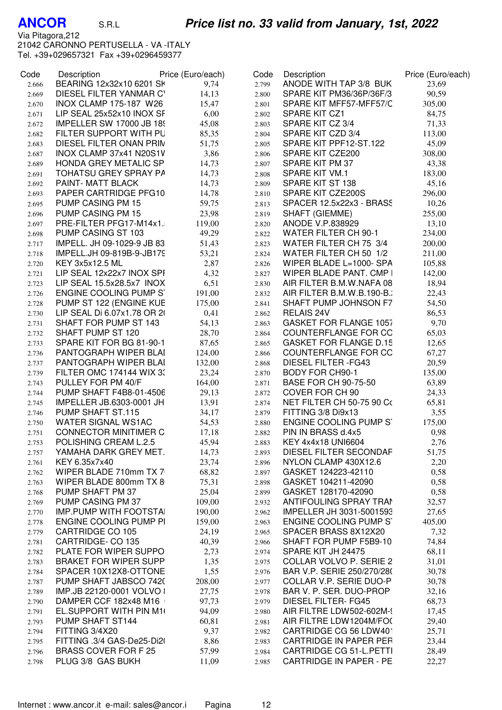| Code  | Description                     | Price (Euro/each) | Code  | Description                    | Price (Euro/each) |
|-------|---------------------------------|-------------------|-------|--------------------------------|-------------------|
| 2.666 | BEARING 12x32x10 6201 SK        | 9,74              | 2.799 | ANODE WITH TAP 3/8 BUK         | 23,69             |
| 2.669 | DIESEL FILTER YANMAR C'         | 14,13             | 2.800 | SPARE KIT PM36/36P/36F/3       | 90,59             |
| 2.670 | INOX CLAMP 175-187 W26          | 15,47             | 2.801 | SPARE KIT MFF57-MFF57/C        | 305,00            |
| 2.671 | LIP SEAL 25x52x10 INOX SF       | 6,00              | 2.802 | SPARE KIT CZ1                  | 84,75             |
| 2.672 | <b>IMPELLER SW 17000 JB 189</b> | 45,08             | 2.803 | SPARE KIT CZ 3/4               | 71,33             |
| 2.682 | FILTER SUPPORT WITH PU          | 85,35             | 2.804 | SPARE KIT CZD 3/4              | 113,00            |
| 2.683 | DIESEL FILTER ONAN PRIN         | 51,75             | 2.805 | SPARE KIT PPF12-ST.122         | 45,09             |
| 2.687 | INOX CLAMP 37x41 N20S1V         | 3,86              | 2.806 | SPARE KIT CZE200               | 308,00            |
| 2.689 | HONDA GREY METALIC SP           | 14,73             | 2.807 | SPARE KIT PM 37                | 43,38             |
| 2.691 | TOHATSU GREY SPRAY PA           | 14,73             | 2.808 | SPARE KIT VM.1                 | 183,00            |
| 2.692 | PAINT- MATT BLACK               | 14,73             | 2.809 | SPARE KIT ST 138               | 45,16             |
| 2.693 | PAPER CARTRIDGE PFG10           | 14,78             | 2.810 | SPARE KIT CZE200S              | 296,00            |
| 2.695 | PUMP CASING PM 15               | 59,75             | 2.813 | SPACER 12.5x22x3 - BRASS       | 10,26             |
| 2.696 | PUMP CASING PM 15               | 23,98             | 2.819 | SHAFT (GIEMME)                 | 255,00            |
| 2.697 | PRE-FILTER PFG17-M14x1.         | 119,00            | 2.820 | ANODE V.P.838929               | 13,10             |
| 2.698 | PUMP CASING ST 103              | 49,29             | 2.822 | WATER FILTER CH 90-1           | 234,00            |
| 2.717 | IMPELL. JH 09-1029-9 JB 83      | 51,43             | 2.823 | WATER FILTER CH 75 3/4         | 200,00            |
| 2.718 | IMPELL.JH 09-819B-9-JB179       | 53,21             | 2.824 | WATER FILTER CH 50 1/2         | 211,00            |
| 2.720 | KEY 3x5x12.5 ML                 | 2,87              | 2.826 | WIPER BLADE L=1000-SPA         | 105,88            |
| 2.721 | LIP SEAL 12x22x7 INOX SPI       | 4,32              | 2.827 | WIPER BLADE PANT. CMP I        | 142,00            |
| 2.723 | LIP SEAL 15.5x28.5x7 INOX       | 6,51              | 2.830 | AIR FILTER B.M.W.NAFA 08       | 18,94             |
| 2.726 | ENGINE COOLING PUMP ST          | 191,00            | 2.832 | AIR FILTER B.M.W.B.190-B.      | 22,43             |
| 2.728 | PUMP ST 122 (ENGINE KUE         | 175,00            | 2.841 | SHAFT PUMP JOHNSON F7          | 54,50             |
| 2.730 | LIP SEAL Di 6.07x1.78 OR 20     | 0,41              | 2.862 | RELAIS 24V                     | 86,53             |
| 2.731 | SHAFT FOR PUMP ST 143           | 54,13             | 2.863 | <b>GASKET FOR FLANGE 1057</b>  | 9,70              |
| 2.732 | SHAFT PUMP ST 120               | 28,70             | 2.864 | COUNTERFLANGE FOR CC           | 65,03             |
| 2.733 | SPARE KIT FOR BG 81-90-1        | 87,65             | 2.865 | <b>GASKET FOR FLANGE D.15</b>  | 12,65             |
| 2.736 | PANTOGRAPH WIPER BLAI           | 124,00            | 2.866 | COUNTERFLANGE FOR CC           | 67,27             |
| 2.737 | PANTOGRAPH WIPER BLAI           | 132,00            | 2.868 | <b>DIESEL FILTER - FG43</b>    | 20,59             |
| 2.739 | FILTER OMC 174144 WIX 3.        | 23,24             | 2.870 | <b>BODY FOR CH90-1</b>         | 135,00            |
| 2.743 | PULLEY FOR PM 40/F              | 164,00            | 2.871 | <b>BASE FOR CH 90-75-50</b>    | 63,89             |
| 2.744 | PUMP SHAFT F4B8-01-4506         | 29,13             | 2.872 | COVER FOR CH 90                | 24,33             |
| 2.745 | IMPELLER JB.6303-0001 JH        | 13,91             | 2.874 | NET FILTER CH 50-75 90 Co      | 65,81             |
| 2.746 | PUMP SHAFT ST.115               | 34,17             | 2.879 | FITTING 3/8 Di9x13             | 3,55              |
| 2.750 | WATER SIGNAL WS1AC              | 54,53             | 2.880 | ENGINE COOLING PUMP S'         | 175,00            |
| 2.751 | <b>CONNECTOR MINITIMER C</b>    | 17,18             | 2.882 | PIN IN BRASS d.4x5             | 0,98              |
| 2.753 | POLISHING CREAM L.2.5           | 45,94             | 2.883 | KEY 4x4x18 UNI6604             | 2,76              |
| 2.757 | YAMAHA DARK GREY MET.           | 14,73             | 2.893 | DIESEL FILTER SECONDAF         | 51,75             |
| 2.761 | KEY 6.35x7x40                   | 23,74             | 2.896 | NYLON CLAMP 430X12.6           | 2,20              |
| 2.762 | WIPER BLADE 710mm TX 7          | 68,82             | 2.897 | GASKET 124223-42110            | 0,58              |
| 2.763 | WIPER BLADE 800mm TX 8          | 75,31             | 2.898 | GASKET 104211-42090            | 0,58              |
| 2.768 | PUMP SHAFT PM 37                | 25,04             | 2.899 | GASKET 128170-42090            | 0,58              |
| 2.769 | PUMP CASING PM 37               | 109,00            | 2.932 | ANTIFOULING SPRAY TRAN         | 32,57             |
| 2.770 | <b>IMP.PUMP WITH FOOTSTAI</b>   | 190,00            | 2.962 | IMPELLER JH 3031-5001593       | 27,65             |
| 2.778 | ENGINE COOLING PUMP PI          | 159,00            | 2.963 | ENGINE COOLING PUMP ST         | 405,00            |
| 2.779 | <b>CARTRIDGE CO 105</b>         | 24,19             | 2.965 | SPACER BRASS 8X12X20           | 7,32              |
| 2.781 | CARTRIDGE- CO 135               | 40,39             | 2.966 | SHAFT FOR PUMP F5B9-10         | 74,84             |
| 2.782 | PLATE FOR WIPER SUPPO           | 2,73              | 2.974 | SPARE KIT JH 24475             | 68,11             |
| 2.783 | <b>BRAKET FOR WIPER SUPP</b>    | 1,35              | 2.975 | COLLAR VOLVO P. SERIE 2        | 31,01             |
| 2.784 | SPACER 10X12X8-OTTONE           | 1,55              | 2.976 | BAR V.P. SERIE 250/270/280     | 30,78             |
| 2.787 | PUMP SHAFT JABSCO 7420          | 208,00            | 2.977 | COLLAR V.P. SERIE DUO-P        | 30,78             |
| 2.789 | IMP.JB 22120-0001 VOLVO &       | 27,75             | 2.978 | BAR V. P. SER. DUO-PROP        | 32,16             |
| 2.790 | DAMPER CCF 182x48 M16           | 97,73             | 2.979 | <b>DIESEL FILTER- FG45</b>     | 68,73             |
| 2.791 | EL.SUPPORT WITH PIN M10         | 94,09             | 2.980 | AIR FILTRE LDW502-602M-9       | 17,45             |
| 2.793 | PUMP SHAFT ST144                | 60,81             | 2.981 | AIR FILTRE LDW1204M/FO(        | 29,40             |
| 2.794 | FITTING 3/4X20                  | 9,37              | 2.982 | CARTRIDGE CG 56 LDW401         | 25,71             |
| 2.795 | FITTING .3/4 GAS-De25-Di2(      | 8,86              | 2.983 | <b>CARTRIDGE IN PAPER PEF</b>  | 23,44             |
| 2.796 | <b>BRASS COVER FOR F25</b>      | 57,99             | 2.984 | <b>CARTRIDGE CG 51-L.PETTI</b> | 28,49             |
| 2.798 | PLUG 3/8 GAS BUKH               | 11,09             | 2.985 | CARTRIDGE IN PAPER - PE        | 22,27             |
|       |                                 |                   |       |                                |                   |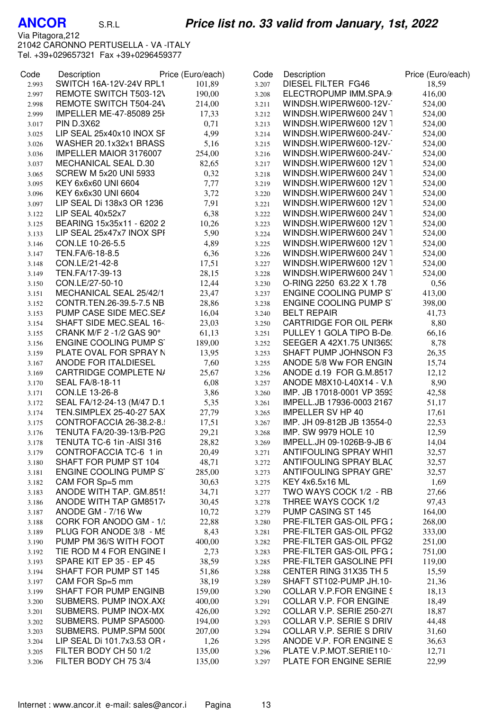| Code  | Description                     | Price (Euro/each) | Code  | Description                    | Price (Euro/each) |
|-------|---------------------------------|-------------------|-------|--------------------------------|-------------------|
| 2.993 | SWITCH 16A-12V-24V RPL1         | 101,89            | 3.207 | DIESEL FILTER FG46             | 18,59             |
| 2.997 | REMOTE SWITCH T503-12\          | 190,00            | 3.208 | ELECTROPUMP IMM.SPA.9          | 416,00            |
| 2.998 | REMOTE SWITCH T504-24\          | 214,00            | 3.211 | WINDSH.WIPERW600-12V-          | 524,00            |
| 2.999 | IMPELLER ME-47-85089 25H        | 17,33             | 3.212 | WINDSH.WIPERW600 24V 1         | 524,00            |
| 3.017 | <b>PIN D.3X62</b>               | 0,71              | 3.213 | WINDSH.WIPERW600 12V 1         | 524,00            |
| 3.025 | LIP SEAL 25x40x10 INOX SF       | 4,99              | 3.214 | WINDSH.WIPERW600-24V-          | 524,00            |
| 3.026 | WASHER 20.1x32x1 BRASS          | 5,16              | 3.215 | WINDSH.WIPERW600-12V-          | 524,00            |
| 3.036 | IMPELLER MAIOR 3176007          | 254,00            | 3.216 | WINDSH.WIPERW600-24V-          | 524,00            |
| 3.037 | MECHANICAL SEAL D.30            | 82,65             | 3.217 | WINDSH.WIPERW600 12V 1         | 524,00            |
| 3.065 | <b>SCREW M 5x20 UNI 5933</b>    | 0,32              | 3.218 | WINDSH.WIPERW600 24V 1         | 524,00            |
| 3.095 | KEY 6x6x60 UNI 6604             | 7,77              | 3.219 | WINDSH.WIPERW600 12V 1         | 524,00            |
| 3.096 | KEY 6x6x30 UNI 6604             | 3,72              | 3.220 | WINDSH.WIPERW600 24V 1         | 524,00            |
| 3.097 | LIP SEAL Di 138x3 OR 1236       | 7,91              | 3.221 | WINDSH.WIPERW600 12V 1         | 524,00            |
| 3.122 | LIP SEAL 40x52x7                | 6,38              | 3.222 | WINDSH.WIPERW600 24V 1         | 524,00            |
| 3.125 | BEARING 15x35x11 - 6202 2       | 10,26             | 3.223 | WINDSH.WIPERW600 12V 1         | 524,00            |
| 3.133 | LIP SEAL 25x47x7 INOX SPI       | 5,90              | 3.224 | WINDSH.WIPERW600 24V 1         | 524,00            |
| 3.146 | CON.LE 10-26-5.5                | 4,89              | 3.225 | WINDSH.WIPERW600 12V 1         | 524,00            |
| 3.147 | TEN.FA/6-18-8.5                 | 6,36              | 3.226 | WINDSH.WIPERW600 24V 1         | 524,00            |
| 3.148 | CON.LE/21-42-8                  | 17,51             | 3.227 | WINDSH.WIPERW600 12V 1         | 524,00            |
| 3.149 | TEN.FA/17-39-13                 | 28,15             | 3.228 | WINDSH.WIPERW600 24V 1         | 524,00            |
| 3.150 | CON.LE/27-50-10                 | 12,44             | 3.230 | O-RING 2250 63.22 X 1.78       | 0,56              |
| 3.151 | MECHANICAL SEAL 25/42/1         | 23,47             | 3.237 | ENGINE COOLING PUMP ST         | 413,00            |
| 3.152 | CONTR.TEN.26-39.5-7.5 NB        | 28,86             | 3.238 | ENGINE COOLING PUMP ST         | 398,00            |
| 3.153 | PUMP CASE SIDE MEC.SEA          | 16,04             | 3.240 | <b>BELT REPAIR</b>             | 41,73             |
| 3.154 | SHAFT SIDE MEC.SEAL 16-         | 23,03             | 3.250 | CARTRIDGE FOR OIL PERK         | 8,80              |
| 3.155 | CRANK M/F 2 -1/2 GAS 90°        | 61,13             | 3.251 | PULLEY 1 GOLA TIPO B-De.       | 66,16             |
| 3.156 | ENGINE COOLING PUMP ST          | 189,00            | 3.252 | SEEGER A 42X1.75 UNI365.       | 8,78              |
| 3.159 | PLATE OVAL FOR SPRAY N          | 13,95             | 3.253 | SHAFT PUMP JOHNSON F3          | 26,35             |
| 3.167 | ANODE FOR ITALDIESEL            | 7,60              | 3.255 | ANODE 5/8 Ww FOR ENGIN         | 15,74             |
| 3.169 | CARTRIDGE COMPLETE N/           | 25,67             | 3.256 | ANODE d.19 FOR G.M.8517        | 12,12             |
| 3.170 | <b>SEAL FA/8-18-11</b>          | 6,08              | 3.257 | ANODE M8X10-L40X14 - V.N       | 8,90              |
| 3.171 | CON.LE 13-26-8                  | 3,86              | 3.260 | IMP. JB 17018-0001 VP 3593     | 42,58             |
| 3.172 | SEAL FA/12-24-13 (M/47 D.1      | 5,35              | 3.261 | IMPELL.JB 17936-0003 2167      | 51,17             |
| 3.174 | <b>TEN.SIMPLEX 25-40-27 5AX</b> | 27,79             | 3.265 | <b>IMPELLER SV HP 40</b>       | 17,61             |
| 3.175 | CONTROFACCIA 26-38.2-8.         | 17,51             | 3.267 | IMP. JH 09-812B JB 13554-0     | 22,53             |
| 3.176 | TENUTA FA/20-39-13/B-P2G        | 29,21             | 3.268 | IMP. SW 9979 HOLE 10           | 12,59             |
| 3.178 | TENUTA TC-6 1in -AISI 316       | 28,82             | 3.269 | IMPELL.JH 09-1026B-9-JB 6      | 14,04             |
| 3.179 | CONTROFACCIA TC-6 1 in          | 20,49             | 3.271 | ANTIFOULING SPRAY WHIT         | 32,57             |
| 3.180 | SHAFT FOR PUMP ST 104           | 48,71             | 3.272 | ANTIFOULING SPRAY BLAC         | 32,57             |
| 3.181 | ENGINE COOLING PUMP ST          | 285,00            | 3.273 | <b>ANTIFOULING SPRAY GREY</b>  | 32,57             |
| 3.182 | CAM FOR Sp=5 mm                 | 30,63             | 3.275 | KEY 4x6.5x16 ML                | 1,69              |
| 3.183 | ANODE WITH TAP. GM.851!         | 34,71             | 3.277 | TWO WAYS COCK 1/2 - RB         | 27,66             |
| 3.186 | ANODE WITH TAP GM85174          | 30,45             | 3.278 | THREE WAYS COCK 1/2            | 97,43             |
| 3.187 | ANODE GM - 7/16 Ww              | 10,72             | 3.279 | PUMP CASING ST 145             | 164,00            |
| 3.188 | CORK FOR ANODO GM - 1/:         | 22,88             | 3.280 | PRE-FILTER GAS-OIL PFG:        | 268,00            |
| 3.189 | PLUG FOR ANODE 3/8 - M5         | 8,43              | 3.281 | PRE-FILTER GAS-OIL PFG2        | 333,00            |
| 3.190 | PUMP PM 36/S WITH FOOT          | 400,00            | 3.282 | PRE-FILTER GAS-OIL PFG2        | 251,00            |
| 3.192 | TIE ROD M 4 FOR ENGINE I        | 2,73              | 3.283 | PRE-FILTER GAS-OIL PFG:        | 751,00            |
| 3.193 | SPARE KIT EP 35 - EP 45         | 38,59             | 3.285 | PRE-FILTER GASOLINE PFI        | 119,00            |
| 3.194 | SHAFT FOR PUMP ST 145           | 51,86             | 3.288 | CENTER RING 31X35 TH 5         | 15,59             |
| 3.197 | CAM FOR Sp=5 mm                 | 38,19             | 3.289 | SHAFT ST102-PUMP JH.10-        | 21,36             |
| 3.199 | SHAFT FOR PUMP ENGINB           | 159,00            | 3.290 | <b>COLLAR V.P.FOR ENGINE S</b> | 18,13             |
| 3.200 | SUBMERS. PUMP INOX.AX{          | 400,00            | 3.291 | COLLAR V.P. FOR ENGINE         | 18,49             |
| 3.201 | SUBMERS. PUMP INOX-MX           | 426,00            | 3.292 | COLLAR V.P. SERIE 250-270      | 18,87             |
| 3.202 | SUBMERS. PUMP SPA5000           | 194,00            | 3.293 | COLLAR V.P. SERIE S DRIV       | 44,48             |
| 3.203 | SUBMERS. PUMP.SPM 5000          | 207,00            | 3.294 | COLLAR V.P. SERIE S DRIV       | 31,60             |
| 3.204 | LIP SEAL Di 101.7x3.53 OR 4     | 1,26              | 3.295 | ANODE V.P. FOR ENGINE S        | 36,63             |
| 3.205 | FILTER BODY CH 50 1/2           | 135,00            | 3.296 | PLATE V.P.MOT.SERIE110-        | 12,71             |
| 3.206 | FILTER BODY CH 75 3/4           | 135,00            | 3.297 | PLATE FOR ENGINE SERIE         | 22,99             |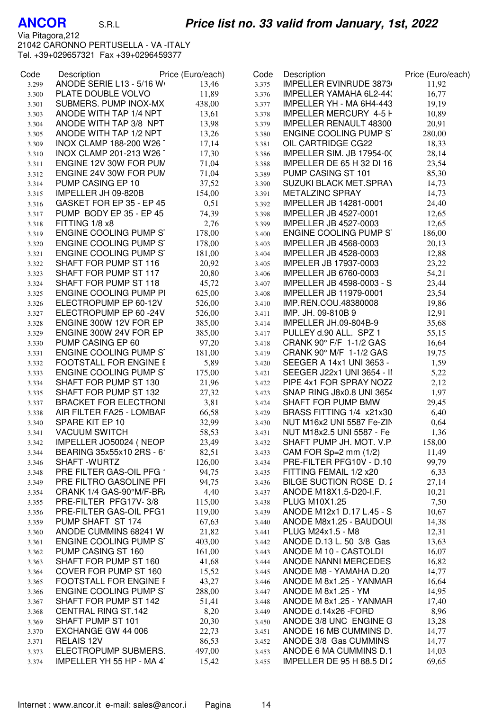| Code  | Description                   | Price (Euro/each) | Code  | Description                       | Price (Euro/each) |
|-------|-------------------------------|-------------------|-------|-----------------------------------|-------------------|
| 3.299 | ANODE SERIE L13 - 5/16 W      | 13,46             | 3.375 | IMPELLER EVINRUDE 3873            | 11,92             |
| 3.300 | PLATE DOUBLE VOLVO            | 11,89             | 3.376 | <b>IMPELLER YAMAHA 6L2-44:</b>    | 16,77             |
| 3.301 | SUBMERS. PUMP INOX-MX         | 438,00            | 3.377 | IMPELLER YH - MA 6H4-443          | 19,19             |
| 3.303 | ANODE WITH TAP 1/4 NPT        | 13,61             | 3.378 | IMPELLER MERCURY 4-5 F            | 10,89             |
| 3.304 | ANODE WITH TAP 3/8 NPT        | 13,98             | 3.379 | IMPELLER RENAULT 48300            | 20,91             |
| 3.305 | ANODE WITH TAP 1/2 NPT        | 13,26             | 3.380 | ENGINE COOLING PUMP ST            | 280,00            |
| 3.309 | INOX CLAMP 188-200 W26        | 17,14             | 3.381 | OIL CARTRIDGE CG22                | 18,33             |
| 3.310 | INOX CLAMP 201-213 W26        | 17,30             | 3.386 | IMPELLER SIM. JB 17954-00         | 28,14             |
| 3.311 | ENGINE 12V 30W FOR PUM        | 71,04             | 3.388 | IMPELLER DE 65 H 32 DI 16         | 23,54             |
| 3.312 | ENGINE 24V 30W FOR PUM        | 71,04             | 3.389 | PUMP CASING ST 101                | 85,30             |
| 3.314 | PUMP CASING EP 10             | 37,52             | 3.390 | SUZUKI BLACK MET.SPRAY            | 14,73             |
| 3.315 | IMPELLER JH 09-820B           | 154,00            | 3.391 | <b>METALZINC SPRAY</b>            | 14,73             |
| 3.316 | GASKET FOR EP 35 - EP 45      | 0,51              | 3.392 | IMPELLER JB 14281-0001            | 24,40             |
| 3.317 | PUMP BODY EP 35 - EP 45       | 74,39             | 3.398 | <b>IMPELLER JB 4527-0001</b>      | 12,65             |
| 3.318 | FITTING 1/8 x8                | 2,76              | 3.399 | <b>IMPELLER JB 4527-0003</b>      | 12,65             |
| 3.319 | ENGINE COOLING PUMP ST        | 178,00            | 3.400 | ENGINE COOLING PUMP ST            | 186,00            |
| 3.320 | <b>ENGINE COOLING PUMP ST</b> | 178,00            | 3.403 | <b>IMPELLER JB 4568-0003</b>      | 20,13             |
| 3.321 | <b>ENGINE COOLING PUMP ST</b> | 181,00            | 3.404 | <b>IMPELLER JB 4528-0003</b>      | 12,88             |
|       | SHAFT FOR PUMP ST 116         | 20,92             | 3.405 | IMPELER JB 17937-0003             | 23,22             |
| 3.322 | SHAFT FOR PUMP ST 117         | 20,80             | 3.406 | <b>IMPELLER JB 6760-0003</b>      | 54,21             |
| 3.323 | SHAFT FOR PUMP ST 118         |                   |       | IMPELLER JB 4598-0003 - S         |                   |
| 3.324 |                               | 45,72             | 3.407 | IMPELLER JB 11979-0001            | 23,44             |
| 3.325 | ENGINE COOLING PUMP PI        | 625,00            | 3.408 |                                   | 23,54             |
| 3.326 | ELECTROPUMP EP 60-12V         | 526,00            | 3.410 | IMP.REN.COU.48380008              | 19,86             |
| 3.327 | ELECTROPUMP EP 60 -24V        | 526,00            | 3.411 | IMP. JH. 09-810B 9                | 12,91             |
| 3.328 | ENGINE 300W 12V FOR EP        | 385,00            | 3.414 | IMPELLER JH.09-804B-9             | 35,68             |
| 3.329 | ENGINE 300W 24V FOR EP        | 385,00            | 3.417 | PULLEY d.90 ALL. SPZ 1            | 55,15             |
| 3.330 | PUMP CASING EP 60             | 97,20             | 3.418 | CRANK 90° F/F 1-1/2 GAS           | 16,64             |
| 3.331 | ENGINE COOLING PUMP ST        | 181,00            | 3.419 | CRANK 90° M/F 1-1/2 GAS           | 19,75             |
| 3.332 | <b>FOOTSTALL FOR ENGINE E</b> | 5,89              | 3.420 | SEEGER A 14x1 UNI 3653 -          | 1,59              |
| 3.333 | ENGINE COOLING PUMP ST        | 175,00            | 3.421 | SEEGER J22x1 UNI 3654 - II        | 5,22              |
| 3.334 | SHAFT FOR PUMP ST 130         | 21,96             | 3.422 | PIPE 4x1 FOR SPRAY NOZZ           | 2,12              |
| 3.335 | SHAFT FOR PUMP ST 132         | 27,32             | 3.423 | SNAP RING J8x0.8 UNI 3654         | 1,97              |
| 3.337 | BRACKET FOR ELECTRONI         | 3,81              | 3.424 | SHAFT FOR PUMP BMW                | 29,45             |
| 3.338 | AIR FILTER FA25 - LOMBAF      | 66,58             | 3.429 | BRASS FITTING 1/4 x21x30          | 6,40              |
| 3.340 | SPARE KIT EP 10               | 32,99             | 3.430 | NUT M16x2 UNI 5587 Fe-ZIN         | 0,64              |
| 3.341 | <b>VACUUM SWITCH</b>          | 58,53             | 3.431 | NUT M18x2.5 UNI 5587 - Fe         | 1,36              |
| 3.342 | IMPELLER JO50024 (NEOP        | 23,49             | 3.432 | SHAFT PUMP JH. MOT. V.P.          | 158,00            |
| 3.344 | BEARING 35x55x10 2RS - 6      | 82,51             | 3.433 | CAM FOR Sp=2 mm (1/2)             | 11,49             |
| 3.346 | SHAFT-WURTZ                   | 126,00            | 3.434 | PRE-FILTER PFG10V - D.10          | 99,79             |
| 3.348 | PRE FILTER GAS-OIL PFG 1      | 94,75             | 3.435 | FITTING FEMAIL 1/2 x20            | 6,33              |
| 3.349 | PRE FILTRO GASOLINE PFI       | 94,75             | 3.436 | BILGE SUCTION ROSE D. 2           | 27,14             |
| 3.354 | CRANK 1/4 GAS-90°M/F-BR/      | 4,40              | 3.437 | ANODE M18X1.5-D20-I.F.            | 10,21             |
| 3.355 | PRE-FILTER PFG17V-3/8         | 115,00            | 3.438 | <b>PLUG M10X1.25</b>              | 7,50              |
| 3.356 | PRE-FILTER GAS-OIL PFG1       | 119,00            | 3.439 | ANODE M12x1 D.17 L.45 - S         | 10,67             |
| 3.359 | PUMP SHAFT ST 174             | 67,63             | 3.440 | ANODE M8x1.25 - BAUDOUI           | 14,38             |
| 3.360 | ANODE CUMMINS 68241 W         | 21,82             | 3.441 | PLUG M24x1.5 - M8                 | 12,31             |
| 3.361 | ENGINE COOLING PUMP ST        | 403,00            | 3.442 | ANODE D.13 L. 50 3/8 Gas          | 13,63             |
| 3.362 | PUMP CASING ST 160            | 161,00            | 3.443 | ANODE M 10 - CASTOLDI             | 16,07             |
| 3.363 | SHAFT FOR PUMP ST 160         | 41,68             | 3.444 | ANODE NANNI MERCEDES              | 16,82             |
| 3.364 | COVER FOR PUMP ST 160         | 15,52             | 3.445 | ANODE M8 - YAMAHA D.20            | 14,77             |
| 3.365 | <b>FOOTSTALL FOR ENGINE F</b> | 43,27             | 3.446 | ANODE M 8x1.25 - YANMAR           | 16,64             |
|       | ENGINE COOLING PUMP ST        | 288,00            | 3.447 | ANODE M 8x1.25 - YM               | 14,95             |
| 3.366 | SHAFT FOR PUMP ST 142         | 51,41             | 3.448 | ANODE M 8x1.25 - YANMAR           | 17,40             |
| 3.367 | <b>CENTRAL RING ST.142</b>    |                   |       | ANODE d.14x26 - FORD              |                   |
| 3.368 |                               | 8,20              | 3.449 |                                   | 8,96              |
| 3.369 | SHAFT PUMP ST 101             | 20,30             | 3.450 | ANODE 3/8 UNC ENGINE G            | 13,28             |
| 3.370 | EXCHANGE GW 44 006            | 22,73             | 3.451 | ANODE 16 MB CUMMINS D.            | 14,77             |
| 3.371 | RELAIS 12V                    | 86,53             | 3.452 | ANODE 3/8 Gas CUMMINS             | 14,77             |
| 3.373 | ELECTROPUMP SUBMERS.          | 497,00            | 3.453 | ANODE 6 MA CUMMINS D.1            | 14,03             |
| 3.374 | IMPELLER YH 55 HP - MA 4      | 15,42             | 3.455 | <b>IMPELLER DE 95 H 88.5 DI 2</b> | 69,65             |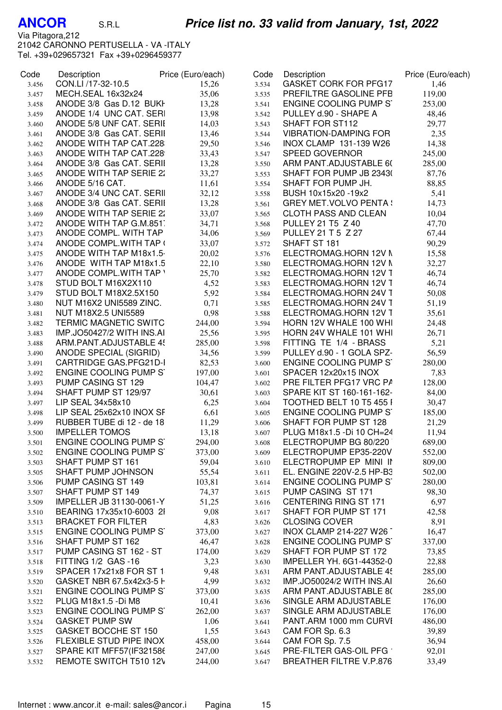| Code  | Description                   | Price (Euro/each) | Code  | Description                    | Price (Euro/each) |
|-------|-------------------------------|-------------------|-------|--------------------------------|-------------------|
| 3.456 | CON.LI /17-32-10.5            | 15,26             | 3.534 | <b>GASKET CORK FOR PFG17</b>   | 1,46              |
| 3.457 | MECH.SEAL 16x32x24            | 35,06             | 3.535 | PREFILTRE GASOLINE PFB         | 119,00            |
| 3.458 | ANODE 3/8 Gas D.12 BUKH       | 13,28             | 3.541 | ENGINE COOLING PUMP ST         | 253,00            |
| 3.459 | ANODE 1/4 UNC CAT. SERI       | 13,98             | 3.542 | PULLEY d.90 - SHAPE A          | 48,46             |
| 3.460 | ANODE 5/8 UNF CAT. SERII      | 14,03             | 3.543 | SHAFT FOR ST112                | 29,77             |
| 3.461 | ANODE 3/8 Gas CAT. SERII      | 13,46             | 3.544 | <b>VIBRATION-DAMPING FOR</b>   | 2,35              |
| 3.462 | ANODE WITH TAP CAT.228        | 29,50             | 3.546 | INOX CLAMP 131-139 W26         | 14,38             |
| 3.463 | ANODE WITH TAP CAT.228        | 33,43             | 3.547 | <b>SPEED GOVERNOR</b>          | 245,00            |
| 3.464 | ANODE 3/8 Gas CAT. SERII      | 13,28             | 3.550 | ARM PANT.ADJUSTABLE 6(         | 285,00            |
| 3.465 | ANODE WITH TAP SERIE 22       | 33,27             | 3.553 | SHAFT FOR PUMP JB 2343(        | 87,76             |
| 3.466 | ANODE 5/16 CAT.               | 11,61             | 3.554 | SHAFT FOR PUMP JH.             | 88,85             |
| 3.467 | ANODE 3/4 UNC CAT. SERII      | 32,12             | 3.558 | BUSH 10x15x20 -19x2            | 5,41              |
| 3.468 | ANODE 3/8 Gas CAT. SERII      | 13,28             | 3.561 | <b>GREY MET. VOLVO PENTA:</b>  | 14,73             |
| 3.469 | ANODE WITH TAP SERIE 22       | 33,07             | 3.565 | <b>CLOTH PASS AND CLEAN</b>    | 10,04             |
| 3.472 | ANODE WITH TAP G.M.851.       | 34,71             | 3.568 | PULLEY 21 T5 Z 40              | 47,70             |
| 3.473 | ANODE COMPL. WITH TAP         | 34,06             | 3.569 | PULLEY 21 T 5 Z 27             | 67,44             |
| 3.474 | ANODE COMPL.WITH TAP (        | 33,07             | 3.572 | SHAFT ST 181                   | 90,29             |
| 3.475 | ANODE WITH TAP M18x1.5-       | 20,02             | 3.576 | ELECTROMAG.HORN 12V N          | 15,58             |
| 3.476 | ANODE WITH TAP M18x1.5        | 22,10             | 3.580 | ELECTROMAG.HORN 12V N          | 32,27             |
| 3.477 | ANODE COMPL.WITH TAP \        | 25,70             | 3.582 | ELECTROMAG.HORN 12V T          | 46,74             |
| 3.478 | STUD BOLT M16X2X110           | 4,52              | 3.583 | ELECTROMAG.HORN 12V T          | 46,74             |
| 3.479 | STUD BOLT M18X2.5X150         | 5,92              | 3.584 | ELECTROMAG.HORN 24V T          | 50,08             |
| 3.480 | NUT M16X2 UNI5589 ZINC.       | 0,71              | 3.585 | ELECTROMAG.HORN 24V T          | 51,19             |
| 3.481 | NUT M18X2.5 UNI5589           | 0,98              | 3.588 | ELECTROMAG.HORN 12V T          | 35,61             |
| 3.482 | TERMIC MAGNETIC SWITC         | 244,00            | 3.594 | HORN 12V WHALE 100 WHI         | 24,48             |
| 3.483 | IMP.JO50427/2 WITH INS.AI     | 25,56             | 3.595 | HORN 24V WHALE 101 WHI         | 26,71             |
| 3.488 | ARM.PANT.ADJUSTABLE 45        | 285,00            | 3.598 | FITTING TE 1/4 - BRASS         | 5,21              |
| 3.490 | ANODE SPECIAL (SIGRID)        | 34,56             | 3.599 | PULLEY d.90 - 1 GOLA SPZ-      | 56,59             |
| 3.491 | <b>CARTRIDGE GAS.PFG21D-I</b> | 82,53             | 3.600 | ENGINE COOLING PUMP ST         | 280,00            |
| 3.492 | ENGINE COOLING PUMP ST        | 197,00            | 3.601 | SPACER 12x20x15 INOX           | 7,83              |
| 3.493 | PUMP CASING ST 129            | 104,47            | 3.602 | PRE FILTER PFG17 VRC PA        | 128,00            |
| 3.494 | SHAFT PUMP ST 129/97          | 30,61             | 3.603 | SPARE KIT ST 160-161-162-      | 84,00             |
| 3.497 | LIP SEAL 34x58x10             | 6,25              | 3.604 | TOOTHED BELT 10 T5 455 I       | 30,47             |
| 3.498 | LIP SEAL 25x62x10 INOX SF     | 6,61              | 3.605 | ENGINE COOLING PUMP ST         | 185,00            |
| 3.499 | RUBBER TUBE di 12 - de 18     | 11,29             | 3.606 | SHAFT FOR PUMP ST 128          | 21,29             |
| 3.500 | <b>IMPELLER TOMOS</b>         | 13,18             | 3.607 | PLUG M18x1.5 - Di 10 CH=24     | 11,94             |
| 3.501 | ENGINE COOLING PUMP ST        | 294,00            | 3.608 | ELECTROPUMP BG 80/220          | 689,00            |
| 3.502 | ENGINE COOLING PUMP ST        | 373,00            | 3.609 | ELECTROPUMP EP35-220V          | 552,00            |
| 3.503 | SHAFT PUMP ST 161             | 59,04             | 3.610 | ELECTROPUMP EP MINI II         | 809,00            |
| 3.505 | SHAFT PUMP JOHNSON            | 55,54             | 3.611 | EL. ENGINE 220V-2.5 HP-B3      | 502,00            |
| 3.506 | PUMP CASING ST 149            | 103,81            | 3.614 | ENGINE COOLING PUMP ST         | 280,00            |
| 3.507 | SHAFT PUMP ST 149             | 74,37             | 3.615 | PUMP CASING ST 171             | 98,30             |
| 3.509 | IMPELLER JB 31130-0061-Y      | 51,25             | 3.616 | <b>CENTERING RING ST 171</b>   | 6,97              |
| 3.510 | BEARING 17x35x10-6003 2I      | 9,08              | 3.617 | SHAFT FOR PUMP ST 171          | 42,58             |
| 3.513 | <b>BRACKET FOR FILTER</b>     | 4,83              | 3.626 | <b>CLOSING COVER</b>           | 8,91              |
| 3.515 | ENGINE COOLING PUMP ST        | 373,00            | 3.627 | INOX CLAMP 214-227 W26         | 16,47             |
| 3.516 | SHAFT PUMP ST 162             | 46,47             | 3.628 | ENGINE COOLING PUMP ST         | 337,00            |
| 3.517 | PUMP CASING ST 162 - ST       | 174,00            | 3.629 | SHAFT FOR PUMP ST 172          | 73,85             |
| 3.518 | FITTING 1/2 GAS-16            | 3,23              | 3.630 | IMPELLER YH. 6G1-44352-0       | 22,88             |
| 3.519 | SPACER 17x21x8 FOR ST 1       | 9,48              | 3.631 | ARM PANT.ADJUSTABLE 45         | 285,00            |
| 3.520 | GASKET NBR 67.5x42x3-5 H      | 4,99              | 3.632 | IMP.JO50024/2 WITH INS.AI      | 26,60             |
| 3.521 | ENGINE COOLING PUMP ST        | 373,00            | 3.635 | ARM PANT.ADJUSTABLE 80         | 285,00            |
|       | PLUG M18x1.5 -Di M8           | 10,41             |       | SINGLE ARM ADJUSTABLE          | 176,00            |
| 3.522 | ENGINE COOLING PUMP ST        | 262,00            | 3.636 | SINGLE ARM ADJUSTABLE          | 176,00            |
| 3.523 | <b>GASKET PUMP SW</b>         |                   | 3.637 | PANT.ARM 1000 mm CURVI         |                   |
| 3.524 | <b>GASKET BOCCHE ST 150</b>   | 1,06              | 3.641 | CAM FOR Sp. 6.3                | 486,00            |
| 3.525 | FLEXIBLE STUD PIPE INOX       | 1,55              | 3.643 | CAM FOR Sp. 7.5                | 39,89             |
| 3.526 | SPARE KIT MFF57(IF321586      | 458,00            | 3.644 | PRE-FILTER GAS-OIL PFG         | 36,94<br>92,01    |
| 3.527 | REMOTE SWITCH T510 12V        | 247,00            | 3.645 | <b>BREATHER FILTRE V.P.876</b> |                   |
| 3.532 |                               | 244,00            | 3.647 |                                | 33,49             |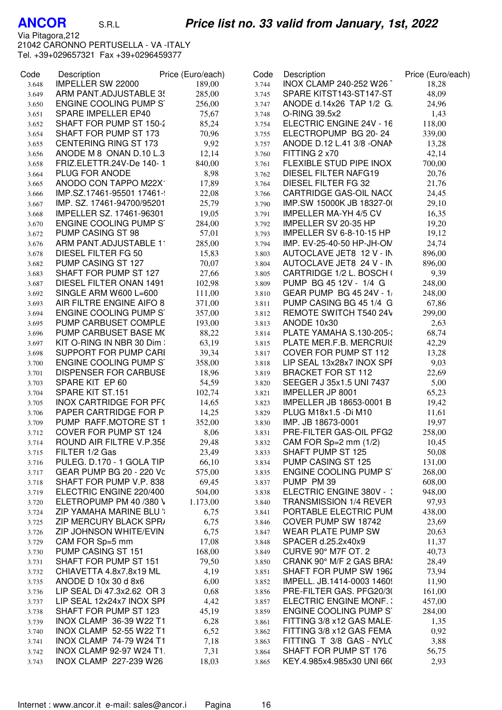| Code  | Description                       | Price (Euro/each) | Code  | Description                   | Price (Euro/each) |
|-------|-----------------------------------|-------------------|-------|-------------------------------|-------------------|
| 3.648 | IMPELLER SW 22000                 | 189,00            | 3.744 | INOX CLAMP 240-252 W26        | 18,28             |
| 3.649 | ARM PANT.ADJUSTABLE 35            | 285,00            | 3.745 | SPARE KITST143-ST147-ST       | 48,09             |
| 3.650 | ENGINE COOLING PUMP ST            | 256,00            | 3.747 | ANODE d.14x26 TAP 1/2 G.      | 24,96             |
| 3.651 | SPARE IMPELLER EP40               | 75,67             | 3.748 | O-RING 39.5x2                 | 1,43              |
| 3.652 | SHAFT FOR PUMP ST 150-2           | 85,24             | 3.754 | ELECTRIC ENGINE 24V - 16      | 118,00            |
| 3.654 | SHAFT FOR PUMP ST 173             | 70,96             | 3.755 | ELECTROPUMP BG 20-24          | 339,00            |
| 3.655 | <b>CENTERING RING ST 173</b>      | 9,92              | 3.757 | ANODE D.12 L.41 3/8 -ONAN     | 13,28             |
| 3.656 | ANODE M 8 ONAN D.10 L.3           | 12,14             | 3.760 | FITTING 2 x70                 | 42,14             |
| 3.658 | FRIZ.ELETTR.24V-De 140-1          | 840,00            | 3.761 | FLEXIBLE STUD PIPE INOX       | 700,00            |
| 3.664 | PLUG FOR ANODE                    | 8,98              | 3.762 | DIESEL FILTER NAFG19          | 20,76             |
| 3.665 | ANODO CON TAPPO M22X <sup>-</sup> | 17,89             | 3.764 | <b>DIESEL FILTER FG 32</b>    | 21,76             |
| 3.666 | IMP.SZ.17461-95501 17461-         | 22,08             | 3.766 | <b>CARTRIDGE GAS-OIL NACC</b> | 24,45             |
| 3.667 | IMP. SZ. 17461-94700/95201        | 25,79             | 3.790 | IMP.SW 15000K JB 18327-00     | 29,10             |
| 3.668 | IMPELLER SZ. 17461-96301          | 19,05             | 3.791 | <b>IMPELLER MA-YH 4/5 CV</b>  | 16,35             |
| 3.670 | ENGINE COOLING PUMP ST            | 284,00            | 3.792 | IMPELLER SV 20-35 HP          | 19,20             |
| 3.672 | PUMP CASING ST 98                 | 57,01             | 3.793 | IMPELLER SV 6-8-10-15 HP      | 19,12             |
| 3.676 | ARM PANT.ADJUSTABLE 11            | 285,00            | 3.794 | IMP. EV-25-40-50 HP-JH-ON     | 24,74             |
|       | DIESEL FILTER FG 50               | 15,83             | 3.803 | AUTOCLAVE JET8 12 V - IN      | 896,00            |
| 3.678 | PUMP CASING ST 127                | 70,07             |       | AUTOCLAVE JET8 24 V - IN      | 896,00            |
| 3.682 | SHAFT FOR PUMP ST 127             |                   | 3.804 |                               |                   |
| 3.683 |                                   | 27,66             | 3.805 | CARTRIDGE 1/2 L. BOSCH (      | 9,39              |
| 3.687 | DIESEL FILTER ONAN 1491           | 102,98            | 3.809 | PUMP BG 45 12V - 1/4 G        | 248,00            |
| 3.692 | SINGLE ARM W600 L=600             | 111,00            | 3.810 | GEAR PUMP BG 45 24V - 1       | 248,00            |
| 3.693 | AIR FILTRE ENGINE AIFO 8          | 371,00            | 3.811 | PUMP CASING BG 45 1/4 G       | 67,86             |
| 3.694 | <b>ENGINE COOLING PUMP S'</b>     | 357,00            | 3.812 | REMOTE SWITCH T540 24V        | 299,00            |
| 3.695 | PUMP CARBUSET COMPLE              | 193,00            | 3.813 | ANODE 10x30                   | 2,63              |
| 3.696 | PUMP CARBUSET BASE M(             | 88,22             | 3.814 | PLATE YAMAHA S.130-205-:      | 68,74             |
| 3.697 | KIT O-RING IN NBR 30 Dim :        | 63,19             | 3.815 | PLATE MER.F.B. MERCRUIS       | 42,29             |
| 3.698 | SUPPORT FOR PUMP CARI             | 39,34             | 3.817 | COVER FOR PUMP ST 112         | 13,28             |
| 3.700 | ENGINE COOLING PUMP ST            | 358,00            | 3.818 | LIP SEAL 13x28x7 INOX SPI     | 9,03              |
| 3.701 | <b>DISPENSER FOR CARBUSE</b>      | 18,96             | 3.819 | <b>BRACKET FOR ST 112</b>     | 22,69             |
| 3.703 | SPARE KIT EP 60                   | 54,59             | 3.820 | SEEGER J 35x1.5 UNI 7437      | 5,00              |
| 3.704 | SPARE KIT ST.151                  | 102,74            | 3.821 | IMPELLER JP 8001              | 65,23             |
| 3.705 | <b>INOX CARTRIDGE FOR PFC</b>     | 14,65             | 3.823 | IMPELLER JB 18653-0001 B      | 19,42             |
| 3.706 | PAPER CARTRIDGE FOR PI            | 14,25             | 3.829 | PLUG M18x1.5 -Di M10          | 11,61             |
| 3.709 | PUMP RAFF.MOTORE ST 1             | 352,00            | 3.830 | IMP. JB 18673-0001            | 19,97             |
| 3.712 | COVER FOR PUMP ST 124             | 8,06              | 3.831 | PRE-FILTER GAS-OIL PFG2       | 258,00            |
| 3.714 | ROUND AIR FILTRE V.P.358          | 29,48             | 3.832 | CAM FOR Sp=2 mm $(1/2)$       | 10,45             |
| 3.715 | FILTER 1/2 Gas                    | 23,49             | 3.833 | SHAFT PUMP ST 125             | 50,08             |
| 3.716 | PULEG. D.170 - 1 GOLA TIP         | 66,10             | 3.834 | PUMP CASING ST 125            | 131,00            |
| 3.717 | GEAR PUMP BG 20 - 220 Vc          | 575,00            | 3.835 | ENGINE COOLING PUMP ST        | 268,00            |
| 3.718 | SHAFT FOR PUMP V.P. 838           | 69,45             | 3.837 | PUMP PM 39                    | 608,00            |
| 3.719 | ELECTRIC ENGINE 220/400           | 504,00            | 3.838 | ELECTRIC ENGINE 380V -:       | 948,00            |
| 3.720 | ELETROPUMP PM 40 /380 V           | 1.173,00          | 3.840 | <b>TRANSMISSION 1/4 REVER</b> | 97,93             |
| 3.724 | <b>ZIP YAMAHA MARINE BLU 'i</b>   | 6,75              | 3.841 | PORTABLE ELECTRIC PUM         | 438,00            |
| 3.725 | ZIP MERCURY BLACK SPR/            | 6,75              | 3.846 | COVER PUMP SW 18742           | 23,69             |
| 3.726 | ZIP JOHNSON WHITE/EVIN            | 6,75              | 3.847 | <b>WEAR PLATE PUMP SW</b>     | 20,63             |
| 3.729 | CAM FOR Sp=5 mm                   | 17,08             | 3.848 | SPACER d.25.2x40x9            | 11,37             |
| 3.730 | PUMP CASING ST 151                | 168,00            | 3.849 | CURVE 90° M7F OT. 2           | 40,73             |
| 3.731 | SHAFT FOR PUMP ST 151             | 79,50             | 3.850 | CRANK 90° M/F 2 GAS BRA!      | 28,49             |
| 3.732 | CHIAVETTA 4.8x7.8x19 ML           | 4,19              | 3.851 | SHAFT FOR PUMP SW 1962        | 73,94             |
| 3.735 | ANODE D 10x 30 d 8x6              | 6,00              | 3.852 | IMPELL. JB.1414-0003 14609    | 11,90             |
| 3.736 | LIP SEAL Di 47.3x2.62 OR 3        | 0,68              | 3.856 | PRE-FILTER GAS. PFG20/30      | 161,00            |
| 3.737 | LIP SEAL 12x24x7 INOX SPI         | 4,42              | 3.857 | <b>ELECTRIC ENGINE MONF.:</b> | 457,00            |
| 3.738 | SHAFT FOR PUMP ST 123             | 45,19             | 3.859 | ENGINE COOLING PUMP ST        | 284,00            |
| 3.739 | INOX CLAMP 36-39 W22 T1           | 6,28              | 3.861 | FITTING 3/8 x12 GAS MALE      | 1,35              |
| 3.740 | INOX CLAMP 52-55 W22 T1           | 6,52              | 3.862 | FITTING 3/8 x12 GAS FEMA      | 0,92              |
| 3.741 | INOX CLAMP 74-79 W24 T1           | 7,18              | 3.863 | FITTING T 3/8 GAS - NYLC      | 3,88              |
| 3.742 | INOX CLAMP 92-97 W24 T1.          | 7,31              | 3.864 | SHAFT FOR PUMP ST 176         | 56,75             |
| 3.743 | INOX CLAMP 227-239 W26            | 18,03             | 3.865 | KEY.4.985x4.985x30 UNI 660    | 2,93              |
|       |                                   |                   |       |                               |                   |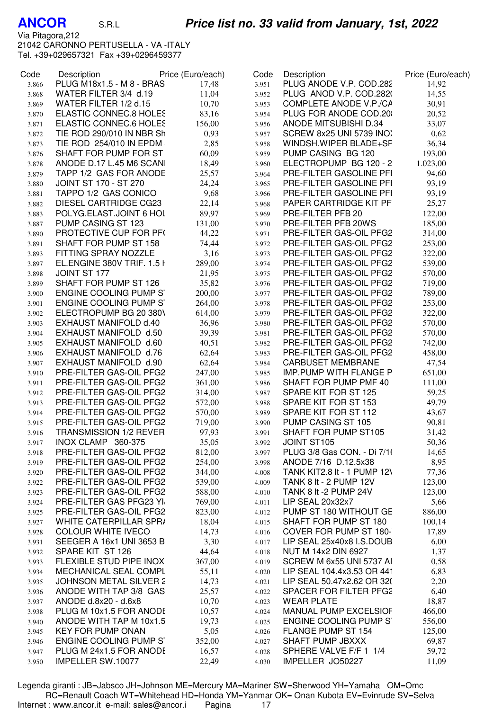21042 CARONNO PERTUSELLA - VA -ITALY Tel. +39+029657321 Fax +39+0296459377

| Code  | Description                   | Price (Euro/each) | Code  | Description                   | Price (Euro/each) |
|-------|-------------------------------|-------------------|-------|-------------------------------|-------------------|
| 3.866 | PLUG M18x1.5 - M 8 - BRAS     | 17,48             | 3.951 | PLUG ANODE V.P. COD.282       | 14,92             |
| 3.868 | WATER FILTER 3/4 d.19         | 11,04             | 3.952 | PLUG ANOD V.P. COD.282(       | 14,55             |
| 3.869 | WATER FILTER 1/2 d.15         | 10,70             | 3.953 | COMPLETE ANODE V.P./CA        | 30,91             |
| 3.870 | ELASTIC CONNEC.8 HOLES        | 83,16             | 3.954 | PLUG FOR ANODE COD.201        | 20,52             |
| 3.871 | ELASTIC CONNEC.6 HOLES        | 156,00            | 3.956 | ANODE MITSUBISHI D.34         | 33,07             |
| 3.872 | TIE ROD 290/010 IN NBR Sh     | 0,93              | 3.957 | SCREW 8x25 UNI 5739 INO.      | 0,62              |
| 3.873 | TIE ROD 254/010 IN EPDM       | 2,85              | 3.958 | WINDSH.WIPER BLADE+SF         | 36,34             |
| 3.876 | SHAFT FOR PUMP FOR ST         | 60,09             | 3.959 | PUMP CASING BG 120            | 193,00            |
| 3.878 | ANODE D.17 L.45 M6 SCANI      | 18,49             | 3.960 | ELECTROPUMP BG 120 - 2        | 1.023,00          |
| 3.879 | TAPP 1/2 GAS FOR ANODE        | 25,57             | 3.964 | PRE-FILTER GASOLINE PFI       | 94,60             |
| 3.880 | <b>JOINT ST 170 - ST 270</b>  | 24,24             | 3.965 | PRE-FILTER GASOLINE PFI       | 93,19             |
| 3.881 | TAPPO 1/2 GAS CONICO          | 9,68              | 3.966 | PRE-FILTER GASOLINE PFI       | 93,19             |
| 3.882 | DIESEL CARTRIDGE CG23         | 22,14             | 3.968 | PAPER CARTRIDGE KIT PF        | 25,27             |
| 3.883 | POLYG.ELAST.JOINT 6 HOL       | 89,97             | 3.969 | PRE-FILTER PFB 20             | 122,00            |
|       | PUMP CASING ST 123            | 131,00            | 3.970 | PRE-FILTER PFB 20WS           | 185,00            |
| 3.887 | PROTECTIVE CUP FOR PF(        | 44,22             | 3.971 | PRE-FILTER GAS-OIL PFG2       | 314,00            |
| 3.890 | SHAFT FOR PUMP ST 158         |                   |       | PRE-FILTER GAS-OIL PFG2       |                   |
| 3.891 |                               | 74,44             | 3.972 |                               | 253,00            |
| 3.893 | FITTING SPRAY NOZZLE          | 3,16              | 3.973 | PRE-FILTER GAS-OIL PFG2       | 322,00            |
| 3.897 | EL.ENGINE 380V TRIF. 1.5 I    | 289,00            | 3.974 | PRE-FILTER GAS-OIL PFG2       | 539,00            |
| 3.898 | JOINT ST 177                  | 21,95             | 3.975 | PRE-FILTER GAS-OIL PFG2       | 570,00            |
| 3.899 | SHAFT FOR PUMP ST 126         | 35,82             | 3.976 | PRE-FILTER GAS-OIL PFG2       | 719,00            |
| 3.900 | ENGINE COOLING PUMP ST        | 200,00            | 3.977 | PRE-FILTER GAS-OIL PFG2       | 789,00            |
| 3.901 | ENGINE COOLING PUMP ST        | 264,00            | 3.978 | PRE-FILTER GAS-OIL PFG2       | 253,00            |
| 3.902 | ELECTROPUMP BG 20 380\        | 614,00            | 3.979 | PRE-FILTER GAS-OIL PFG2       | 322,00            |
| 3.903 | EXHAUST MANIFOLD d.40         | 36,96             | 3.980 | PRE-FILTER GAS-OIL PFG2       | 570,00            |
| 3.904 | EXHAUST MANIFOLD d.50         | 39,39             | 3.981 | PRE-FILTER GAS-OIL PFG2       | 570,00            |
| 3.905 | EXHAUST MANIFOLD d.60         | 40,51             | 3.982 | PRE-FILTER GAS-OIL PFG2       | 742,00            |
| 3.906 | EXHAUST MANIFOLD d.76         | 62,64             | 3.983 | PRE-FILTER GAS-OIL PFG2       | 458,00            |
| 3.907 | EXHAUST MANIFOLD d.90         | 62,64             | 3.984 | <b>CARBUSET MEMBRANE</b>      | 47,54             |
| 3.910 | PRE-FILTER GAS-OIL PFG2       | 247,00            | 3.985 | <b>IMP.PUMP WITH FLANGE P</b> | 651,00            |
| 3.911 | PRE-FILTER GAS-OIL PFG2       | 361,00            | 3.986 | SHAFT FOR PUMP PMF 40         | 111,00            |
| 3.912 | PRE-FILTER GAS-OIL PFG2       | 314,00            | 3.987 | SPARE KIT FOR ST 125          | 59,25             |
| 3.913 | PRE-FILTER GAS-OIL PFG2       | 572,00            | 3.988 | SPARE KIT FOR ST 153          | 49,79             |
| 3.914 | PRE-FILTER GAS-OIL PFG2       | 570,00            | 3.989 | SPARE KIT FOR ST 112          | 43,67             |
| 3.915 | PRE-FILTER GAS-OIL PFG2       | 719,00            | 3.990 | PUMP CASING ST 105            | 90,81             |
| 3.916 | <b>TRANSMISSION 1/2 REVER</b> | 97,93             | 3.991 | SHAFT FOR PUMP ST105          | 31,42             |
| 3.917 | INOX CLAMP 360-375            | 35,05             | 3.992 | <b>JOINT ST105</b>            | 50,36             |
| 3.918 | PRE-FILTER GAS-OIL PFG2       | 812,00            | 3.997 | PLUG 3/8 Gas CON. - Di 7/16   | 14,65             |
| 3.919 | PRE-FILTER GAS-OIL PFG2       | 254,00            | 3.998 | ANODE 7/16 D.12.5x38          | 8,95              |
| 3.920 | PRE-FILTER GAS-OIL PFG2       | 344,00            | 4.008 | TANK KIT2.8 It - 1 PUMP 12\   | 77,36             |
| 3.922 | PRE-FILTER GAS-OIL PFG2       | 539,00            | 4.009 | <b>TANK 8 It - 2 PUMP 12V</b> | 123,00            |
| 3.923 | PRE-FILTER GAS-OIL PFG2       | 588,00            | 4.010 | TANK 8 It -2 PUMP 24V         | 123,00            |
| 3.924 | PRE-FILTER GAS PFG23 YI/      | 769,00            | 4.011 | LIP SEAL 20x32x7              | 5,66              |
| 3.925 | PRE-FILTER GAS-OIL PFG2       | 823,00            | 4.012 | PUMP ST 180 WITHOUT GE        | 886,00            |
|       | WHITE CATERPILLAR SPR/        | 18,04             | 4.015 | SHAFT FOR PUMP ST 180         | 100,14            |
| 3.927 | <b>COLOUR WHITE IVECO</b>     | 14,73             |       | COVER FOR PUMP ST 180-        | 17,89             |
| 3.928 | SEEGER A 16x1 UNI 3653 B      |                   | 4.016 |                               |                   |
| 3.931 |                               | 3,30              | 4.017 | LIP SEAL 25x40x8 I.S.DOUB     | 6,00              |
| 3.932 | SPARE KIT ST 126              | 44,64             | 4.018 | NUT M 14x2 DIN 6927           | 1,37              |
| 3.933 | FLEXIBLE STUD PIPE INOX       | 367,00            | 4.019 | SCREW M 6x55 UNI 5737 AI      | 0,58              |
| 3.934 | MECHANICAL SEAL COMPL         | 55,11             | 4.020 | LIP SEAL 104.4x3.53 OR 441    | 6,83              |
| 3.935 | <b>JOHNSON METAL SILVER 2</b> | 14,73             | 4.021 | LIP SEAL 50.47x2.62 OR 320    | 2,20              |
| 3.936 | ANODE WITH TAP 3/8 GAS        | 25,57             | 4.022 | SPACER FOR FILTER PFG2        | 6,40              |
| 3.937 | ANODE d.8x20 - d.6x8          | 10,70             | 4.023 | <b>WEAR PLATE</b>             | 18,87             |
| 3.938 | PLUG M 10x1.5 FOR ANODE       | 10,57             | 4.024 | MANUAL PUMP EXCELSIOF         | 466,00            |
| 3.940 | ANODE WITH TAP M 10x1.5       | 19,73             | 4.025 | ENGINE COOLING PUMP ST        | 556,00            |
| 3.945 | <b>KEY FOR PUMP ONAN</b>      | 5,05              | 4.026 | FLANGE PUMP ST 154            | 125,00            |
| 3.946 | ENGINE COOLING PUMP ST        | 352,00            | 4.027 | SHAFT PUMP JBXXX              | 69,87             |
| 3.947 | PLUG M 24x1.5 FOR ANODE       | 16,57             | 4.028 | SPHERE VALVE F/F 1 1/4        | 59,72             |
| 3.950 | IMPELLER SW.10077             | 22,49             | 4.030 | IMPELLER JO50227              | 11,09             |

Legenda giranti : JB=Jabsco JH=Johnson ME=Mercury MA=Mariner SW=Sherwood YH=Yamaha OM=Omc RC=Renault Coach WT=Whitehead HD=Honda YM=Yanmar OK= Onan Kubota EV=Evinrude SV=Selva<br>t : www.ancor.it e-mail: sales@ancor.i Pagina 17 Internet : www.ancor.it e-mail: sales@ancor.i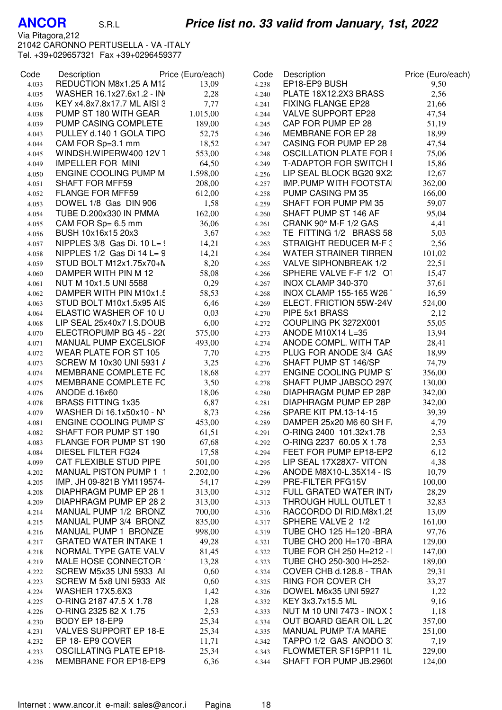| Code  | Description                    | Price (Euro/each) | Code  | Description                    | Price (Euro/each) |
|-------|--------------------------------|-------------------|-------|--------------------------------|-------------------|
| 4.033 | REDUCTION M8x1.25 A M12        | 13,09             | 4.238 | EP18-EP9 BUSH                  | 9,50              |
| 4.035 | WASHER 16.1x27.6x1.2 - IN      | 2,28              | 4.240 | PLATE 18X12.2X3 BRASS          | 2,56              |
| 4.036 | KEY x4.8x7.8x17.7 ML AISI 3    | 7,77              | 4.241 | <b>FIXING FLANGE EP28</b>      | 21,66             |
| 4.038 | PUMP ST 180 WITH GEAR          | 1.015,00          | 4.244 | <b>VALVE SUPPORT EP28</b>      | 47,54             |
| 4.039 | PUMP CASING COMPLETE           | 189,00            | 4.245 | CAP FOR PUMP EP 28             | 51,19             |
| 4.043 | PULLEY d.140 1 GOLA TIPO       | 52,75             | 4.246 | MEMBRANE FOR EP 28             | 18,99             |
| 4.044 | CAM FOR Sp=3.1 mm              | 18,52             | 4.247 | CASING FOR PUMP EP 28          | 47,54             |
| 4.045 | WINDSH.WIPERW400 12V 1         | 553,00            | 4.248 | <b>OSCILLATION PLATE FOR I</b> | 75,06             |
| 4.049 | <b>IMPELLER FOR MINI</b>       | 64,50             | 4.249 | <b>T-ADAPTOR FOR SWITCH I</b>  | 15,86             |
| 4.050 | ENGINE COOLING PUMP M          | 1.598,00          | 4.256 | LIP SEAL BLOCK BG20 9X2:       | 12,67             |
| 4.051 | <b>SHAFT FOR MFF59</b>         | 208,00            | 4.257 | <b>IMP.PUMP WITH FOOTSTAI</b>  | 362,00            |
| 4.052 | <b>FLANGE FOR MFF59</b>        | 612,00            | 4.258 | PUMP CASING PM 35              | 166,00            |
| 4.053 | DOWEL 1/8 Gas DIN 906          | 1,58              | 4.259 | SHAFT FOR PUMP PM 35           | 59,07             |
| 4.054 | TUBE D.200x330 IN PMMA         | 162,00            | 4.260 | SHAFT PUMP ST 146 AF           | 95,04             |
| 4.055 | CAM FOR Sp= 6.5 mm             | 36,06             | 4.261 | CRANK 90° M-F 1/2 GAS          | 4,41              |
|       | BUSH 10x16x15 20x3             | 3,67              |       | TE FITTING 1/2 BRASS 58        | 5,03              |
| 4.056 | NIPPLES 3/8 Gas Di. 10 L= \    | 14,21             | 4.262 | <b>STRAIGHT REDUCER M-F 3</b>  |                   |
| 4.057 | NIPPLES 1/2 Gas Di 14 L= 9     |                   | 4.263 | <b>WATER STRAINER TIRREN</b>   | 2,56              |
| 4.058 |                                | 14,21             | 4.264 |                                | 101,02            |
| 4.059 | STUD BOLT M12x1.75x70+N        | 8,20              | 4.265 | <b>VALVE SIPHONBREAK 1/2</b>   | 22,51             |
| 4.060 | DAMPER WITH PIN M 12           | 58,08             | 4.266 | SPHERE VALVE F-F 1/2 01        | 15,47             |
| 4.061 | NUT M 10x1.5 UNI 5588          | 0,29              | 4.267 | INOX CLAMP 340-370             | 37,61             |
| 4.062 | DAMPER WITH PIN M10x1.5        | 58,53             | 4.268 | INOX CLAMP 155-165 W26         | 16,59             |
| 4.063 | STUD BOLT M10x1.5x95 AIS       | 6,46              | 4.269 | ELECT. FRICTION 55W-24V        | 524,00            |
| 4.064 | ELASTIC WASHER OF 10 U         | 0,03              | 4.270 | PIPE 5x1 BRASS                 | 2,12              |
| 4.068 | LIP SEAL 25x40x7 I.S.DOUB      | 6,00              | 4.272 | COUPLING PK 3272X001           | 55,05             |
| 4.070 | ELECTROPUMP BG 45 - 220        | 575,00            | 4.273 | ANODE M10X14 L=35              | 13,94             |
| 4.071 | MANUAL PUMP EXCELSIOF          | 493,00            | 4.274 | ANODE COMPL. WITH TAP          | 28,41             |
| 4.072 | WEAR PLATE FOR ST 105          | 7,70              | 4.275 | PLUG FOR ANODE 3/4 GAS         | 18,99             |
| 4.073 | SCREW M 10x30 UNI 5931 /       | 3,25              | 4.276 | SHAFT PUMP ST 146/SP           | 74,79             |
| 4.074 | MEMBRANE COMPLETE FC           | 18,68             | 4.277 | ENGINE COOLING PUMP ST         | 356,00            |
| 4.075 | MEMBRANE COMPLETE FC           | 3,50              | 4.278 | SHAFT PUMP JABSCO 2970         | 130,00            |
| 4.076 | ANODE d.16x60                  | 18,06             | 4.280 | DIAPHRAGM PUMP EP 28P          | 342,00            |
| 4.078 | <b>BRASS FITTING 1x35</b>      | 6,87              | 4.281 | DIAPHRAGM PUMP EP 28P          | 342,00            |
| 4.079 | WASHER Di 16.1x50x10 - N'      | 8,73              | 4.286 | <b>SPARE KIT PM.13-14-15</b>   | 39,39             |
| 4.081 | ENGINE COOLING PUMP ST         | 453,00            | 4.289 | DAMPER 25x20 M6 60 SH F        | 4,79              |
| 4.082 | SHAFT FOR PUMP ST 190          | 61,51             | 4.291 | O-RING 2400 101.32x1.78        | 2,53              |
| 4.083 | FLANGE FOR PUMP ST 190         | 67,68             | 4.292 | O-RING 2237 60.05 X 1.78       | 2,53              |
| 4.084 | <b>DIESEL FILTER FG24</b>      | 17,58             | 4.294 | FEET FOR PUMP EP18-EP2         | 6,12              |
| 4.099 | CAT FLEXIBLE STUD PIPE         | 501,00            | 4.295 | LIP SEAL 17X28X7- VITON        | 4,38              |
| 4.202 | MANUAL PISTON PUMP 1 1         | 2.202,00          | 4.296 | ANODE M8X10-L.35X14 - IS.      | 10,79             |
| 4.205 | IMP. JH 09-821B YM119574-      | 54,17             | 4.299 | PRE-FILTER PFG15V              | 100,00            |
| 4.208 | DIAPHRAGM PUMP EP 28 1         | 313,00            | 4.312 | FULL GRATED WATER INT/         | 28,29             |
| 4.209 | DIAPHRAGM PUMP EP 28 2         | 313,00            | 4.313 | THROUGH HULL OUTLET 1          | 32,83             |
| 4.214 | MANUAL PUMP 1/2 BRONZ          | 700,00            | 4.316 | RACCORDO DI RID.M8x1.25        | 13,09             |
| 4.215 | MANUAL PUMP 3/4 BRONZ          | 835,00            | 4.317 | SPHERE VALVE 2 1/2             | 161,00            |
| 4.216 | MANUAL PUMP 1 BRONZE           | 998,00            | 4.319 | TUBE CHO 125 H=120 - BRA       | 97,76             |
|       | <b>GRATED WATER INTAKE 1</b>   | 49,28             |       | TUBE CHO 200 H=170 - BRA       | 129,00            |
| 4.217 | NORMAL TYPE GATE VALV          | 81,45             | 4.321 | TUBE FOR CH 250 H=212 - I      | 147,00            |
| 4.218 | MALE HOSE CONNECTOR            |                   | 4.322 | TUBE CHO 250-300 H=252-        |                   |
| 4.219 |                                | 13,28             | 4.323 |                                | 189,00            |
| 4.222 | SCREW M5x35 UNI 5933 AI        | 0,60              | 4.324 | COVER CHB d.128.8 - TRAN       | 29,31             |
| 4.223 | SCREW M 5x8 UNI 5933 AIS       | 0,60              | 4.325 | RING FOR COVER CH              | 33,27             |
| 4.224 | <b>WASHER 17X5.6X3</b>         | 1,42              | 4.326 | DOWEL M6x35 UNI 5927           | 1,22              |
| 4.225 | O-RING 2187 47.5 X 1.78        | 1,28              | 4.332 | KEY 3x3.7x15.5 ML              | 9,16              |
| 4.226 | O-RING 2325 82 X 1.75          | 2,53              | 4.333 | NUT M 10 UNI 7473 - INOX :     | 1,18              |
| 4.230 | BODY EP 18-EP9                 | 25,34             | 4.334 | OUT BOARD GEAR OIL L.20        | 357,00            |
| 4.231 | VALVES SUPPORT EP 18-E         | 25,34             | 4.335 | MANUAL PUMP T/A MARE           | 251,00            |
| 4.232 | EP 18- EP9 COVER               | 11,71             | 4.342 | TAPPO 1/2 GAS ANODO 3.         | 7,19              |
| 4.233 | <b>OSCILLATING PLATE EP18-</b> | 25,34             | 4.343 | FLOWMETER SF15PP11 1L          | 229,00            |
| 4.236 | MEMBRANE FOR EP18-EP9          | 6,36              | 4.344 | SHAFT FOR PUMP JB.29600        | 124,00            |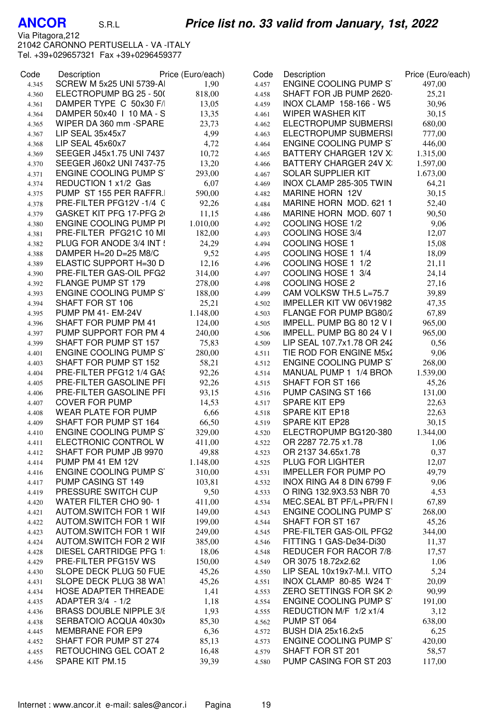| Code  | Description                    | Price (Euro/each) | Code  | Description                   | Price (Euro/each) |
|-------|--------------------------------|-------------------|-------|-------------------------------|-------------------|
| 4.345 | SCREW M 5x25 UNI 5739-AI       | 1,90              | 4.457 | ENGINE COOLING PUMP ST        | 497,00            |
| 4.360 | ELECTROPUMP BG 25 - 500        | 818,00            | 4.458 | SHAFT FOR JB PUMP 2620-       | 25,21             |
| 4.361 | DAMPER TYPE C 50x30 F/I        | 13,05             | 4.459 | INOX CLAMP 158-166 - W5       | 30,96             |
| 4.364 | DAMPER 50x40   10 MA - S       | 13,35             | 4.461 | <b>WIPER WASHER KIT</b>       | 30,15             |
| 4.365 | WIPER DA 360 mm - SPARE        | 23,73             | 4.462 | ELECTROPUMP SUBMERSI          | 680,00            |
| 4.367 | LIP SEAL 35x45x7               | 4,99              | 4.463 | ELECTROPUMP SUBMERSI          | 777,00            |
| 4.368 | LIP SEAL 45x60x7               | 4,72              | 4.464 | ENGINE COOLING PUMP ST        | 446,00            |
| 4.369 | SEEGER J45x1.75 UNI 7437       | 10,72             | 4.465 | BATTERY CHARGER 12V X         | 1.315,00          |
| 4.370 | SEEGER J60x2 UNI 7437-75       | 13,20             | 4.466 | BATTERY CHARGER 24V X         | 1.597,00          |
| 4.371 | ENGINE COOLING PUMP ST         | 293,00            | 4.467 | SOLAR SUPPLIER KIT            | 1.673,00          |
| 4.374 | REDUCTION 1 x1/2 Gas           | 6,07              | 4.469 | INOX CLAMP 285-305 TWIN       | 64,21             |
| 4.375 | PUMP ST 155 PER RAFFR.I        | 590,00            | 4.482 | MARINE HORN 12V               | 30,15             |
| 4.378 | PRE-FILTER PFG12V-1/4 C        | 92,26             | 4.484 | MARINE HORN MOD. 621 1        | 52,40             |
| 4.379 | GASKET KIT PFG 17-PFG 2        | 11,15             | 4.486 | MARINE HORN MOD. 607 1        | 90,50             |
|       | ENGINE COOLING PUMP PI         | 1.010,00          |       | COOLING HOSE 1/2              | 9,06              |
| 4.380 | PRE-FILTER PFG21C 10 MI        |                   | 4.492 |                               |                   |
| 4.381 |                                | 182,00            | 4.493 | COOLING HOSE 3/4              | 12,07             |
| 4.382 | PLUG FOR ANODE 3/4 INT !       | 24,29             | 4.494 | <b>COOLING HOSE 1</b>         | 15,08             |
| 4.388 | DAMPER H=20 D=25 M8/C          | 9,52              | 4.495 | COOLING HOSE 1 1/4            | 18,09             |
| 4.389 | ELASTIC SUPPORT H=30 D         | 12,16             | 4.496 | COOLING HOSE 1 1/2            | 21,11             |
| 4.390 | PRE-FILTER GAS-OIL PFG2        | 314,00            | 4.497 | COOLING HOSE 1 3/4            | 24,14             |
| 4.392 | FLANGE PUMP ST 179             | 278,00            | 4.498 | <b>COOLING HOSE 2</b>         | 27,16             |
| 4.393 | ENGINE COOLING PUMP S'         | 188,00            | 4.499 | CAM VOLKSW TH.5 L=75.7        | 39,89             |
| 4.394 | SHAFT FOR ST 106               | 25,21             | 4.502 | IMPELLER KIT VW 06V1982       | 47,35             |
| 4.395 | PUMP PM 41- EM-24V             | 1.148,00          | 4.503 | FLANGE FOR PUMP BG80/2        | 67,89             |
| 4.396 | SHAFT FOR PUMP PM 41           | 124,00            | 4.505 | IMPELL. PUMP BG 80 12 V I     | 965,00            |
| 4.397 | PUMP SUPPORT FOR PM 4          | 240,00            | 4.506 | IMPELL. PUMP BG 80 24 V I     | 965,00            |
| 4.399 | SHAFT FOR PUMP ST 157          | 75,83             | 4.509 | LIP SEAL 107.7x1.78 OR 242    | 0,56              |
| 4.401 | ENGINE COOLING PUMP ST         | 280,00            | 4.511 | TIE ROD FOR ENGINE M5x2       | 9,06              |
| 4.403 | SHAFT FOR PUMP ST 152          | 58,21             | 4.512 | ENGINE COOLING PUMP ST        | 268,00            |
| 4.404 | PRE-FILTER PFG12 1/4 GAS       | 92,26             | 4.514 | MANUAL PUMP 1 1/4 BRON        | 1.539,00          |
| 4.405 | PRE-FILTER GASOLINE PFI        | 92,26             | 4.515 | SHAFT FOR ST 166              | 45,26             |
| 4.406 | PRE-FILTER GASOLINE PFI        | 93,15             | 4.516 | PUMP CASING ST 166            | 131,00            |
| 4.407 | <b>COVER FOR PUMP</b>          | 14,53             | 4.517 | SPARE KIT EP9                 | 22,63             |
| 4.408 | <b>WEAR PLATE FOR PUMP</b>     | 6,66              | 4.518 | SPARE KIT EP18                | 22,63             |
| 4.409 | SHAFT FOR PUMP ST 164          | 66,50             | 4.519 | SPARE KIT EP28                | 30,15             |
| 4.410 | <b>ENGINE COOLING PUMP ST</b>  | 329,00            | 4.520 | ELECTROPUMP BG120-380         | 1.344,00          |
| 4.411 | ELECTRONIC CONTROL W           | 411,00            | 4.522 | OR 2287 72.75 x1.78           | 1,06              |
| 4.412 | SHAFT FOR PUMP JB 9970         | 49,88             | 4.523 | OR 2137 34.65x1.78            | 0,37              |
|       | PUMP PM 41 EM 12V              | 1.148,00          |       | PLUG FOR LIGHTER              | 12,07             |
| 4.414 | <b>ENGINE COOLING PUMP ST</b>  |                   | 4.525 | <b>IMPELLER FOR PUMP PO</b>   |                   |
| 4.416 |                                | 310,00            | 4.531 |                               | 49,79             |
| 4.417 | PUMP CASING ST 149             | 103,81            | 4.532 | INOX RING A4 8 DIN 6799 F     | 9,06              |
| 4.419 | PRESSURE SWITCH CUP            | 9,50              | 4.533 | O RING 132.9X3.53 NBR 70      | 4,53              |
| 4.420 | <b>WATER FILTER CHO 90-1</b>   | 411,00            | 4.534 | MEC.SEAL BT PF/L+PR/FN I      | 67,89             |
| 4.421 | <b>AUTOM.SWITCH FOR 1 WII</b>  | 149,00            | 4.543 | <b>ENGINE COOLING PUMP S'</b> | 268,00            |
| 4.422 | <b>AUTOM.SWITCH FOR 1 WIF</b>  | 199,00            | 4.544 | SHAFT FOR ST 167              | 45,26             |
| 4.423 | <b>AUTOM.SWITCH FOR 1 WIF</b>  | 249,00            | 4.545 | PRE-FILTER GAS-OIL PFG2       | 344,00            |
| 4.424 | <b>AUTOM.SWITCH FOR 2 WII</b>  | 385,00            | 4.546 | FITTING 1 GAS-De34-Di30       | 11,37             |
| 4.428 | <b>DIESEL CARTRIDGE PFG 1:</b> | 18,06             | 4.548 | REDUCER FOR RACOR 7/8         | 17,57             |
| 4.429 | PRE-FILTER PFG15V WS           | 150,00            | 4.549 | OR 3075 18.72x2.62            | 1,06              |
| 4.430 | SLOPE DECK PLUG 50 FUE         | 45,26             | 4.550 | LIP SEAL 10x19x7-M.I. VITO    | 5,24              |
| 4.431 | SLOPE DECK PLUG 38 WAT         | 45,26             | 4.551 | INOX CLAMP 80-85 W24 T        | 20,09             |
| 4.434 | <b>HOSE ADAPTER THREADE!</b>   | 1,41              | 4.553 | ZERO SETTINGS FOR SK 2        | 90,99             |
| 4.435 | ADAPTER 3/4 - 1/2              | 1,18              | 4.554 | ENGINE COOLING PUMP ST        | 191,00            |
| 4.436 | <b>BRASS DOUBLE NIPPLE 3/8</b> | 1,93              | 4.555 | REDUCTION M/F 1/2 x1/4        | 3,12              |
| 4.438 | SERBATOIO ACQUA 40x30x         | 85,30             | 4.562 | PUMP ST 064                   | 638,00            |
| 4.445 | <b>MEMBRANE FOR EP9</b>        | 6,36              | 4.572 | <b>BUSH DIA 25x16.2x5</b>     | 6,25              |
| 4.452 | SHAFT FOR PUMP ST 274          | 85,13             | 4.573 | ENGINE COOLING PUMP ST        | 420,00            |
| 4.455 | RETOUCHING GEL COAT 2          | 16,48             | 4.579 | SHAFT FOR ST 201              | 58,57             |
| 4.456 | SPARE KIT PM.15                | 39,39             | 4.580 | PUMP CASING FOR ST 203        | 117,00            |
|       |                                |                   |       |                               |                   |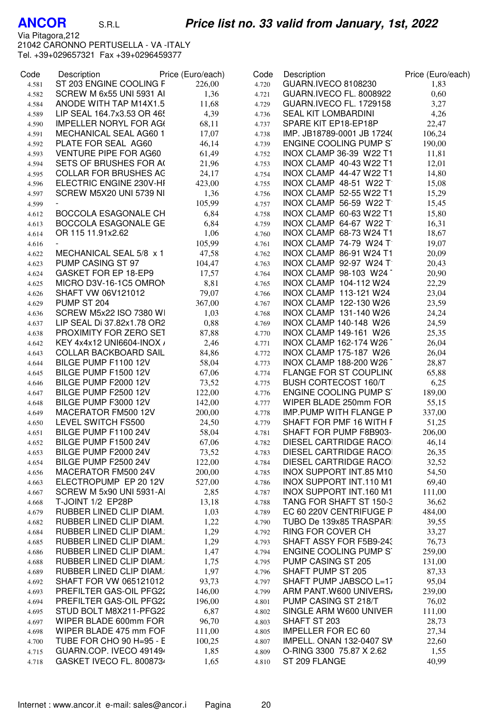| Code           | Description                    | Price (Euro/each) | Code           | Description                     | Price (Euro/each) |
|----------------|--------------------------------|-------------------|----------------|---------------------------------|-------------------|
| 4.581          | ST 203 ENGINE COOLING F        | 226,00            | 4.720          | GUARN.IVECO 8108230             | 1,83              |
| 4.582          | SCREW M 6x55 UNI 5931 AI       | 1,36              | 4.721          | GUARN.IVECO FL. 8008922         | 0,60              |
| 4.584          | ANODE WITH TAP M14X1.5         | 11,68             | 4.729          | <b>GUARN.IVECO FL. 1729158</b>  | 3,27              |
| 4.589          | LIP SEAL 164.7x3.53 OR 465     | 4,39              | 4.736          | SEAL KIT LOMBARDINI             | 4,26              |
| 4.590          | <b>IMPELLER NORYL FOR AG(</b>  | 68,11             | 4.737          | SPARE KIT EP18-EP18P            | 22,47             |
| 4.591          | MECHANICAL SEAL AG60 1         | 17,07             | 4.738          | IMP. JB18789-0001 JB 1724(      | 106,24            |
| 4.592          | PLATE FOR SEAL AG60            | 46,14             | 4.739          | ENGINE COOLING PUMP ST          | 190,00            |
| 4.593          | VENTURE PIPE FOR AG60          | 61,49             | 4.752          | INOX CLAMP 36-39 W22 T1         | 11,81             |
| 4.594          | SETS OF BRUSHES FOR AC         | 21,96             | 4.753          | INOX CLAMP 40-43 W22 T1         | 12,01             |
| 4.595          | <b>COLLAR FOR BRUSHES AC</b>   | 24,17             | 4.754          | INOX CLAMP 44-47 W22 T1         | 14,80             |
| 4.596          | ELECTRIC ENGINE 230V-HI        | 423,00            | 4.755          | INOX CLAMP 48-51 W22 T          | 15,08             |
| 4.597          | SCREW M5X20 UNI 5739 NI        | 1,36              | 4.756          | INOX CLAMP 52-55 W22 T1         | 15,29             |
| 4.599          |                                | 105,99            | 4.757          | INOX CLAMP 56-59 W22 T          | 15,45             |
| 4.612          | BOCCOLA ESAGONALE CH           | 6,84              | 4.758          | INOX CLAMP 60-63 W22 T1         | 15,80             |
| 4.613          | BOCCOLA ESAGONALE GE           | 6,84              | 4.759          | INOX CLAMP 64-67 W22 T          | 16,31             |
| 4.614          | OR 115 11.91x2.62              | 1,06              | 4.760          | INOX CLAMP 68-73 W24 T1         | 18,67             |
| 4.616          |                                | 105,99            | 4.761          | INOX CLAMP 74-79 W24 T          | 19,07             |
| 4.622          | MECHANICAL SEAL 5/8 x 1        | 47,58             | 4.762          | INOX CLAMP 86-91 W24 T1         | 20,09             |
| 4.623          | PUMP CASING ST 97              | 104,47            | 4.763          | INOX CLAMP 92-97 W24 T          | 20,43             |
| 4.624          | GASKET FOR EP 18-EP9           | 17,57             | 4.764          | INOX CLAMP 98-103 W24           | 20,90             |
| 4.625          | MICRO D3V-16-1C5 OMRON         | 8,81              | 4.765          | INOX CLAMP 104-112 W24          | 22,29             |
| 4.626          | SHAFT VW 06V121012             | 79,07             | 4.766          | INOX CLAMP 113-121 W24          | 23,04             |
| 4.629          | PUMP ST 204                    | 367,00            | 4.767          | INOX CLAMP 122-130 W26          | 23,59             |
| 4.636          | SCREW M5x22 ISO 7380 WI        | 1,03              | 4.768          | INOX CLAMP 131-140 W26          | 24,24             |
| 4.637          | LIP SEAL Di 37.82x1.78 OR2     | 0,88              | 4.769          | INOX CLAMP 140-148 W26          | 24,59             |
| 4.638          | PROXIMITY FOR ZERO SET         | 87,88             | 4.770          | INOX CLAMP 149-161 W26          | 25,35             |
| 4.642          | KEY 4x4x12 UNI6604-INOX /      | 2,46              | 4.771          | INOX CLAMP 162-174 W26          | 26,04             |
| 4.643          | <b>COLLAR BACKBOARD SAIL</b>   | 84,86             | 4.772          | INOX CLAMP 175-187 W26          | 26,04             |
| 4.644          | BILGE PUMP F1100 12V           | 58,04             | 4.773          | INOX CLAMP 188-200 W26          | 28,87             |
| 4.645          | BILGE PUMP F1500 12V           | 67,06             | 4.774          | FLANGE FOR ST COUPLING          | 65,88             |
| 4.646          | BILGE PUMP F2000 12V           | 73,52             | 4.775          | <b>BUSH CORTECOST 160/T</b>     | 6,25              |
| 4.647          | BILGE PUMP F2500 12V           | 122,00            | 4.776          | ENGINE COOLING PUMP ST          | 189,00            |
| 4.648          | BILGE PUMP F3000 12V           | 142,00            | 4.777          | WIPER BLADE 250mm FOR           | 55,15             |
| 4.649          | MACERATOR FM500 12V            | 200,00            | 4.778          | IMP.PUMP WITH FLANGE P          | 337,00            |
| 4.650          | LEVEL SWITCH FS500             | 24,50             | 4.779          | SHAFT FOR PMF 16 WITH F         | 51,25             |
| 4.651          | BILGE PUMP F1100 24V           | 58,04             | 4.781          | SHAFT FOR PUMP F8B903-          | 206,00            |
| 4.652          | BILGE PUMP F1500 24V           | 67,06             | 4.782          | DIESEL CARTRIDGE RACO           | 46,14             |
|                | BILGE PUMP F2000 24V           | 73,52             |                | DIESEL CARTRIDGE RACO           | 26,35             |
| 4.653<br>4.654 | BILGE PUMP F2500 24V           | 122,00            | 4.783<br>4.784 | DIESEL CARTRIDGE RACO           | 32,52             |
|                | MACERATOR FM500 24V            | 200,00            |                | <b>INOX SUPPORT INT.85 M10</b>  | 54,50             |
| 4.656          | ELECTROPUMP EP 20 12V          | 527,00            | 4.785          | INOX SUPPORT INT.110 M1         | 69,40             |
| 4.663          | SCREW M 5x90 UNI 5931-AI       | 2,85              | 4.786          | INOX SUPPORT INT.160 M1         | 111,00            |
| 4.667<br>4.668 | T-JOINT 1/2 EP28P              | 13,18             | 4.787<br>4.788 | TANG FOR SHAFT ST 150-3         | 36,62             |
| 4.679          | RUBBER LINED CLIP DIAM.        | 1,03              | 4.789          | EC 60 220V CENTRIFUGE P         | 484,00            |
|                | RUBBER LINED CLIP DIAM.        | 1,22              | 4.790          | TUBO De 139x85 TRASPAR          | 39,55             |
| 4.682          | <b>RUBBER LINED CLIP DIAM.</b> | 1,29              |                | RING FOR COVER CH               | 33,27             |
| 4.684          | RUBBER LINED CLIP DIAM.        | 1,29              | 4.792<br>4.793 | SHAFT ASSY FOR F5B9-24:         | 76,73             |
| 4.685          | RUBBER LINED CLIP DIAM.        | 1,47              |                | ENGINE COOLING PUMP ST          | 259,00            |
| 4.686          | RUBBER LINED CLIP DIAM.        |                   | 4.794          | PUMP CASING ST 205              |                   |
| 4.688          | <b>RUBBER LINED CLIP DIAM.</b> | 1,75              | 4.795          | SHAFT PUMP ST 205               | 131,00            |
| 4.689          |                                | 1,97              | 4.796          |                                 | 87,33             |
| 4.692          | SHAFT FOR VW 065121012         | 93,73             | 4.797          | SHAFT PUMP JABSCO L=17          | 95,04             |
| 4.693          | PREFILTER GAS-OIL PFG22        | 146,00            | 4.799          | ARM PANT.W600 UNIVERS           | 239,00            |
| 4.694          | PREFILTER GAS-OIL PFG22        | 196,00            | 4.801          | PUMP CASING ST 218/T            | 76,02             |
| 4.695          | STUD BOLT M8X211-PFG22         | 6,87              | 4.802          | SINGLE ARM W600 UNIVER          | 111,00            |
| 4.697          | WIPER BLADE 600mm FOR          | 96,70             | 4.803          | SHAFT ST 203                    | 28,73             |
| 4.698          | WIPER BLADE 475 mm FOF         | 111,00            | 4.805          | IMPELLER FOR EC 60              | 27,34             |
| 4.700          | TUBE FOR CHO 90 H=95 - E       | 100,25            | 4.807          | <b>IMPELL. ONAN 132-0407 SV</b> | 22,60             |
| 4.715          | GUARN.COP. IVECO 491494        | 1,85              | 4.809          | O-RING 3300 75.87 X 2.62        | 1,55              |
| 4.718          | GASKET IVECO FL. 8008734       | 1,65              | 4.810          | ST 209 FLANGE                   | 40,99             |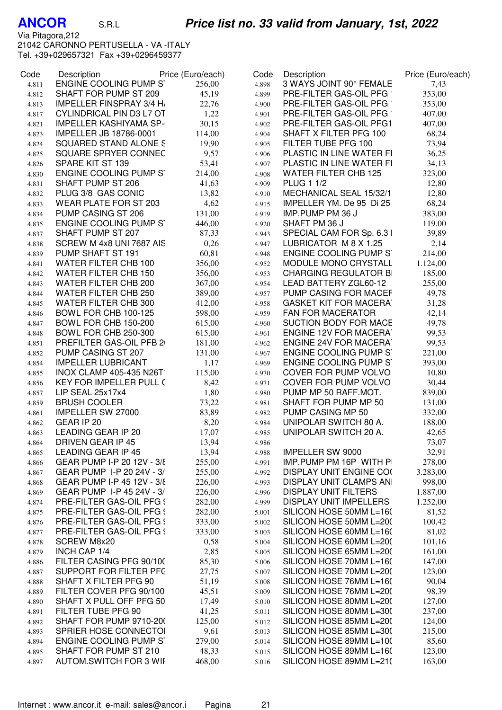| Code           | Description                    | Price (Euro/each) | Code  | Description                    | Price (Euro/each) |
|----------------|--------------------------------|-------------------|-------|--------------------------------|-------------------|
| 4.811          | ENGINE COOLING PUMP ST         | 256,00            | 4.898 | 3 WAYS JOINT 90° FEMALE        | 7,43              |
| 4.812          | SHAFT FOR PUMP ST 209          | 45,19             | 4.899 | PRE-FILTER GAS-OIL PFG         | 353,00            |
| 4.813          | IMPELLER FINSPRAY 3/4 H        | 22,76             | 4.900 | PRE-FILTER GAS-OIL PFG         | 353,00            |
| 4.817          | CYLINDRICAL PIN D3 L7 OT       | 1,22              | 4.901 | PRE-FILTER GAS-OIL PFG         | 407,00            |
| 4.821          | <b>IMPELLER KASHIYAMA SP-</b>  | 30,15             | 4.902 | PRE-FILTER GAS-OIL PFG1        | 407,00            |
| 4.823          | IMPELLER JB 18786-0001         | 114,00            | 4.904 | SHAFT X FILTER PFG 100         | 68,24             |
| 4.824          | <b>SQUARED STAND ALONE S</b>   | 19,90             | 4.905 | FILTER TUBE PFG 100            | 73,94             |
| 4.825          | <b>SQUARE SPRYER CONNEC</b>    | 9,57              | 4.906 | PLASTIC IN LINE WATER FI       | 36,25             |
| 4.826          | SPARE KIT ST 139               | 53,41             | 4.907 | PLASTIC IN LINE WATER FI       | 34,13             |
| 4.830          | ENGINE COOLING PUMP ST         | 214,00            | 4.908 | <b>WATER FILTER CHB 125</b>    | 323,00            |
| 4.831          | SHAFT PUMP ST 206              | 41,63             | 4.909 | <b>PLUG 1 1/2</b>              | 12,80             |
| 4.832          | PLUG 3/8 GAS CONIC             | 13,82             | 4.910 | MECHANICAL SEAL 15/32/1        | 12,80             |
| 4.833          | WEAR PLATE FOR ST 203          | 4,62              | 4.915 | IMPELLER YM. De 95 Di 25       | 68,24             |
| 4.834          | PUMP CASING ST 206             | 131,00            | 4.919 | IMP.PUMP PM 36 J               | 383,00            |
| 4.835          | ENGINE COOLING PUMP ST         | 446,00            | 4.920 | SHAFT PM 36 J                  | 119,00            |
| 4.837          | SHAFT PUMP ST 207              | 87,33             | 4.943 | SPECIAL CAM FOR Sp. 6.3 I      | 39,89             |
| 4.838          | SCREW M 4x8 UNI 7687 AIS       | 0,26              | 4.947 | LUBRICATOR M 8 X 1.25          | 2,14              |
| 4.839          | PUMP SHAFT ST 191              | 60,81             | 4.948 | ENGINE COOLING PUMP ST         | 214,00            |
| 4.841          | <b>WATER FILTER CHB 100</b>    | 356,00            | 4.952 | MODULE MONO CRYSTALL           | 1.124,00          |
| 4.842          | WATER FILTER CHB 150           | 356,00            | 4.953 | <b>CHARGING REGULATOR BI</b>   | 185,00            |
|                | WATER FILTER CHB 200           | 367,00            | 4.954 | LEAD BATTERY ZGL60-12          | 255,00            |
| 4.843<br>4.844 | WATER FILTER CHB 250           | 389,00            | 4.957 | PUMP CASING FOR MACEF          | 49,78             |
|                | WATER FILTER CHB 300           |                   |       | <b>GASKET KIT FOR MACERA</b>   |                   |
| 4.845          |                                | 412,00            | 4.958 |                                | 31,28             |
| 4.846          | BOWL FOR CHB 100-125           | 598,00            | 4.959 | <b>FAN FOR MACERATOR</b>       | 42,14             |
| 4.847          | BOWL FOR CHB 150-200           | 615,00            | 4.960 | SUCTION BODY FOR MACE          | 49,78             |
| 4.848          | BOWL FOR CHB 250-300           | 615,00            | 4.961 | ENGINE 12V FOR MACERAT         | 99,53             |
| 4.851          | PREFILTER GAS-OIL PFB 2        | 181,00            | 4.962 | ENGINE 24V FOR MACERAT         | 99,53             |
| 4.852          | PUMP CASING ST 207             | 131,00            | 4.967 | ENGINE COOLING PUMP ST         | 221,00            |
| 4.854          | <b>IMPELLER LUBRICANT</b>      | 1,17              | 4.969 | ENGINE COOLING PUMP ST         | 393,00            |
| 4.855          | INOX CLAMP 405-435 N26T        | 115,00            | 4.970 | COVER FOR PUMP VOLVO           | 10,80             |
| 4.856          | <b>KEY FOR IMPELLER PULL (</b> | 8,42              | 4.971 | COVER FOR PUMP VOLVO           | 30,44             |
| 4.857          | LIP SEAL 25x17x4               | 1,80              | 4.980 | PUMP MP 50 RAFF.MOT.           | 839,00            |
| 4.859          | <b>BRUSH COOLER</b>            | 73,22             | 4.981 | SHAFT FOR PUMP MP 50           | 131,00            |
| 4.861          | IMPELLER SW 27000              | 83,89             | 4.982 | PUMP CASING MP 50              | 332,00            |
| 4.862          | GEAR IP 20                     | 8,20              | 4.984 | UNIPOLAR SWITCH 80 A.          | 188,00            |
| 4.863          | <b>LEADING GEAR IP 20</b>      | 17,07             | 4.985 | UNIPOLAR SWITCH 20 A.          | 42,65             |
| 4.864          | DRIVEN GEAR IP 45              | 13,94             | 4.986 |                                | 73,07             |
| 4.865          | <b>LEADING GEAR IP 45</b>      | 13,94             | 4.988 | <b>IMPELLER SW 9000</b>        | 32,91             |
| 4.866          | GEAR PUMP I-P 20 12V - 3/8     | 255,00            | 4.991 | IMP.PUMP PM 16P WITH PI        | 278,00            |
| 4.867          | GEAR PUMP I-P 20 24V - 3/      | 255,00            | 4.992 | <b>DISPLAY UNIT ENGINE CO(</b> | 3.283,00          |
| 4.868          | GEAR PUMP I-P 45 12V - 3/8     | 226,00            | 4.993 | <b>DISPLAY UNIT CLAMPS ANI</b> | 998,00            |
| 4.869          | GEAR PUMP I-P 45 24V - 3/      | 226,00            | 4.996 | <b>DISPLAY UNIT FILTERS</b>    | 1.887,00          |
| 4.874          | PRE-FILTER GAS-OIL PFG !       | 282,00            | 4.999 | <b>DISPLAY UNIT IMPELLERS</b>  | 1.252,00          |
| 4.875          | PRE-FILTER GAS-OIL PFG !       | 282,00            | 5.001 | SILICON HOSE 50MM L=160        | 81,52             |
| 4.876          | PRE-FILTER GAS-OIL PFG !       | 333,00            | 5.002 | SILICON HOSE 50MM L=200        | 100,42            |
| 4.877          | PRE-FILTER GAS-OIL PFG !       | 333,00            | 5.003 | SILICON HOSE 60MM L=160        | 81,02             |
| 4.878          | SCREW M8x20                    | 0,58              | 5.004 | SILICON HOSE 60MM L=200        | 101,16            |
| 4.879          | INCH CAP 1/4                   | 2,85              | 5.005 | SILICON HOSE 65MM L=200        | 161,00            |
| 4.886          | FILTER CASING PFG 90/100       | 85,30             | 5.006 | SILICON HOSE 70MM L=160        | 147,00            |
| 4.887          | SUPPORT FOR FILTER PFC         | 27,75             | 5.007 | SILICON HOSE 70MM L=200        | 123,00            |
| 4.888          | SHAFT X FILTER PFG 90          | 51,19             | 5.008 | SILICON HOSE 76MM L=160        | 90,04             |
| 4.889          | FILTER COVER PFG 90/100        | 45,51             | 5.009 | SILICON HOSE 76MM L=200        | 98,39             |
| 4.890          | SHAFT X PULL OFF PFG 50        | 17,49             | 5.010 | SILICON HOSE 80MM L=200        | 127,00            |
| 4.891          | FILTER TUBE PFG 90             | 41,25             | 5.011 | SILICON HOSE 80MM L=300        | 237,00            |
| 4.892          | SHAFT FOR PUMP 9710-200        | 125,00            | 5.012 | SILICON HOSE 85MM L=200        | 124,00            |
| 4.893          | SPRIER HOSE CONNECTOI          | 9,61              | 5.013 | SILICON HOSE 85MM L=300        | 215,00            |
| 4.894          | ENGINE COOLING PUMP ST         | 279,00            | 5.014 | SILICON HOSE 89MM L=100        | 85,60             |
| 4.895          | SHAFT FOR PUMP ST 210          | 48,33             | 5.015 | SILICON HOSE 89MM L=160        | 123,00            |
| 4.897          | <b>AUTOM.SWITCH FOR 3 WII</b>  | 468,00            | 5.016 | SILICON HOSE 89MM L=210        | 163,00            |
|                |                                |                   |       |                                |                   |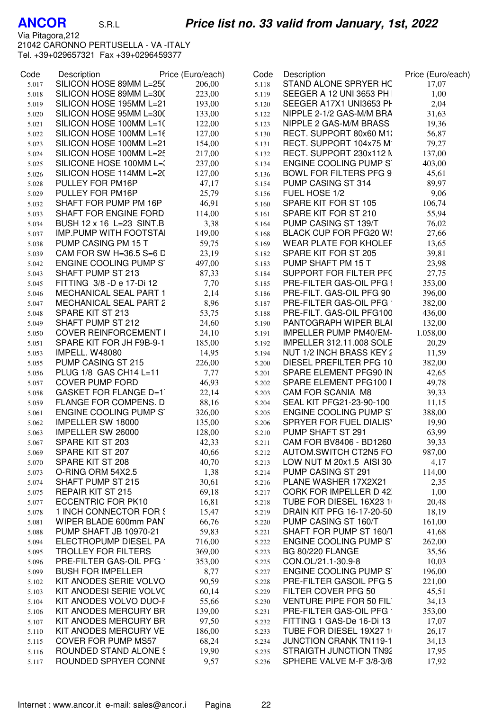| Code  | Description                   | Price (Euro/each) | Code  | Description                     | Price (Euro/each) |
|-------|-------------------------------|-------------------|-------|---------------------------------|-------------------|
| 5.017 | SILICON HOSE 89MM L=250       | 206,00            | 5.118 | STAND ALONE SPRYER HC           | 17,07             |
| 5.018 | SILICON HOSE 89MM L=300       | 223,00            | 5.119 | SEEGER A 12 UNI 3653 PH         | 1,00              |
| 5.019 | SILICON HOSE 195MM L=21       | 193,00            | 5.120 | SEEGER A17X1 UNI3653 PH         | 2,04              |
| 5.020 | SILICON HOSE 95MM L=300       | 133,00            | 5.122 | NIPPLE 2-1/2 GAS-M/M BRA        | 31,63             |
| 5.021 | SILICON HOSE 100MM L=10       | 122,00            | 5.123 | NIPPLE 2 GAS-M/M BRASS          | 19,36             |
| 5.022 | SILICON HOSE 100MM L=16       | 127,00            | 5.130 | RECT. SUPPORT 80x60 M1:         | 56,87             |
| 5.023 | SILICON HOSE 100MM L=21       | 154,00            | 5.131 | RECT. SUPPORT 104x75 M          | 79,27             |
| 5.024 | SILICON HOSE 100MM L=25       | 217,00            | 5.132 | RECT. SUPPORT 230x112 N         | 137,00            |
| 5.025 | SILICONE HOSE 100MM L=        | 237,00            | 5.134 | ENGINE COOLING PUMP ST          | 403,00            |
| 5.026 | SILICON HOSE 114MM L=20       | 127,00            | 5.136 | <b>BOWL FOR FILTERS PFG 9</b>   | 45,61             |
| 5.028 | PULLEY FOR PM16P              | 47,17             | 5.154 | PUMP CASING ST 314              | 89,97             |
| 5.029 | PULLEY FOR PM16P              | 25,79             | 5.156 | FUEL HOSE 1/2                   | 9,06              |
| 5.032 | SHAFT FOR PUMP PM 16P         | 46,91             | 5.160 | SPARE KIT FOR ST 105            | 106,74            |
| 5.033 | SHAFT FOR ENGINE FORD         | 114,00            | 5.161 | SPARE KIT FOR ST 210            | 55,94             |
| 5.034 | BUSH 12 x 16 L=23 SINT.B      | 3,38              | 5.164 | PUMP CASING ST 139/T            | 76,02             |
|       | <b>IMP.PUMP WITH FOOTSTAI</b> | 149,00            | 5.168 | BLACK CUP FOR PFG20 W!          | 27,66             |
| 5.037 | PUMP CASING PM 15 T           |                   |       | <b>WEAR PLATE FOR KHOLEF</b>    |                   |
| 5.038 |                               | 59,75             | 5.169 |                                 | 13,65             |
| 5.039 | CAM FOR SW H=36.5 S=6 D       | 23,19             | 5.182 | SPARE KIT FOR ST 205            | 39,81             |
| 5.042 | ENGINE COOLING PUMP ST        | 497,00            | 5.183 | PUMP SHAFT PM 15 T              | 23,98             |
| 5.043 | SHAFT PUMP ST 213             | 87,33             | 5.184 | SUPPORT FOR FILTER PFC          | 27,75             |
| 5.045 | FITTING 3/8 -D e 17-Di 12     | 7,70              | 5.185 | PRE-FILTER GAS-OIL PFG !        | 353,00            |
| 5.046 | MECHANICAL SEAL PART 1        | 2,14              | 5.186 | PRE-FILT. GAS-OIL PFG 90        | 396,00            |
| 5.047 | MECHANICAL SEAL PART 2        | 8,96              | 5.187 | PRE-FILTER GAS-OIL PFG          | 382,00            |
| 5.048 | SPARE KIT ST 213              | 53,75             | 5.188 | PRE-FILT. GAS-OIL PFG100        | 436,00            |
| 5.049 | SHAFT PUMP ST 212             | 24,60             | 5.190 | PANTOGRAPH WIPER BLAI           | 132,00            |
| 5.050 | <b>COVER REINFORCEMENT I</b>  | 24,10             | 5.191 | IMPELLER PUMP PM40/EM-          | 1.058,00          |
| 5.051 | SPARE KIT FOR JH F9B-9-1      | 185,00            | 5.192 | <b>IMPELLER 312.11.008 SOLE</b> | 20,29             |
| 5.053 | <b>IMPELL. W48080</b>         | 14,95             | 5.194 | NUT 1/2 INCH BRASS KEY 2        | 11,59             |
| 5.055 | PUMP CASING ST 215            | 226,00            | 5.200 | DIESEL PREFILTER PFG 10         | 382,00            |
| 5.056 | PLUG 1/8 GAS CH14 L=11        | 7,77              | 5.201 | SPARE ELEMENT PFG90 IN          | 42,65             |
| 5.057 | <b>COVER PUMP FORD</b>        | 46,93             | 5.202 | SPARE ELEMENT PFG100 I          | 49,78             |
| 5.058 | <b>GASKET FOR FLANGE D=1</b>  | 22,14             | 5.203 | CAM FOR SCANIA M8               | 39,33             |
| 5.059 | FLANGE FOR COMPENS. D         | 88,16             | 5.204 | SEAL KIT PFG21-23-90-100        | 11,15             |
| 5.061 | ENGINE COOLING PUMP ST        | 326,00            | 5.205 | ENGINE COOLING PUMP ST          | 388,00            |
| 5.062 | IMPELLER SW 18000             | 135,00            | 5.206 | SPRYER FOR FUEL DIALIS'         | 19,90             |
| 5.063 | IMPELLER SW 26000             | 128,00            | 5.210 | PUMP SHAFT ST 291               | 63,99             |
| 5.067 | SPARE KIT ST 203              | 42,33             | 5.211 | CAM FOR BV8406 - BD1260         | 39,33             |
| 5.069 | SPARE KIT ST 207              | 40,66             | 5.212 | AUTOM.SWITCH CT2N5 FO           | 987,00            |
| 5.070 | SPARE KIT ST 208              | 40,70             | 5.213 | LOW NUT M 20x1.5 AISI 30        | 4,17              |
| 5.073 | O-RING ORM 54X2.5             | 1,38              | 5.214 | PUMP CASING ST 291              | 114,00            |
| 5.074 | SHAFT PUMP ST 215             | 30,61             | 5.216 | PLANE WASHER 17X2X21            | 2,35              |
| 5.075 | <b>REPAIR KIT ST 215</b>      | 69,18             | 5.217 | <b>CORK FOR IMPELLER D 42</b>   | 1,00              |
| 5.077 | <b>ECCENTRIC FOR PK10</b>     | 16,81             | 5.218 | TUBE FOR DIESEL 16X23 1         | 20,48             |
| 5.078 | 1 INCH CONNECTOR FOR \$       | 15,47             | 5.219 | DRAIN KIT PFG 16-17-20-50       | 18,19             |
| 5.081 | WIPER BLADE 600mm PAN         | 66,76             | 5.220 | PUMP CASING ST 160/T            | 161,00            |
|       | PUMP SHAFT JB 10970-21        | 59,83             | 5.221 | SHAFT FOR PUMP ST 160/1         | 41,68             |
| 5.088 | ELECTROPUMP DIESEL PA         | 716,00            | 5.222 | ENGINE COOLING PUMP ST          | 262,00            |
| 5.094 | <b>TROLLEY FOR FILTERS</b>    | 369,00            |       | <b>BG 80/220 FLANGE</b>         |                   |
| 5.095 |                               |                   | 5.223 |                                 | 35,56             |
| 5.096 | PRE-FILTER GAS-OIL PFG        | 353,00            | 5.225 | CON.OL/21.1-30.9-8              | 10,03             |
| 5.099 | <b>BUSH FOR IMPELLER</b>      | 8,77              | 5.227 | ENGINE COOLING PUMP ST          | 196,00            |
| 5.102 | KIT ANODES SERIE VOLVO        | 90,59             | 5.228 | PRE-FILTER GASOIL PFG 5         | 221,00            |
| 5.103 | KIT ANODESI SERIE VOLVO       | 60,14             | 5.229 | FILTER COVER PFG 50             | 45,51             |
| 5.104 | KIT ANODES VOLVO DUO-F        | 55,66             | 5.230 | VENTURE PIPE FOR 50 FILT        | 34,13             |
| 5.106 | KIT ANODES MERCURY BR         | 139,00            | 5.231 | PRE-FILTER GAS-OIL PFG          | 353,00            |
| 5.107 | KIT ANODES MERCURY BR         | 97,50             | 5.232 | FITTING 1 GAS-De 16-Di 13       | 17,07             |
| 5.110 | KIT ANODES MERCURY VE         | 186,00            | 5.233 | TUBE FOR DIESEL 19X27 1         | 26,17             |
| 5.115 | <b>COVER FOR PUMP MS57</b>    | 68,24             | 5.234 | <b>JUNCTION CRANK TN119-1</b>   | 34,13             |
| 5.116 | <b>ROUNDED STAND ALONE §</b>  | 19,90             | 5.235 | STRAIGTH JUNCTION TN92          | 17,95             |
| 5.117 | ROUNDED SPRYER CONNE          | 9,57              | 5.236 | SPHERE VALVE M-F 3/8-3/8        | 17,92             |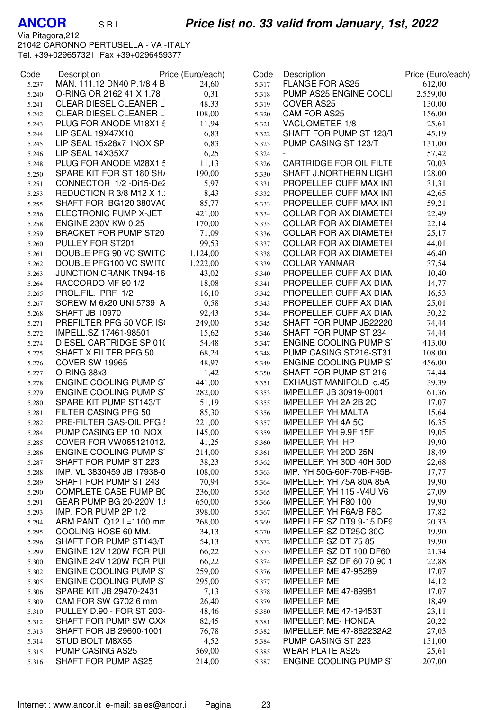| Code  | Description                   | Price (Euro/each) | Code  | Description                      | Price (Euro/each) |
|-------|-------------------------------|-------------------|-------|----------------------------------|-------------------|
| 5.237 | MAN. 111.12 DN40 P.1/8 4 B    | 24,60             | 5.317 | <b>FLANGE FOR AS25</b>           | 612,00            |
| 5.240 | O-RING OR 2162 41 X 1.78      | 0,31              | 5.318 | PUMP AS25 ENGINE COOLI           | 2.559,00          |
| 5.241 | CLEAR DIESEL CLEANER L        | 48,33             | 5.319 | <b>COVER AS25</b>                | 130,00            |
| 5.242 | CLEAR DIESEL CLEANER L        | 108,00            | 5.320 | CAM FOR AS25                     | 156,00            |
| 5.243 | PLUG FOR ANODE M18X1.5        | 11,94             | 5.321 | VACUOMETER 1/8                   | 25,61             |
| 5.244 | <b>LIP SEAL 19X47X10</b>      | 6,83              | 5.322 | SHAFT FOR PUMP ST 123/1          | 45,19             |
| 5.245 | LIP SEAL 15x28x7 INOX SP      | 6,83              | 5.323 | PUMP CASING ST 123/T             | 131,00            |
| 5.246 | LIP SEAL 14X35X7              | 6,25              | 5.324 |                                  | 57,42             |
| 5.248 | PLUG FOR ANODE M28X1.5        | 11,13             | 5.326 | <b>CARTRIDGE FOR OIL FILTE</b>   | 70,03             |
| 5.250 | SPARE KIT FOR ST 180 SH       | 190,00            | 5.330 | SHAFT J.NORTHERN LIGHT           | 128,00            |
| 5.251 | CONNECTOR 1/2 - Di15-De2      | 5,97              | 5.331 | PROPELLER CUFF MAX IN1           | 31,31             |
| 5.253 | REDUCTION R 3/8 M12 X 1.      | 8,43              | 5.332 | PROPELLER CUFF MAX INT           | 42,65             |
| 5.255 | SHAFT FOR BG120 380VAC        | 85,77             | 5.333 | PROPELLER CUFF MAX INT           | 59,21             |
| 5.256 | ELECTRONIC PUMP X-JET         | 421,00            | 5.334 | <b>COLLAR FOR AX DIAMETEI</b>    | 22,49             |
| 5.258 | <b>ENGINE 230V KW 0.25</b>    | 170,00            | 5.335 | <b>COLLAR FOR AX DIAMETEI</b>    | 22,14             |
| 5.259 | <b>BRACKET FOR PUMP ST20</b>  | 71,09             | 5.336 | <b>COLLAR FOR AX DIAMETEI</b>    | 25,17             |
| 5.260 | PULLEY FOR ST201              | 99,53             | 5.337 | <b>COLLAR FOR AX DIAMETEI</b>    | 44,01             |
| 5.261 | DOUBLE PFG 90 VC SWITC        | 1.124,00          | 5.338 | <b>COLLAR FOR AX DIAMETEI</b>    | 46,40             |
|       | DOUBLE PFG100 VC SWIT(        | 1.222,00          | 5.339 | <b>COLLAR YANMAR</b>             | 37,54             |
| 5.262 | <b>JUNCTION CRANK TN94-16</b> | 43,02             |       | PROPELLER CUFF AX DIAN           |                   |
| 5.263 | RACCORDO MF 90 1/2            |                   | 5.340 |                                  | 10,40             |
| 5.264 |                               | 18,08             | 5.341 | PROPELLER CUFF AX DIAN           | 14,77             |
| 5.265 | PROL.FIL. PRF 1/2             | 16,10             | 5.342 | PROPELLER CUFF AX DIAN           | 16,53             |
| 5.267 | SCREW M 6x20 UNI 5739 A       | 0,58              | 5.343 | PROPELLER CUFF AX DIAN           | 25,01             |
| 5.268 | SHAFT JB 10970                | 92,43             | 5.344 | PROPELLER CUFF AX DIAN           | 30,22             |
| 5.271 | PREFILTER PFG 50 VCR ISC      | 249,00            | 5.345 | SHAFT FOR PUMP JB22220           | 74,44             |
| 5.272 | IMPELL.SZ 17461-98501         | 15,62             | 5.346 | SHAFT FOR PUMP ST 234            | 74,44             |
| 5.274 | DIESEL CARTRIDGE SP 01(       | 54,48             | 5.347 | ENGINE COOLING PUMP ST           | 413,00            |
| 5.275 | SHAFT X FILTER PFG 50         | 68,24             | 5.348 | PUMP CASING ST216-ST31           | 108,00            |
| 5.276 | <b>COVER SW 19965</b>         | 48,97             | 5.349 | ENGINE COOLING PUMP ST           | 456,00            |
| 5.277 | O-RING 38x3                   | 1,42              | 5.350 | SHAFT FOR PUMP ST 216            | 74,44             |
| 5.278 | ENGINE COOLING PUMP ST        | 441,00            | 5.351 | EXHAUST MANIFOLD d.45            | 39,39             |
| 5.279 | ENGINE COOLING PUMP ST        | 282,00            | 5.353 | IMPELLER JB 30919-0001           | 61,36             |
| 5.280 | SPARE KIT PUMP ST143/T        | 51,19             | 5.355 | IMPELLER YH 2A 2B 2C             | 17,07             |
| 5.281 | FILTER CASING PFG 50          | 85,30             | 5.356 | <b>IMPELLER YH MALTA</b>         | 15,64             |
| 5.282 | PRE-FILTER GAS-OIL PFG!       | 221,00            | 5.357 | IMPELLER YH 4A 5C                | 16,35             |
| 5.284 | PUMP CASING EP 10 INOX        | 145,00            | 5.359 | IMPELLER YH 9.9F 15F             | 19,05             |
| 5.285 | COVER FOR VW065121012.        | 41,25             | 5.360 | <b>IMPELLER YH HP</b>            | 19,90             |
| 5.286 | ENGINE COOLING PUMP ST        | 214,00            | 5.361 | IMPELLER YH 20D 25N              | 18,49             |
| 5.287 | SHAFT FOR PUMP ST 223         | 38,23             | 5.362 | IMPELLER YH 30D 40H 50D          | 22,68             |
| 5.288 | IMP. VL 3830459 JB 17938-0    | 108,00            | 5.363 | IMP. YH 50G-60F-70B-F45B-        | 17,77             |
| 5.289 | SHAFT FOR PUMP ST 243         | 70,94             | 5.364 | IMPELLER YH 75A 80A 85A          | 19,90             |
| 5.290 | COMPLETE CASE PUMP BC         | 236,00            | 5.365 | IMPELLER YH 115 - V4U.V6         | 27,09             |
| 5.291 | GEAR PUMP BG 20-220V 1.       | 650,00            | 5.366 | IMPELLER YH F80 100              | 19,90             |
| 5.293 | IMP. FOR PUMP 2P 1/2          | 398,00            | 5.367 | IMPELLER YH F6A/B F8C            | 17,82             |
| 5.294 | ARM PANT. Q12 L=1100 mm       | 268,00            | 5.369 | IMPELLER SZ DT9.9-15 DF9         | 20,33             |
| 5.295 | COOLING HOSE 60 MM.           | 34,13             | 5.370 | IMPELLER SZ DT25C 30C            | 19,90             |
| 5.296 | SHAFT FOR PUMP ST143/T        | 54,13             | 5.372 | IMPELLER SZ DT 75 85             | 19,90             |
| 5.299 | ENGINE 12V 120W FOR PUI       | 66,22             | 5.373 | IMPELLER SZ DT 100 DF60          | 21,34             |
| 5.300 | ENGINE 24V 120W FOR PUI       | 66,22             | 5.374 | <b>IMPELLER SZ DF 60 70 90 1</b> | 22,88             |
| 5.302 | ENGINE COOLING PUMP ST        | 259,00            | 5.376 | IMPELLER ME 47-95289             | 17,07             |
| 5.305 | ENGINE COOLING PUMP ST        | 295,00            | 5.377 | <b>IMPELLER ME</b>               | 14,12             |
| 5.306 | SPARE KIT JB 29470-2431       | 7,13              | 5.378 | IMPELLER ME 47-89981             | 17,07             |
| 5.309 | CAM FOR SW G702 6 mm          | 26,40             | 5.379 | <b>IMPELLER ME</b>               | 18,49             |
| 5.310 | PULLEY D.90 - FOR ST 203-     | 48,46             | 5.380 | IMPELLER ME 47-19453T            | 23,11             |
| 5.312 | SHAFT FOR PUMP SW GXX         | 82,45             | 5.381 | <b>IMPELLER ME- HONDA</b>        | 20,22             |
| 5.313 | SHAFT FOR JB 29600-1001       | 76,78             | 5.382 | <b>IMPELLER ME 47-862232A2</b>   | 27,03             |
| 5.314 | STUD BOLT M8X55               | 4,52              | 5.384 | PUMP CASING ST 223               | 131,00            |
| 5.315 | PUMP CASING AS25              | 569,00            | 5.385 | <b>WEAR PLATE AS25</b>           | 25,61             |
|       | SHAFT FOR PUMP AS25           | 214,00            |       | ENGINE COOLING PUMP ST           | 207,00            |
| 5.316 |                               |                   | 5.387 |                                  |                   |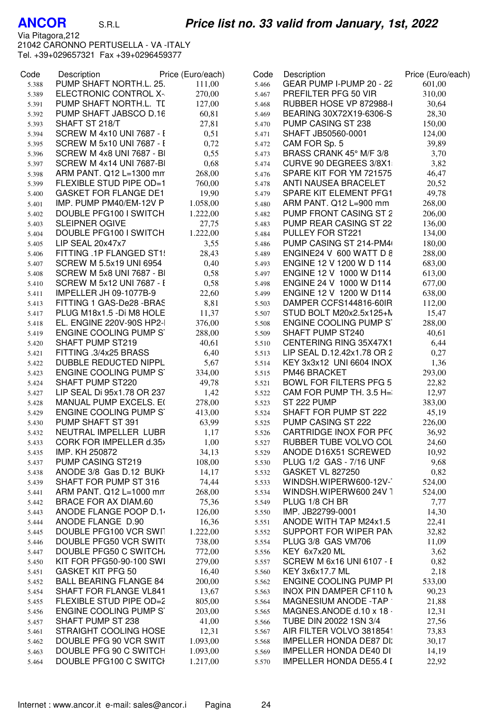| Code  | Description                      | Price (Euro/each) | Code  | Description                      | Price (Euro/each) |
|-------|----------------------------------|-------------------|-------|----------------------------------|-------------------|
| 5.388 | PUMP SHAFT NORTH.L. 25.          | 111,00            | 5.466 | GEAR PUMP I-PUMP 20 - 22         | 601,00            |
| 5.389 | ELECTRONIC CONTROL X-            | 270,00            | 5.467 | PREFILTER PFG 50 VIR             | 310,00            |
| 5.391 | PUMP SHAFT NORTH.L. TE           | 127,00            | 5.468 | RUBBER HOSE VP 872988-I          | 30,64             |
| 5.392 | PUMP SHAFT JABSCO D.16           | 60,81             | 5.469 | BEARING 30X72X19-6306-S          | 28,30             |
| 5.393 | SHAFT ST 218/T                   | 27,81             | 5.470 | PUMP CASING ST 238               | 150,00            |
| 5.394 | SCREW M 4x10 UNI 7687 - I        | 0,51              | 5.471 | SHAFT JB50560-0001               | 124,00            |
| 5.395 | <b>SCREW M 5x10 UNI 7687 - I</b> | 0,72              | 5.472 | CAM FOR Sp. 5                    | 39,89             |
| 5.396 | <b>SCREW M 4x8 UNI 7687 - BI</b> | 0,55              | 5.473 | BRASS CRANK 45° M/F 3/8          | 3,70              |
| 5.397 | SCREW M 4x14 UNI 7687-BI         | 0,68              | 5.474 | CURVE 90 DEGREES 3/8X1           | 3,82              |
| 5.398 | ARM PANT. Q12 L=1300 mm          | 268,00            | 5.476 | SPARE KIT FOR YM 721575          | 46,47             |
| 5.399 | FLEXIBLE STUD PIPE OD=1          | 760,00            | 5.478 | ANTI NAUSEA BRACELET             | 20,52             |
| 5.400 | <b>GASKET FOR FLANGE DE1</b>     | 19,90             | 5.479 | SPARE KIT ELEMENT PFG1           | 49,78             |
| 5.401 | IMP. PUMP PM40/EM-12V P          | 1.058,00          | 5.480 | ARM PANT. Q12 L=900 mm           | 268,00            |
| 5.402 | DOUBLE PFG100 I SWITCH           | 1.222,00          | 5.482 | PUMP FRONT CASING ST 2           | 206,00            |
| 5.403 | <b>SLEIPNER OGIVE</b>            | 27,75             | 5.483 | PUMP REAR CASING ST 22           | 136,00            |
|       | DOUBLE PFG100 I SWITCH           | 1.222,00          | 5.484 | PULLEY FOR ST221                 | 134,00            |
| 5.404 | LIP SEAL 20x47x7                 | 3,55              |       | PUMP CASING ST 214-PM4           | 180,00            |
| 5.405 | FITTING .1P FLANGED ST1!         |                   | 5.486 | ENGINE24 V 600 WATT D 8          |                   |
| 5.406 |                                  | 28,43             | 5.489 |                                  | 288,00            |
| 5.407 | <b>SCREW M 5.5x19 UNI 6954</b>   | 0,40              | 5.493 | ENGINE 12 V 1200 W D 114         | 683,00            |
| 5.408 | <b>SCREW M 5x8 UNI 7687 - BI</b> | 0,58              | 5.497 | ENGINE 12 V 1000 W D114          | 613,00            |
| 5.410 | <b>SCREW M 5x12 UNI 7687 - I</b> | 0,58              | 5.498 | ENGINE 24 V 1000 W D114          | 677,00            |
| 5.411 | IMPELLER JH 09-1077B-9           | 22,60             | 5.499 | ENGINE 12 V 1200 W D114          | 638,00            |
| 5.413 | FITTING 1 GAS-De28 - BRAS        | 8,81              | 5.503 | DAMPER CCFS144816-60IR           | 112,00            |
| 5.417 | PLUG M18x1.5 - Di M8 HOLE        | 11,37             | 5.507 | STUD BOLT M20x2.5x125+N          | 15,47             |
| 5.418 | EL. ENGINE 220V-90S HP2-I        | 376,00            | 5.508 | ENGINE COOLING PUMP ST           | 288,00            |
| 5.419 | ENGINE COOLING PUMP ST           | 288,00            | 5.509 | SHAFT PUMP ST240                 | 40,61             |
| 5.420 | SHAFT PUMP ST219                 | 40,61             | 5.510 | CENTERING RING 35X47X1           | 6,44              |
| 5.421 | FITTING .3/4x25 BRASS            | 6,40              | 5.513 | LIP SEAL D.12.42x1.78 OR 2       | 0,27              |
| 5.422 | DUBBLE REDUCTED NIPPL            | 5,67              | 5.514 | KEY 3x3x12 UNI 6604 INOX         | 1,36              |
| 5.423 | ENGINE COOLING PUMP ST           | 334,00            | 5.515 | PM46 BRACKET                     | 293,00            |
| 5.424 | SHAFT PUMP ST220                 | 49,78             | 5.521 | <b>BOWL FOR FILTERS PFG 5</b>    | 22,82             |
| 5.427 | LIP SEAL Di 95x1.78 OR 237       | 1,42              | 5.522 | CAM FOR PUMP TH. $3.5$ H=        | 12,97             |
| 5.428 | MANUAL PUMP EXCELS. E(           | 278,00            | 5.523 | ST 222 PUMP                      | 383,00            |
| 5.429 | ENGINE COOLING PUMP ST           | 413,00            | 5.524 | SHAFT FOR PUMP ST 222            | 45,19             |
| 5.430 | PUMP SHAFT ST 391                | 63,99             | 5.525 | PUMP CASING ST 222               | 226,00            |
| 5.432 | NEUTRAL IMPELLER LUBR            | 1,17              | 5.526 | CARTRIDGE INOX FOR PF(           | 36,92             |
| 5.433 | CORK FOR IMPELLER d.35>          | 1,00              | 5.527 | RUBBER TUBE VOLVO COL            | 24,60             |
| 5.435 | IMP. KH 250872                   | 34,13             | 5.529 | ANODE D16X51 SCREWED             | 10,92             |
| 5.437 | PUMP CASING ST219                | 108,00            | 5.530 | PLUG 1/2 GAS - 7/16 UNF          | 9,68              |
| 5.438 | ANODE 3/8 Gas D.12 BUKH          | 14,17             | 5.532 | <b>GASKET VL 827250</b>          | 0,82              |
| 5.439 | SHAFT FOR PUMP ST 316            | 74,44             | 5.533 | WINDSH.WIPERW600-12V-            | 524,00            |
| 5.441 | ARM PANT. Q12 L=1000 mm          | 268,00            | 5.534 | WINDSH.WIPERW600 24V 1           | 524,00            |
| 5.442 | BRACE FOR AX DIAM.60             | 75,36             | 5.549 | PLUG 1/8 CH BR                   | 7,77              |
| 5.443 | ANODE FLANGE POOP D.1            | 126,00            | 5.550 | IMP. JB22799-0001                | 14,30             |
| 5.444 | ANODE FLANGE D.90                | 16,36             | 5.551 | ANODE WITH TAP M24x1.5           | 22,41             |
|       | DOUBLE PFG100 VCR SWIT           | 1.222,00          |       | SUPPORT FOR WIPER PAN            | 32,82             |
| 5.445 | DOUBLE PFG50 VCR SWIT(           |                   | 5.552 | PLUG 3/8 GAS VM706               |                   |
| 5.446 | DOUBLE PFG50 C SWITCH.           | 738,00            | 5.554 |                                  | 11,09             |
| 5.447 |                                  | 772,00            | 5.556 | KEY 6x7x20 ML                    | 3,62              |
| 5.450 | KIT FOR PFG50-90-100 SWI         | 279,00            | 5.557 | <b>SCREW M 6x16 UNI 6107 - I</b> | 0,82              |
| 5.451 | <b>GASKET KIT PFG 50</b>         | 16,40             | 5.560 | KEY 3x6x17.7 ML                  | 2,18              |
| 5.452 | <b>BALL BEARING FLANGE 84</b>    | 200,00            | 5.562 | ENGINE COOLING PUMP PI           | 533,00            |
| 5.454 | SHAFT FOR FLANGE VL841           | 13,67             | 5.563 | <b>INOX PIN DAMPER CF110 N</b>   | 90,23             |
| 5.455 | FLEXIBLE STUD PIPE OD=2          | 805,00            | 5.564 | MAGNESIUM ANODE -TAP             | 21,88             |
| 5.456 | ENGINE COOLING PUMP ST           | 203,00            | 5.565 | MAGNES.ANODE d.10 x 18 -         | 12,31             |
| 5.457 | SHAFT PUMP ST 238                | 41,00             | 5.566 | TUBE DIN 20022 1SN 3/4           | 27,56             |
| 5.461 | STRAIGHT COOLING HOSE            | 12,31             | 5.567 | AIR FILTER VOLVO 3818541         | 73,83             |
| 5.462 | DOUBLE PFG 90 VCR SWIT           | 1.093,00          | 5.568 | <b>IMPELLER HONDA DE87 DI:</b>   | 30,17             |
| 5.463 | DOUBLE PFG 90 C SWITCH           | 1.093,00          | 5.569 | <b>IMPELLER HONDA DE40 DI</b>    | 14,19             |
| 5.464 | DOUBLE PFG100 C SWITCH           | 1.217,00          | 5.570 | <b>IMPELLER HONDA DE55.4 [</b>   | 22,92             |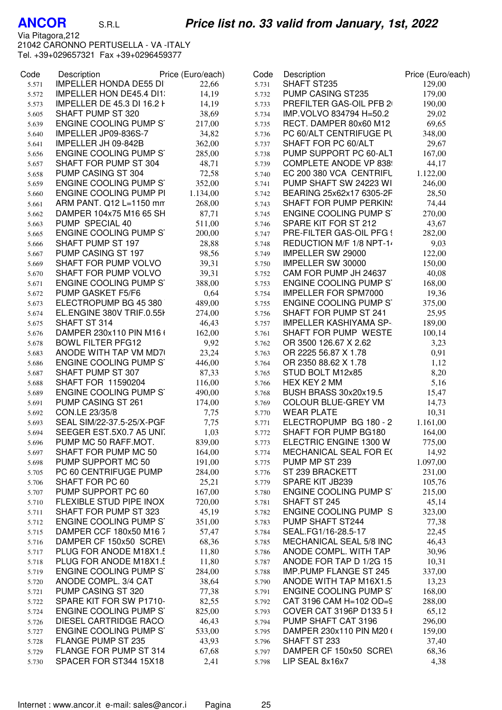| Code  | Description                       | Price (Euro/each) | Code  | Description                   | Price (Euro/each) |
|-------|-----------------------------------|-------------------|-------|-------------------------------|-------------------|
| 5.571 | <b>IMPELLER HONDA DE55 DI</b>     | 22,66             | 5.731 | SHAFT ST235                   | 129,00            |
| 5.572 | IMPELLER HON DE45.4 DI1:          | 14,19             | 5.732 | PUMP CASING ST235             | 179,00            |
| 5.573 | <b>IMPELLER DE 45.3 DI 16.2 F</b> | 14,19             | 5.733 | PREFILTER GAS-OIL PFB 2       | 190,00            |
| 5.605 | SHAFT PUMP ST 320                 | 38,69             | 5.734 | IMP.VOLVO 834794 H=50.2       | 29,02             |
| 5.639 | ENGINE COOLING PUMP ST            | 217,00            | 5.735 | RECT. DAMPER 80x60 M12        | 69,65             |
| 5.640 | IMPELLER JP09-836S-7              | 34,82             | 5.736 | PC 60/ALT CENTRIFUGE PL       | 348,00            |
| 5.641 | IMPELLER JH 09-842B               | 362,00            | 5.737 | SHAFT FOR PC 60/ALT           | 29,67             |
| 5.656 | ENGINE COOLING PUMP ST            | 285,00            | 5.738 | PUMP SUPPORT PC 60-ALT        | 167,00            |
| 5.657 | SHAFT FOR PUMP ST 304             | 48,71             | 5.739 | <b>COMPLETE ANODE VP 838</b>  | 44,17             |
| 5.658 | PUMP CASING ST 304                | 72,58             | 5.740 | EC 200 380 VCA CENTRIFL       | 1.122,00          |
| 5.659 | ENGINE COOLING PUMP ST            | 352,00            | 5.741 | PUMP SHAFT SW 24223 WI        | 246,00            |
| 5.660 | ENGINE COOLING PUMP PI            | 1.134,00          | 5.742 | BEARING 25x62x17 6305-2F      | 28,50             |
| 5.661 | ARM PANT. Q12 L=1150 mm           | 268,00            | 5.743 | <b>SHAFT FOR PUMP PERKIN:</b> | 74,44             |
| 5.662 | DAMPER 104x75 M16 65 SH           | 87,71             | 5.745 | ENGINE COOLING PUMP ST        | 270,00            |
| 5.663 | PUMP SPECIAL 40                   | 511,00            | 5.746 | SPARE KIT FOR ST 212          | 43,67             |
| 5.665 | ENGINE COOLING PUMP ST            | 200,00            | 5.747 | PRE-FILTER GAS-OIL PFG !      | 282,00            |
|       | SHAFT PUMP ST 197                 | 28,88             |       | REDUCTION M/F 1/8 NPT-1/      | 9,03              |
| 5.666 | PUMP CASING ST 197                |                   | 5.748 | IMPELLER SW 29000             |                   |
| 5.667 |                                   | 98,56             | 5.749 |                               | 122,00            |
| 5.669 | SHAFT FOR PUMP VOLVO              | 39,31             | 5.750 | IMPELLER SW 30000             | 150,00            |
| 5.670 | SHAFT FOR PUMP VOLVO              | 39,31             | 5.752 | CAM FOR PUMP JH 24637         | 40,08             |
| 5.671 | ENGINE COOLING PUMP ST            | 388,00            | 5.753 | ENGINE COOLING PUMP ST        | 168,00            |
| 5.672 | PUMP GASKET F5/F6                 | 0,64              | 5.754 | IMPELLER FOR SPM7000          | 19,36             |
| 5.673 | ELECTROPUMP BG 45 380             | 489,00            | 5.755 | ENGINE COOLING PUMP ST        | 375,00            |
| 5.674 | EL.ENGINE 380V TRIF.0.55          | 274,00            | 5.756 | SHAFT FOR PUMP ST 241         | 25,95             |
| 5.675 | SHAFT ST 314                      | 46,43             | 5.757 | IMPELLER KASHIYAMA SP-        | 189,00            |
| 5.676 | DAMPER 230x110 PIN M16 (          | 162,00            | 5.761 | SHAFT FOR PUMP WESTE          | 100,14            |
| 5.678 | <b>BOWL FILTER PFG12</b>          | 9,92              | 5.762 | OR 3500 126.67 X 2.62         | 3,23              |
| 5.683 | ANODE WITH TAP VM MD70            | 23,24             | 5.763 | OR 2225 56.87 X 1.78          | 0,91              |
| 5.686 | ENGINE COOLING PUMP ST            | 446,00            | 5.764 | OR 2350 88.62 X 1.78          | 1,12              |
| 5.687 | SHAFT PUMP ST 307                 | 87,33             | 5.765 | STUD BOLT M12x85              | 8,20              |
| 5.688 | SHAFT FOR 11590204                | 116,00            | 5.766 | HEX KEY 2 MM                  | 5,16              |
| 5.689 | ENGINE COOLING PUMP ST            | 490,00            | 5.768 | <b>BUSH BRASS 30x20x19.5</b>  | 15,47             |
| 5.691 | PUMP CASING ST 261                | 174,00            | 5.769 | <b>COLOUR BLUE-GREY VM</b>    | 14,73             |
| 5.692 | CON.LE 23/35/8                    | 7,75              | 5.770 | <b>WEAR PLATE</b>             | 10,31             |
| 5.693 | SEAL SIM/22-37.5-25/X-PGF         | 7,75              | 5.771 | ELECTROPUMP BG 180 - 2        | 1.161,00          |
| 5.694 | SEEGER EST.5X0.7 A5 UNI.          | 1,03              | 5.772 | SHAFT FOR PUMP BG180          | 164,00            |
| 5.696 | PUMP MC 50 RAFF.MOT.              | 839,00            | 5.773 | ELECTRIC ENGINE 1300 W        | 775,00            |
| 5.697 | SHAFT FOR PUMP MC 50              | 164,00            | 5.774 | MECHANICAL SEAL FOR E(        | 14,92             |
| 5.698 | PUMP SUPPORT MC 50                | 191,00            | 5.775 | PUMP MP ST 239                | 1.097,00          |
| 5.705 | PC 60 CENTRIFUGE PUMP             | 284,00            | 5.776 | ST 239 BRACKETT               | 231,00            |
| 5.706 | SHAFT FOR PC 60                   | 25,21             | 5.779 | SPARE KIT JB239               | 105,76            |
| 5.707 | PUMP SUPPORT PC 60                | 167,00            | 5.780 | ENGINE COOLING PUMP ST        | 215,00            |
| 5.710 | FLEXIBLE STUD PIPE INOX           | 720,00            | 5.781 | SHAFT ST 245                  | 45,14             |
|       | SHAFT FOR PUMP ST 323             | 45,19             | 5.782 | ENGINE COOLING PUMP S         | 323,00            |
| 5.711 | ENGINE COOLING PUMP ST            |                   |       | PUMP SHAFT ST244              |                   |
| 5.712 |                                   | 351,00            | 5.783 |                               | 77,38             |
| 5.715 | DAMPER CCF 180x50 M16 7           | 57,47             | 5.784 | SEAL.FG1/16-28.5-17           | 22,45             |
| 5.716 | DAMPER CF 150x50 SCRE\            | 68,36             | 5.785 | MECHANICAL SEAL 5/8 INC       | 46,43             |
| 5.717 | PLUG FOR ANODE M18X1.5            | 11,80             | 5.786 | ANODE COMPL. WITH TAP         | 30,96             |
| 5.718 | PLUG FOR ANODE M18X1.5            | 11,80             | 5.787 | ANODE FOR TAP D 1/2G 15       | 10,31             |
| 5.719 | ENGINE COOLING PUMP ST            | 284,00            | 5.788 | <b>IMP.PUMP FLANGE ST 245</b> | 337,00            |
| 5.720 | ANODE COMPL. 3/4 CAT              | 38,64             | 5.790 | ANODE WITH TAP M16X1.5        | 13,23             |
| 5.721 | PUMP CASING ST 320                | 77,38             | 5.791 | ENGINE COOLING PUMP ST        | 168,00            |
| 5.722 | SPARE KIT FOR SW P1710-           | 82,55             | 5.792 | CAT 3196 CAM H=102 OD=9       | 288,00            |
| 5.724 | ENGINE COOLING PUMP ST            | 825,00            | 5.793 | COVER CAT 3196P D133 5 I      | 65,12             |
| 5.726 | <b>DIESEL CARTRIDGE RACOL</b>     | 46,43             | 5.794 | PUMP SHAFT CAT 3196           | 296,00            |
| 5.727 | ENGINE COOLING PUMP ST            | 533,00            | 5.795 | DAMPER 230x110 PIN M20 (      | 159,00            |
| 5.728 | FLANGE PUMP ST 235                | 43,93             | 5.796 | SHAFT ST 233                  | 37,40             |
| 5.729 | FLANGE FOR PUMP ST 314            | 67,68             | 5.797 | DAMPER CF 150x50 SCREV        | 68,36             |
| 5.730 | SPACER FOR ST344 15X18            | 2,41              | 5.798 | LIP SEAL 8x16x7               | 4,38              |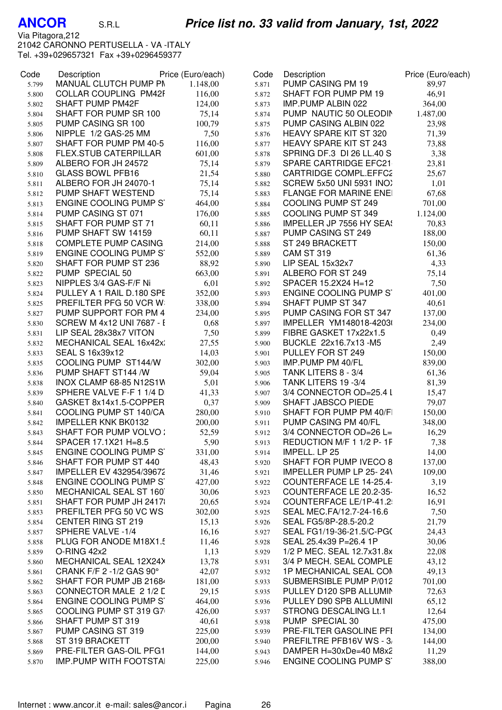| Code           | Description                      | Price (Euro/each) | Code           | Description                   | Price (Euro/each) |
|----------------|----------------------------------|-------------------|----------------|-------------------------------|-------------------|
| 5.799          | MANUAL CLUTCH PUMP PN            | 1.148,00          | 5.871          | PUMP CASING PM 19             | 89,97             |
| 5.800          | <b>COLLAR COUPLING PM42F</b>     | 116,00            | 5.872          | SHAFT FOR PUMP PM 19          | 46,91             |
| 5.802          | SHAFT PUMP PM42F                 | 124,00            | 5.873          | IMP.PUMP ALBIN 022            | 364,00            |
| 5.804          | SHAFT FOR PUMP SR 100            | 75,14             | 5.874          | PUMP NAUTIC 50 OLEODIN        | 1.487,00          |
| 5.805          | PUMP CASING SR 100               | 100,79            | 5.875          | PUMP CASING ALBIN 022         | 23,98             |
| 5.806          | NIPPLE 1/2 GAS-25 MM             | 7,50              | 5.876          | HEAVY SPARE KIT ST 320        | 71,39             |
| 5.807          | SHAFT FOR PUMP PM 40-5           | 116,00            | 5.877          | HEAVY SPARE KIT ST 243        | 73,88             |
| 5.808          | FLEX.STUB CATERPILLAR            | 601,00            | 5.878          | SPRING DF.3 DI 26 LL.40 S     | 3,38              |
| 5.809          | ALBERO FOR JH 24572              | 75,14             | 5.879          | SPARE CARTRIDGE EFC21         | 23,81             |
| 5.810          | <b>GLASS BOWL PFB16</b>          | 21,54             | 5.880          | <b>CARTRIDGE COMPL.EFFC2</b>  | 25,67             |
| 5.811          | ALBERO FOR JH 24070-1            | 75,14             | 5.882          | SCREW 5x50 UNI 5931 INO.      | 1,01              |
| 5.812          | PUMP SHAFT WESTEND               | 75,14             | 5.883          | <b>FLANGE FOR MARINE ENEI</b> | 67,68             |
| 5.813          | ENGINE COOLING PUMP ST           | 464,00            | 5.884          | COOLING PUMP ST 249           | 701,00            |
| 5.814          | PUMP CASING ST 071               | 176,00            | 5.885          | <b>COOLING PUMP ST 349</b>    | 1.124,00          |
| 5.815          | SHAFT FOR PUMP ST 71             | 60,11             | 5.886          | IMPELLER JP 7556 HY SEA!      | 70,83             |
| 5.816          | PUMP SHAFT SW 14159              | 60,11             | 5.887          | PUMP CASING ST 249            | 188,00            |
| 5.818          | <b>COMPLETE PUMP CASING</b>      | 214,00            | 5.888          | ST 249 BRACKETT               | 150,00            |
| 5.819          | ENGINE COOLING PUMP ST           | 552,00            | 5.889          | <b>CAM ST 319</b>             | 61,36             |
| 5.820          | SHAFT FOR PUMP ST 236            | 88,92             | 5.890          | LIP SEAL 15x32x7              | 4,33              |
| 5.822          | PUMP SPECIAL 50                  | 663,00            | 5.891          | ALBERO FOR ST 249             | 75,14             |
| 5.823          | NIPPLES 3/4 GAS-F/F Ni           | 6,01              | 5.892          | SPACER 15.2X24 H=12           | 7,50              |
| 5.824          | PULLEY A 1 RAIL D.180 SPE        | 352,00            | 5.893          | ENGINE COOLING PUMP ST        | 401,00            |
| 5.825          | PREFILTER PFG 50 VCR W           | 338,00            | 5.894          | SHAFT PUMP ST 347             | 40,61             |
| 5.827          | PUMP SUPPORT FOR PM 4            | 234,00            | 5.895          | PUMP CASING FOR ST 347        | 137,00            |
| 5.830          | <b>SCREW M 4x12 UNI 7687 - I</b> | 0,68              | 5.897          | IMPELLER YM148018-42030       | 234,00            |
| 5.831          | LIP SEAL 28x38x7 VITON           | 7,50              | 5.899          | FIBRE GASKET 17x22x1.5        | 0,49              |
| 5.832          | MECHANICAL SEAL 16x42x           | 27,55             | 5.900          | BUCKLE 22x16.7x13 -M5         | 2,49              |
| 5.833          | SEAL S 16x39x12                  | 14,03             | 5.901          | PULLEY FOR ST 249             | 150,00            |
| 5.835          | COOLING PUMP ST144/W             | 302,00            | 5.903          | IMP.PUMP PM 40/FL             | 839,00            |
| 5.836          | PUMP SHAFT ST144 /W              | 59,04             | 5.905          | TANK LITERS 8 - 3/4           | 61,36             |
| 5.838          | INOX CLAMP 68-85 N12S1W          | 5,01              | 5.906          | TANK LITERS 19 - 3/4          | 81,39             |
| 5.839          | SPHERE VALVE F-F 1 1/4 D         | 41,33             | 5.907          | 3/4 CONNECTOR OD=25.4 L       | 15,47             |
| 5.840          | GASKET 8x14x1.5-COPPER           | 0,37              | 5.909          | <b>SHAFT JABSCO PIEDE</b>     | 79,07             |
| 5.841          | COOLING PUMP ST 140/CA           | 280,00            | 5.910          | SHAFT FOR PUMP PM 40/F        | 150,00            |
| 5.842          | <b>IMPELLER KNK BK0132</b>       | 200,00            | 5.911          | PUMP CASING PM 40/FL          | 348,00            |
| 5.843          | SHAFT FOR PUMP VOLVO:            | 52,59             | 5.912          | 3/4 CONNECTOR OD=26 L=        | 16,29             |
| 5.844          | SPACER 17.1X21 H=8.5             | 5,90              | 5.913          | REDUCTION M/F 1 1/2 P-1F      | 7,38              |
| 5.845          | ENGINE COOLING PUMP ST           | 331,00            | 5.914          | IMPELL. LP 25                 | 14,00             |
| 5.846          | SHAFT FOR PUMP ST 440            | 48,43             | 5.920          | SHAFT FOR PUMP IVECO 8        | 137,00            |
| 5.847          | IMPELLER EV 432954/39672         | 31,46             | 5.921          | IMPELLER PUMP LP 25-24\       | 109,00            |
| 5.848          | ENGINE COOLING PUMP ST           | 427,00            | 5.922          | COUNTERFACE LE 14-25.4-       | 3,19              |
| 5.850          | MECHANICAL SEAL ST 160           | 30,06             | 5.923          | COUNTERFACE LE 20.2-35-       | 16,52             |
| 5.851          | SHAFT FOR PUMP JH 2417           | 20,65             | 5.924          | COUNTERFACE LE/1P-41.2        | 16,91             |
| 5.853          | PREFILTER PFG 50 VC WS           | 302,00            | 5.925          | SEAL MEC.FA/12.7-24-16.6      | 7,50              |
| 5.854          | <b>CENTER RING ST 219</b>        | 15,13             | 5.926          | SEAL FG5/8P-28.5-20.2         | 21,79             |
| 5.857          | SPHERE VALVE -1/4                | 16,16             | 5.927          | SEAL FG1/19-36-21.5/C-PG(     | 24,43             |
| 5.858          | PLUG FOR ANODE M18X1.5           | 11,46             | 5.928          | SEAL 25.4x39 P=26.4 1P        | 30,06             |
| 5.859          | O-RING 42x2                      | 1,13              | 5.929          | 1/2 P MEC. SEAL 12.7x31.8x    | 22,08             |
| 5.860          | MECHANICAL SEAL 12X24X           | 13,78             | 5.931          | 3/4 P MECH. SEAL COMPLE       | 43,12             |
| 5.861          | CRANK F/F 2 -1/2 GAS 90°         | 42,07             | 5.932          | <b>1P MECHANICAL SEAL CON</b> | 49,13             |
| 5.862          | SHAFT FOR PUMP JB 21684          | 181,00            | 5.933          | SUBMERSIBLE PUMP P/012        | 701,00            |
| 5.863          | CONNECTOR MALE 2 1/2 D           | 29,15             | 5.935          | PULLEY D120 SPB ALLUMIN       | 72,63             |
| 5.864          | ENGINE COOLING PUMP ST           | 464,00            | 5.936          | PULLEY D90 SPB ALLUMINI       | 65,12             |
|                | COOLING PUMP ST 319 G7           | 426,00            |                | STRONG DESCALING Lt.1         | 12,64             |
| 5.865          | SHAFT PUMP ST 319                | 40,61             | 5.937          | PUMP SPECIAL 30               | 475,00            |
| 5.866          | PUMP CASING ST 319               | 225,00            | 5.938<br>5.939 | PRE-FILTER GASOLINE PFI       | 134,00            |
| 5.867          | ST 319 BRACKETT                  | 200,00            |                | PREFILTRE PFB16V WS - 3/      | 144,00            |
| 5.868<br>5.869 | PRE-FILTER GAS-OIL PFG1          | 144,00            | 5.940<br>5.943 | DAMPER H=30xDe=40 M8x2        | 11,29             |
| 5.870          | <b>IMP.PUMP WITH FOOTSTAI</b>    | 225,00            | 5.946          | ENGINE COOLING PUMP ST        | 388,00            |
|                |                                  |                   |                |                               |                   |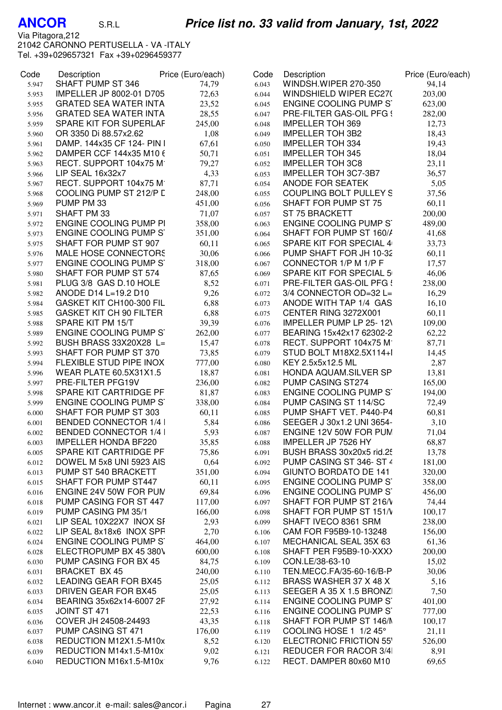| Code           | Description                                           | Price (Euro/each) | Code           | Description                                   | Price (Euro/each) |
|----------------|-------------------------------------------------------|-------------------|----------------|-----------------------------------------------|-------------------|
| 5.947          | SHAFT PUMP ST 346                                     | 74,79             | 6.043          | WINDSH.WIPER 270-350                          | 94,14             |
| 5.953          | IMPELLER JP 8002-01 D705                              | 72,63             | 6.044          | WINDSHIELD WIPER EC270                        | 203,00            |
| 5.955          | <b>GRATED SEA WATER INTA</b>                          | 23,52             | 6.045          | ENGINE COOLING PUMP ST                        | 623,00            |
| 5.956          | <b>GRATED SEA WATER INTA</b>                          | 28,55             | 6.047          | PRE-FILTER GAS-OIL PFG !                      | 282,00            |
| 5.959          | SPARE KIT FOR SUPERLAF                                | 245,00            | 6.048          | <b>IMPELLER TOH 369</b>                       | 12,73             |
| 5.960          | OR 3350 Di 88.57x2.62                                 | 1,08              | 6.049          | <b>IMPELLER TOH 3B2</b>                       | 18,43             |
| 5.961          | DAMP. 144x35 CF 124- PIN I                            | 67,61             | 6.050          | IMPELLER TOH 334                              | 19,43             |
| 5.962          | DAMPER CCF 144x35 M10 6                               | 50,71             | 6.051          | <b>IMPELLER TOH 345</b>                       | 18,04             |
| 5.963          | RECT. SUPPORT 104x75 M                                | 79,27             | 6.052          | <b>IMPELLER TOH 3C8</b>                       | 23,11             |
| 5.966          | LIP SEAL 16x32x7                                      | 4,33              | 6.053          | IMPELLER TOH 3C7-3B7                          | 36,57             |
| 5.967          | RECT. SUPPORT 104x75 M                                | 87,71             | 6.054          | ANODE FOR SEATEK                              | 5,05              |
| 5.968          | COOLING PUMP ST 212/P L                               | 248,00            | 6.055          | COUPLING BOLT PULLEY S                        | 37,56             |
| 5.969          | PUMP PM 33                                            | 451,00            | 6.056          | SHAFT FOR PUMP ST 75                          | 60,11             |
| 5.971          | SHAFT PM 33                                           | 71,07             | 6.057          | ST 75 BRACKETT                                | 200,00            |
| 5.972          | ENGINE COOLING PUMP PI                                | 358,00            | 6.063          | ENGINE COOLING PUMP ST                        | 489,00            |
| 5.973          | ENGINE COOLING PUMP ST                                | 351,00            | 6.064          | SHAFT FOR PUMP ST 160//                       | 41,68             |
| 5.975          | SHAFT FOR PUMP ST 907                                 | 60,11             | 6.065          | SPARE KIT FOR SPECIAL 4                       | 33,73             |
| 5.976          | MALE HOSE CONNECTORS                                  | 30,06             | 6.066          | PUMP SHAFT FOR JH 10-32                       | 60,11             |
| 5.977          | <b>ENGINE COOLING PUMP ST</b>                         | 318,00            | 6.067          | CONNECTOR 1/P M 1/P F                         | 17,57             |
| 5.980          | SHAFT FOR PUMP ST 574                                 | 87,65             | 6.069          | SPARE KIT FOR SPECIAL 5                       | 46,06             |
| 5.981          | PLUG 3/8 GAS D.10 HOLE                                | 8,52              | 6.071          | PRE-FILTER GAS-OIL PFG!                       | 238,00            |
| 5.982          | ANODE D14 L=19.2 D10                                  | 9,26              | 6.072          | 3/4 CONNECTOR OD=32 L=                        | 16,29             |
| 5.984          | GASKET KIT CH100-300 FIL                              | 6,88              | 6.073          | ANODE WITH TAP 1/4 GAS                        | 16,10             |
| 5.985          | <b>GASKET KIT CH 90 FILTER</b>                        | 6,88              | 6.075          | CENTER RING 3272X001                          | 60,11             |
| 5.988          | SPARE KIT PM 15/T                                     | 39,39             | 6.076          | IMPELLER PUMP LP 25-12\                       | 109,00            |
| 5.989          | ENGINE COOLING PUMP ST                                | 262,00            | 6.077          | BEARING 15x42x17 62302-2                      | 62,22             |
| 5.992          | BUSH BRASS 33X20X28 L=                                | 15,47             | 6.078          | RECT. SUPPORT 104x75 M                        | 87,71             |
| 5.993          | SHAFT FOR PUMP ST 370                                 | 73,85             | 6.079          | STUD BOLT M18X2.5X114+I                       | 14,45             |
| 5.994          | FLEXIBLE STUD PIPE INOX                               | 777,00            | 6.080          | KEY 2.5x5x12.5 ML                             | 2,87              |
| 5.996          | <b>WEAR PLATE 60.5X31X1.5</b>                         | 18,87             | 6.081          | HONDA AQUAM.SILVER SP                         | 13,81             |
| 5.997          | PRE-FILTER PFG19V                                     | 236,00            | 6.082          | PUMP CASING ST274                             | 165,00            |
| 5.998          | SPARE KIT CARTRIDGE PF                                | 81,87             | 6.083          | ENGINE COOLING PUMP ST                        | 194,00            |
| 5.999          | ENGINE COOLING PUMP ST                                | 338,00            | 6.084          | PUMP CASING ST 114/SC                         | 72,49             |
| 6.000          | SHAFT FOR PUMP ST 303                                 | 60,11             | 6.085          | PUMP SHAFT VET. P440-P4                       | 60,81             |
| 6.001          | BENDED CONNECTOR 1/4 I                                | 5,84              | 6.086          | SEEGER J 30x1.2 UNI 3654-                     | 3,10              |
| 6.002          | BENDED CONNECTOR 1/4 I<br><b>IMPELLER HONDA BF220</b> | 5,93              | 6.087          | ENGINE 12V 50W FOR PUM<br>IMPELLER JP 7526 HY | 71,04             |
| 6.003          | SPARE KIT CARTRIDGE PF                                | 35,85             | 6.088          | BUSH BRASS 30x20x5 rid.25                     | 68,87             |
| 6.005          | DOWEL M 5x8 UNI 5923 AIS                              | 75,86<br>0,64     | 6.091          | PUMP CASING ST 346- ST 4                      | 13,78<br>181,00   |
| 6.012          | PUMP ST 540 BRACKETT                                  | 351,00            | 6.092<br>6.094 | <b>GIUNTO BORDATO DE 141</b>                  | 320,00            |
| 6.013<br>6.015 | SHAFT FOR PUMP ST447                                  | 60,11             | 6.095          | ENGINE COOLING PUMP ST                        | 358,00            |
| 6.016          | ENGINE 24V 50W FOR PUM                                | 69,84             | 6.096          | ENGINE COOLING PUMP ST                        | 456,00            |
| 6.018          | PUMP CASING FOR ST 447                                | 117,00            | 6.097          | SHAFT FOR PUMP ST 216/V                       | 74,44             |
| 6.019          | PUMP CASING PM 35/1                                   | 166,00            | 6.098          | SHAFT FOR PUMP ST 151/V                       | 100,17            |
| 6.021          | LIP SEAL 10X22X7 INOX SF                              | 2,93              | 6.099          | SHAFT IVECO 8361 SRM                          | 238,00            |
| 6.022          | LIP SEAL 8x18x6 INOX SPF                              | 2,70              | 6.106          | CAM FOR F95B9-10-13248                        | 156,00            |
| 6.024          | ENGINE COOLING PUMP ST                                | 464,00            | 6.107          | MECHANICAL SEAL 35X 63                        | 61,36             |
| 6.028          | ELECTROPUMP BX 45 380V                                | 600,00            | 6.108          | SHAFT PER F95B9-10-XXXX                       | 200,00            |
| 6.030          | PUMP CASING FOR BX 45                                 | 84,75             | 6.109          | CON.LE/38-63-10                               | 15,02             |
| 6.031          | <b>BRACKET BX 45</b>                                  | 240,00            | 6.110          | TEN.MECC.FA/35-60-16/B-P                      | 30,06             |
| 6.032          | <b>LEADING GEAR FOR BX45</b>                          | 25,05             | 6.112          | BRASS WASHER 37 X 48 X                        | 5,16              |
| 6.033          | DRIVEN GEAR FOR BX45                                  | 25,05             | 6.113          | SEEGER A 35 X 1.5 BRONZ                       | 7,50              |
| 6.034          | BEARING 35x62x14-6007 2F                              | 27,92             | 6.114          | ENGINE COOLING PUMP ST                        | 401,00            |
| 6.035          | JOINT ST 471                                          | 22,53             | 6.116          | ENGINE COOLING PUMP ST                        | 777,00            |
| 6.036          | COVER JH 24508-24493                                  | 43,35             | 6.118          | SHAFT FOR PUMP ST 146/M                       | 100,17            |
| 6.037          | PUMP CASING ST 471                                    | 176,00            | 6.119          | COOLING HOSE 1 1/2 45°                        | 21,11             |
| 6.038          | REDUCTION M12X1.5-M10x                                | 8,52              | 6.120          | <b>ELECTRONIC FRICTION 55'</b>                | 526,00            |
| 6.039          | REDUCTION M14x1.5-M10x                                | 9,02              | 6.121          | <b>REDUCER FOR RACOR 3/4</b>                  | 8,91              |
| 6.040          | REDUCTION M16x1.5-M10x                                | 9,76              | 6.122          | RECT. DAMPER 80x60 M10                        | 69,65             |
|                |                                                       |                   |                |                                               |                   |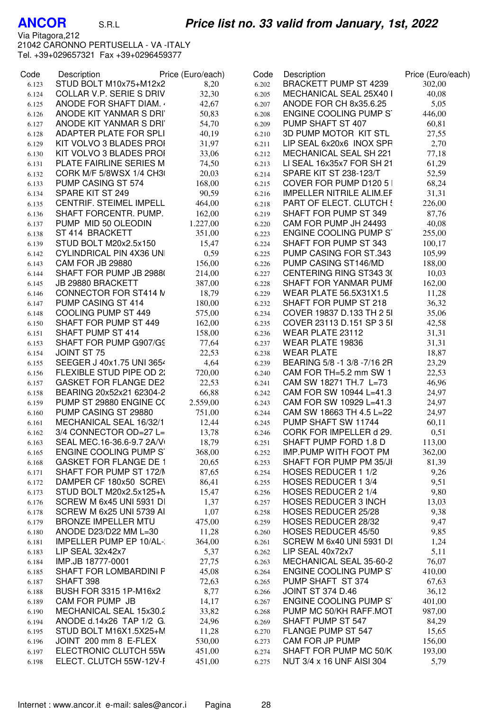| Code  | Description                     | Price (Euro/each) | Code  | Description                     | Price (Euro/each) |
|-------|---------------------------------|-------------------|-------|---------------------------------|-------------------|
| 6.123 | STUD BOLT M10x75+M12x2          | 8,20              | 6.202 | <b>BRACKETT PUMP ST 4239</b>    | 302,00            |
| 6.124 | COLLAR V.P. SERIE S DRIV        | 32,30             | 6.205 | MECHANICAL SEAL 25X40 I         | 40,08             |
| 6.125 | ANODE FOR SHAFT DIAM.           | 42,67             | 6.207 | ANODE FOR CH 8x35.6.25          | 5,05              |
| 6.126 | ANODE KIT YANMAR S DRI'         | 50,83             | 6.208 | ENGINE COOLING PUMP ST          | 446,00            |
| 6.127 | ANODE KIT YANMAR S DRI'         | 54,70             | 6.209 | PUMP SHAFT ST 407               | 60,81             |
| 6.128 | ADAPTER PLATE FOR SPLI          | 40,19             | 6.210 | 3D PUMP MOTOR KIT STL           | 27,55             |
| 6.129 | KIT VOLVO 3 BLADES PROI         | 31,97             | 6.211 | LIP SEAL 6x20x6 INOX SPF        | 2,70              |
| 6.130 | KIT VOLVO 3 BLADES PROI         | 33,06             | 6.212 | MECHANICAL SEAL SH 221          | 77,18             |
| 6.131 | PLATE FAIRLINE SERIES M         | 74,50             | 6.213 | LI SEAL 16x35x7 FOR SH 21       | 61,29             |
| 6.132 | CORK M/F 5/8WSX 1/4 CH30        | 20,03             | 6.214 | SPARE KIT ST 238-123/T          | 52,59             |
| 6.133 | PUMP CASING ST 574              | 168,00            | 6.215 | COVER FOR PUMP D120 5           | 68,24             |
| 6.134 | SPARE KIT ST 249                | 90,59             | 6.216 | <b>IMPELLER NITRILE ALIM.EF</b> | 31,31             |
| 6.135 | CENTRIF. STEIMEL IMPELL         | 464,00            | 6.218 | PART OF ELECT. CLUTCH !         | 226,00            |
| 6.136 | SHAFT FORCENTR. PUMP.           | 162,00            | 6.219 | SHAFT FOR PUMP ST 349           | 87,76             |
| 6.137 | PUMP MID 50 OLEODIN             | 1.227,00          | 6.220 | CAM FOR PUMP JH 24493           | 40,08             |
| 6.138 | ST 414 BRACKETT                 | 351,00            | 6.223 | ENGINE COOLING PUMP ST          | 255,00            |
| 6.139 | STUD BOLT M20x2.5x150           | 15,47             | 6.224 | SHAFT FOR PUMP ST 343           | 100,17            |
| 6.142 | <b>CYLINDRICAL PIN 4X36 UNI</b> | 0,59              | 6.225 | PUMP CASING FOR ST.343          | 105,99            |
| 6.143 | CAM FOR JB 29880                | 156,00            | 6.226 | PUMP CASING ST146/MD            | 188,00            |
| 6.144 | SHAFT FOR PUMP JB 2988(         | 214,00            | 6.227 | CENTERING RING ST343 3(         | 10,03             |
| 6.145 | JB 29880 BRACKETT               | 387,00            | 6.228 | SHAFT FOR YANMAR PUMI           | 162,00            |
| 6.146 | CONNECTOR FOR ST414 N           | 18,79             | 6.229 | <b>WEAR PLATE 56.5X31X1.5</b>   | 11,28             |
| 6.147 | PUMP CASING ST 414              | 180,00            | 6.232 | SHAFT FOR PUMP ST 218           | 36,32             |
| 6.148 | COOLING PUMP ST 449             | 575,00            | 6.234 | COVER 19837 D.133 TH 2 5        | 35,06             |
| 6.150 | SHAFT FOR PUMP ST 449           | 162,00            | 6.235 | COVER 23113 D.151 SP 3 5I       | 42,58             |
| 6.151 | SHAFT PUMP ST 414               | 158,00            | 6.236 | WEAR PLATE 23112                | 31,31             |
| 6.153 | SHAFT FOR PUMP G907/GS          | 77,64             | 6.237 | WEAR PLATE 19836                | 31,31             |
| 6.154 | <b>JOINT ST 75</b>              | 22,53             | 6.238 | <b>WEAR PLATE</b>               | 18,87             |
| 6.155 | SEEGER J 40x1.75 UNI 3654       | 4,64              | 6.239 | BEARING 5/8 -1 3/8 -7/16 2R     | 23,29             |
| 6.156 | FLEXIBLE STUD PIPE OD 2:        | 720,00            | 6.240 | CAM FOR TH=5.2 mm SW 1          | 22,53             |
| 6.157 | <b>GASKET FOR FLANGE DE2</b>    | 22,53             | 6.241 | CAM SW 18271 TH.7 L=73          | 46,96             |
| 6.158 | BEARING 20x52x21 62304-2        | 66,88             | 6.242 | CAM FOR SW 10944 L=41.3         | 24,97             |
| 6.159 | PUMP ST 29880 ENGINE CO         | 2.559,00          | 6.243 | CAM FOR SW 10929 L=41.3         | 24,97             |
| 6.160 | PUMP CASING ST 29880            | 751,00            | 6.244 | CAM SW 18663 TH 4.5 L=22        | 24,97             |
| 6.161 | MECHANICAL SEAL 16/32/1         | 12,44             | 6.245 | PUMP SHAFT SW 11744             | 60,11             |
| 6.162 | 3/4 CONNECTOR OD=27 L=          | 13,78             | 6.246 | CORK FOR IMPELLER d 29.         | 0,51              |
| 6.163 | SEAL MEC.16-36.6-9.7 2A/V       | 18,79             | 6.251 | SHAFT PUMP FORD 1.8 D           | 113,00            |
| 6.165 | ENGINE COOLING PUMP ST          | 368,00            | 6.252 | IMP.PUMP WITH FOOT PM           | 362,00            |
| 6.168 | <b>GASKET FOR FLANGE DE 1</b>   | 20,65             | 6.253 | SHAFT FOR PUMP PM 35/JI         | 81,39             |
| 6.171 | SHAFT FOR PUMP ST 172/N         | 87,65             | 6.254 | <b>HOSES REDUCER 1 1/2</b>      | 9,26              |
| 6.172 | DAMPER CF 180x50 SCRE\          | 86,41             | 6.255 | <b>HOSES REDUCER 1 3/4</b>      | 9,51              |
| 6.173 | STUD BOLT M20x2.5x125+N         | 15,47             | 6.256 | <b>HOSES REDUCER 2 1/4</b>      | 9,80              |
| 6.176 | SCREW M 6x45 UNI 5931 DI        | 1,37              | 6.257 | <b>HOSES REDUCER 3 INCH</b>     | 13,03             |
| 6.178 | SCREW M 6x25 UNI 5739 AI        | 1,07              | 6.258 | <b>HOSES REDUCER 25/28</b>      | 9,38              |
| 6.179 | <b>BRONZE IMPELLER MTU</b>      | 475,00            | 6.259 | <b>HOSES REDUCER 28/32</b>      | 9,47              |
| 6.180 | ANODE D23/D22 MM L=30           | 11,28             | 6.260 | <b>HOSES REDUCER 45/50</b>      | 9,85              |
| 6.181 | IMPELLER PUMP EP 10/AL-:        | 364,00            | 6.261 | SCREW M 6x40 UNI 5931 DI        | 1,24              |
| 6.183 | LIP SEAL 32x42x7                | 5,37              | 6.262 | LIP SEAL 40x72x7                | 5,11              |
| 6.184 | IMP.JB 18777-0001               | 27,75             | 6.263 | MECHANICAL SEAL 35-60-2         | 76,07             |
| 6.185 | SHAFT FOR LOMBARDINI P          | 45,08             | 6.264 | ENGINE COOLING PUMP ST          | 410,00            |
| 6.187 | SHAFT 398                       | 72,63             | 6.265 | PUMP SHAFT ST 374               | 67,63             |
| 6.188 | BUSH FOR 3315 1P-M16x2          | 8,77              | 6.266 | <b>JOINT ST 374 D.46</b>        | 36,12             |
| 6.189 | CAM FOR PUMP JB                 | 14,17             | 6.267 | ENGINE COOLING PUMP ST          | 401,00            |
| 6.190 | MECHANICAL SEAL 15x30.2         | 33,82             | 6.268 | PUMP MC 50/KH RAFF.MOT          | 987,00            |
| 6.194 | ANODE d.14x26 TAP 1/2 G.        | 24,96             | 6.269 | SHAFT PUMP ST 547               | 84,29             |
| 6.195 | STUD BOLT M16X1.5X25+M          | 11,28             | 6.270 | FLANGE PUMP ST 547              | 15,65             |
| 6.196 | JOINT 200 mm 8 E-FLEX           | 530,00            | 6.273 | CAM FOR JP PUMP                 | 156,00            |
| 6.197 | ELECTRONIC CLUTCH 55W           | 451,00            | 6.274 | SHAFT FOR PUMP MC 50/K          | 193,00            |
| 6.198 | ELECT. CLUTCH 55W-12V-F         | 451,00            | 6.275 | NUT 3/4 x 16 UNF AISI 304       | 5,79              |
|       |                                 |                   |       |                                 |                   |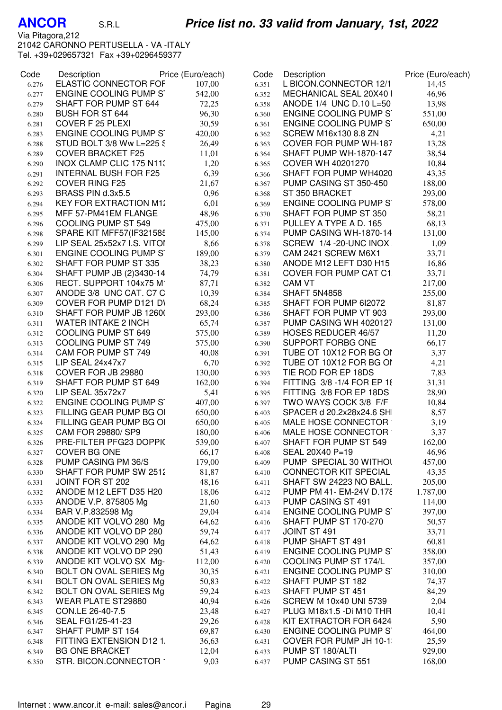| Code           | Description                         | Price (Euro/each) | Code           | Description                               | Price (Euro/each) |
|----------------|-------------------------------------|-------------------|----------------|-------------------------------------------|-------------------|
| 6.276          | ELASTIC CONNECTOR FOF               | 107,00            | 6.351          | L BICON.CONNECTOR 12/1                    | 14,45             |
| 6.277          | ENGINE COOLING PUMP ST              | 542,00            | 6.352          | MECHANICAL SEAL 20X40 I                   | 46,96             |
| 6.279          | SHAFT FOR PUMP ST 644               | 72,25             | 6.358          | ANODE 1/4 UNC D.10 L=50                   | 13,98             |
| 6.280          | <b>BUSH FOR ST 644</b>              | 96,30             | 6.360          | ENGINE COOLING PUMP ST                    | 551,00            |
| 6.281          | COVER F 25 PLEXI                    | 30,59             | 6.361          | ENGINE COOLING PUMP ST                    | 650,00            |
| 6.283          | ENGINE COOLING PUMP ST              | 420,00            | 6.362          | SCREW M16x130 8.8 ZN                      | 4,21              |
| 6.288          | STUD BOLT 3/8 Ww L=225 S            | 26,49             | 6.363          | <b>COVER FOR PUMP WH-187</b>              | 13,28             |
| 6.289          | <b>COVER BRACKET F25</b>            | 11,01             | 6.364          | SHAFT PUMP WH-1870-147                    | 38,54             |
| 6.290          | <b>INOX CLAMP CLIC 175 N11:</b>     | 1,20              | 6.365          | COVER WH 40201270                         | 10,84             |
| 6.291          | <b>INTERNAL BUSH FOR F25</b>        | 6,39              | 6.366          | SHAFT FOR PUMP WH4020                     | 43,35             |
| 6.292          | <b>COVER RING F25</b>               | 21,67             | 6.367          | PUMP CASING ST 350-450                    | 188,00            |
| 6.293          | BRASS PIN d.3x5.5                   | 0,96              | 6.368          | ST 350 BRACKET                            | 293,00            |
| 6.294          | <b>KEY FOR EXTRACTION M1:</b>       | 6,01              | 6.369          | ENGINE COOLING PUMP ST                    | 578,00            |
| 6.295          | MFF 57-PM41EM FLANGE                | 48,96             | 6.370          | SHAFT FOR PUMP ST 350                     | 58,21             |
| 6.296          | <b>COOLING PUMP ST 549</b>          | 475,00            | 6.371          | PULLEY A TYPE A D. 165                    | 68,13             |
| 6.298          | SPARE KIT MFF57(IF321585            | 145,00            | 6.374          | PUMP CASING WH-1870-14                    | 131,00            |
| 6.299          | LIP SEAL 25x52x7 I.S. VITOI         | 8,66              | 6.378          | SCREW 1/4 -20-UNC INOX                    | 1,09              |
| 6.301          | ENGINE COOLING PUMP ST              | 189,00            | 6.379          | CAM 2421 SCREW M6X1                       | 33,71             |
| 6.302          | SHAFT FOR PUMP ST 335               | 38,23             | 6.380          | ANODE M12 LEFT D30 H15                    | 16,86             |
| 6.304          | SHAFT PUMP JB (2)3430-14            | 74,79             | 6.381          | <b>COVER FOR PUMP CAT C1</b>              | 33,71             |
| 6.306          | RECT. SUPPORT 104x75 M              | 87,71             | 6.382          | <b>CAM VT</b>                             | 217,00            |
| 6.307          | ANODE 3/8 UNC CAT. C7 C             | 10,39             | 6.384          | SHAFT 5N4858                              | 255,00            |
| 6.309          | COVER FOR PUMP D121 DV              | 68,24             | 6.385          | SHAFT FOR PUMP 6I2072                     | 81,87             |
| 6.310          | SHAFT FOR PUMP JB 12600             | 293,00            | 6.386          | SHAFT FOR PUMP VT 903                     | 293,00            |
| 6.311          | <b>WATER INTAKE 2 INCH</b>          | 65,74             | 6.387          | PUMP CASING WH 4020127                    | 131,00            |
| 6.312          | COOLING PUMP ST 649                 | 575,00            | 6.389          | <b>HOSES REDUCER 46/57</b>                | 11,20             |
| 6.313          | COOLING PUMP ST 749                 | 575,00            | 6.390          | SUPPORT FORBG ONE                         | 66,17             |
| 6.314          | CAM FOR PUMP ST 749                 | 40,08             | 6.391          | TUBE OT 10X12 FOR BG OI                   | 3,37              |
| 6.315          | LIP SEAL 24x47x7                    | 6,70              | 6.392          | TUBE OT 10X12 FOR BG OI                   | 4,21              |
| 6.318          | COVER FOR JB 29880                  | 130,00            | 6.393          | TIE ROD FOR EP 18DS                       | 7,83              |
| 6.319          | SHAFT FOR PUMP ST 649               | 162,00            | 6.394          | FITTING 3/8 -1/4 FOR EP 18                | 31,31             |
| 6.320          | LIP SEAL 35x72x7                    | 5,41              | 6.395          | FITTING 3/8 FOR EP 18DS                   | 28,90             |
| 6.322          | ENGINE COOLING PUMP ST              | 407,00            | 6.397          | TWO WAYS COCK 3/8 F/F                     | 10,84             |
| 6.323          | FILLING GEAR PUMP BG OI             | 650,00            | 6.403          | SPACER d 20.2x28x24.6 SHI                 | 8,57              |
| 6.324          | FILLING GEAR PUMP BG OI             | 650,00            | 6.405          | MALE HOSE CONNECTOR                       | 3,19              |
| 6.325          | CAM FOR 29880/ SP9                  | 180,00            | 6.406          | MALE HOSE CONNECTOR                       | 3,37              |
| 6.326          | PRE-FILTER PFG23 DOPPIC             | 539,00            | 6.407          | SHAFT FOR PUMP ST 549                     | 162,00            |
| 6.327          | COVER BG ONE<br>PUMP CASING PM 36/S | 66,17             | 6.408          | SEAL 20X40 P=19<br>PUMP SPECIAL 30 WITHOU | 46,96             |
| 6.328          | SHAFT FOR PUMP SW 2512              | 179,00            | 6.409          | CONNECTOR KIT SPECIAL                     | 457,00            |
| 6.330          | JOINT FOR ST 202                    | 81,87<br>48,16    | 6.410          | SHAFT SW 24223 NO BALL.                   | 43,35<br>205,00   |
| 6.331          | ANODE M12 LEFT D35 H20              | 18,06             | 6.411          | PUMP PM 41- EM-24V D.178                  | 1.787,00          |
| 6.332<br>6.333 | ANODE V.P. 875805 Mg                | 21,60             | 6.412<br>6.413 | PUMP CASING ST 491                        | 114,00            |
| 6.334          | BAR V.P.832598 Mg                   | 29,04             | 6.414          | ENGINE COOLING PUMP ST                    | 397,00            |
| 6.335          | ANODE KIT VOLVO 280 Mg              | 64,62             | 6.416          | SHAFT PUMP ST 170-270                     | 50,57             |
| 6.336          | ANODE KIT VOLVO DP 280              | 59,74             | 6.417          | JOINT ST 491                              | 33,71             |
| 6.337          | ANODE KIT VOLVO 290 Mg              | 64,62             | 6.418          | PUMP SHAFT ST 491                         | 60,81             |
| 6.338          | ANODE KIT VOLVO DP 290              | 51,43             | 6.419          | ENGINE COOLING PUMP ST                    | 358,00            |
| 6.339          | ANODE KIT VOLVO SX Mg-              | 112,00            | 6.420          | COOLING PUMP ST 174/L                     | 357,00            |
| 6.340          | BOLT ON OVAL SERIES Mg              | 30,35             | 6.421          | ENGINE COOLING PUMP ST                    | 310,00            |
| 6.341          | BOLT ON OVAL SERIES Mg              | 50,83             | 6.422          | SHAFT PUMP ST 182                         | 74,37             |
| 6.342          | BOLT ON OVAL SERIES Mg              | 59,24             | 6.423          | SHAFT PUMP ST 451                         | 84,29             |
| 6.343          | <b>WEAR PLATE ST29880</b>           | 40,94             | 6.426          | <b>SCREW M 10x40 UNI 5739</b>             | 2,04              |
| 6.345          | CON.LE 26-40-7.5                    | 23,48             | 6.427          | PLUG M18x1.5 -Di M10 THR                  | 10,41             |
| 6.346          | SEAL FG1/25-41-23                   | 29,26             | 6.428          | KIT EXTRACTOR FOR 6424                    | 5,90              |
| 6.347          | SHAFT PUMP ST 154                   | 69,87             | 6.430          | ENGINE COOLING PUMP ST                    | 464,00            |
| 6.348          | FITTING EXTENSION D12 1             | 36,63             | 6.431          | <b>COVER FOR PUMP JH 10-1:</b>            | 25,59             |
| 6.349          | <b>BG ONE BRACKET</b>               | 12,04             | 6.433          | PUMP ST 180/ALTI                          | 929,00            |
| 6.350          | STR. BICON.CONNECTOR 1              | 9,03              | 6.437          | PUMP CASING ST 551                        | 168,00            |
|                |                                     |                   |                |                                           |                   |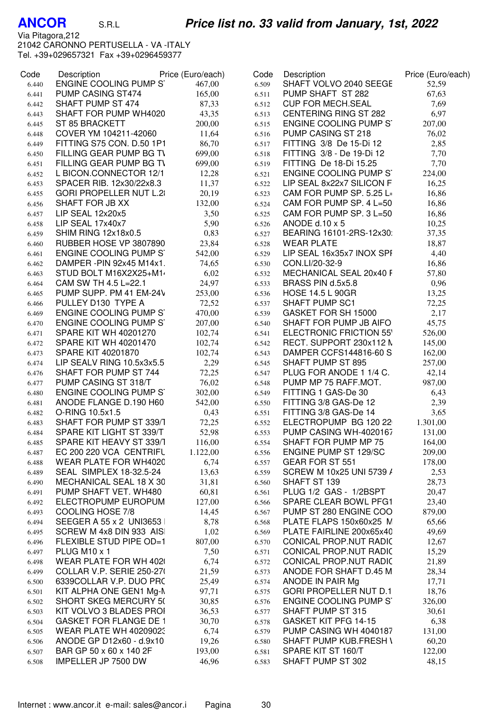| Code  | Description                    | Price (Euro/each) | Code  | Description                    | Price (Euro/each) |
|-------|--------------------------------|-------------------|-------|--------------------------------|-------------------|
| 6.440 | ENGINE COOLING PUMP ST         | 467,00            | 6.509 | SHAFT VOLVO 2040 SEEGE         | 52,59             |
| 6.441 | PUMP CASING ST474              | 165,00            | 6.511 | PUMP SHAFT ST 282              | 67,63             |
| 6.442 | SHAFT PUMP ST 474              | 87,33             | 6.512 | <b>CUP FOR MECH.SEAL</b>       | 7,69              |
| 6.443 | SHAFT FOR PUMP WH4020          | 43,35             | 6.513 | CENTERING RING ST 282          | 6,97              |
| 6.445 | ST 85 BRACKETT                 | 200,00            | 6.515 | ENGINE COOLING PUMP ST         | 207,00            |
| 6.448 | COVER YM 104211-42060          | 11,64             | 6.516 | PUMP CASING ST 218             | 76,02             |
| 6.449 | FITTING S75 CON. D.50 1P1      | 86,70             | 6.517 | FITTING 3/8 De 15-Di 12        | 2,85              |
| 6.450 | FILLING GEAR PUMP BG TV        | 699,00            | 6.518 | FITTING 3/8 - De 19-Di 12      | 7,70              |
| 6.451 | FILLING GEAR PUMP BG TV        | 699,00            | 6.519 | FITTING De 18-Di 15.25         | 7,70              |
| 6.452 | L BICON.CONNECTOR 12/1         | 12,28             | 6.521 | ENGINE COOLING PUMP ST         | 224,00            |
| 6.453 | SPACER RIB. 12x30/22x8.3       | 11,37             | 6.522 | LIP SEAL 8x22x7 SILICON F      | 16,25             |
| 6.455 | <b>GORI PROPELLER NUT L.21</b> | 20,19             | 6.523 | CAM FOR PUMP SP. 5.25 L=       | 16,86             |
| 6.456 | SHAFT FOR JB XX                | 132,00            | 6.524 | CAM FOR PUMP SP. 4 L=50        | 16,86             |
| 6.457 | LIP SEAL 12x20x5               | 3,50              | 6.525 | CAM FOR PUMP SP. 3 L=50        | 16,86             |
| 6.458 | LIP SEAL 17x40x7               | 5,90              | 6.526 | ANODE d.10 x 5                 | 10,25             |
| 6.459 | <b>SHIM RING 12x18x0.5</b>     | 0,83              | 6.527 | BEARING 16101-2RS-12x30:       | 37,35             |
| 6.460 | RUBBER HOSE VP 3807890         | 23,84             | 6.528 | <b>WEAR PLATE</b>              | 18,87             |
| 6.461 | ENGINE COOLING PUMP ST         | 542,00            | 6.529 | LIP SEAL 16x35x7 INOX SPI      | 4,40              |
| 6.462 | DAMPER - PIN 92x45 M14x1.      | 74,65             | 6.530 | CON.LI/20-32-9                 | 16,86             |
| 6.463 | STUD BOLT M16X2X25+M14         | 6,02              | 6.532 | MECHANICAL SEAL 20x40 F        | 57,80             |
|       | CAM SW TH 4.5 L=22.1           | 24,97             |       | BRASS PIN d.5x5.8              | 0,96              |
| 6.464 | PUMP SUPP. PM 41 EM-24V        |                   | 6.533 | <b>HOSE 14.5 L 90GR</b>        |                   |
| 6.465 | PULLEY D130 TYPE A             | 253,00            | 6.536 |                                | 13,25             |
| 6.466 |                                | 72,52             | 6.537 | SHAFT PUMP SC1                 | 72,25             |
| 6.469 | ENGINE COOLING PUMP ST         | 470,00            | 6.539 | GASKET FOR SH 15000            | 2,17              |
| 6.470 | ENGINE COOLING PUMP ST         | 207,00            | 6.540 | SHAFT FOR PUMP JB AIFO         | 45,75             |
| 6.471 | <b>SPARE KIT WH 40201270</b>   | 102,74            | 6.541 | <b>ELECTRONIC FRICTION 55'</b> | 526,00            |
| 6.472 | <b>SPARE KIT WH 40201470</b>   | 102,74            | 6.542 | RECT. SUPPORT 230x112 N        | 145,00            |
| 6.473 | SPARE KIT 40201870             | 102,74            | 6.543 | DAMPER CCFS144816-60 S         | 162,00            |
| 6.474 | LIP SEALV RING 10.5x3x5.5      | 2,29              | 6.545 | SHAFT PUMP ST 895              | 257,00            |
| 6.476 | SHAFT FOR PUMP ST 744          | 72,25             | 6.547 | PLUG FOR ANODE 1 1/4 C.        | 42,14             |
| 6.477 | PUMP CASING ST 318/T           | 76,02             | 6.548 | PUMP MP 75 RAFF.MOT.           | 987,00            |
| 6.480 | ENGINE COOLING PUMP ST         | 302,00            | 6.549 | FITTING 1 GAS-De 30            | 6,43              |
| 6.481 | ANODE FLANGE D.190 H60         | 542,00            | 6.550 | FITTING 3/8 GAS-De 12          | 2,39              |
| 6.482 | O-RING 10.5x1.5                | 0,43              | 6.551 | FITTING 3/8 GAS-De 14          | 3,65              |
| 6.483 | SHAFT FOR PUMP ST 339/1        | 72,25             | 6.552 | ELECTROPUMP BG 120 22          | 1.301,00          |
| 6.484 | SPARE KIT LIGHT ST 339/T       | 52,98             | 6.553 | PUMP CASING WH-4020167         | 131,00            |
| 6.485 | SPARE KIT HEAVY ST 339/1       | 116,00            | 6.554 | SHAFT FOR PUMP MP 75           | 164,00            |
| 6.487 | EC 200 220 VCA CENTRIFL        | 1.122,00          | 6.556 | ENGINE PUMP ST 129/SC          | 209,00            |
| 6.488 | <b>WEAR PLATE FOR WH4020</b>   | 6,74              | 6.557 | GEAR FOR ST 551                | 178,00            |
| 6.489 | SEAL SIMPLEX 18-32.5-24        | 13,63             | 6.559 | SCREW M 10x25 UNI 5739 /       | 2,53              |
| 6.490 | MECHANICAL SEAL 18 X 30        | 31,81             | 6.560 | SHAFT ST 139                   | 28,73             |
| 6.491 | PUMP SHAFT VET. WH480          | 60,81             | 6.561 | PLUG 1/2 GAS - 1/2BSPT         | 20,47             |
| 6.492 | ELECTROPUMP EUROPUM            | 127,00            | 6.566 | SPARE CLEAR BOWL PFG1          | 23,40             |
| 6.493 | COOLING HOSE 7/8               | 14,45             | 6.567 | PUMP ST 280 ENGINE COO         | 879,00            |
| 6.494 | SEEGER A 55 x 2 UNI3653        | 8,78              | 6.568 | PLATE FLAPS 150x60x25 N        | 65,66             |
| 6.495 | SCREW M 4x8 DIN 933 AISI       | 1,02              | 6.569 | PLATE FAIRLINE 200x65x40       | 49,69             |
| 6.496 | FLEXIBLE STUD PIPE OD=1        | 807,00            | 6.570 | CONICAL PROP.NUT RADIC         | 12,67             |
| 6.497 | PLUG M10 x 1                   | 7,50              | 6.571 | CONICAL PROP.NUT RADIC         | 15,29             |
| 6.498 | WEAR PLATE FOR WH 4020         | 6,74              | 6.572 | CONICAL PROP.NUT RADIC         | 21,89             |
| 6.499 | COLLAR V.P. SERIE 250-270      | 21,59             | 6.573 | ANODE FOR SHAFT D.45 M         | 28,34             |
| 6.500 | 6339COLLAR V.P. DUO PRC        | 25,49             | 6.574 | ANODE IN PAIR Mg               | 17,71             |
| 6.501 | KIT ALPHA ONE GEN1 Mg-N        | 97,71             | 6.575 | <b>GORI PROPELLER NUT D.1</b>  | 18,76             |
| 6.502 | <b>SHORT SKEG MERCURY 5(</b>   | 30,85             | 6.576 | ENGINE COOLING PUMP ST         | 326,00            |
| 6.503 | KIT VOLVO 3 BLADES PROI        | 36,53             | 6.577 | SHAFT PUMP ST 315              | 30,61             |
| 6.504 | <b>GASKET FOR FLANGE DE 1</b>  | 30,70             | 6.578 | GASKET KIT PFG 14-15           | 6,38              |
| 6.505 | <b>WEAR PLATE WH 40209023</b>  | 6,74              | 6.579 | PUMP CASING WH 4040187         | 131,00            |
| 6.506 | ANODE GP D12x60 - d.9x10       | 19,26             | 6.580 | <b>SHAFT PUMP KUB FRESH \</b>  | 60,20             |
| 6.507 | BAR GP 50 x 60 x 140 2F        | 193,00            | 6.581 | SPARE KIT ST 160/T             | 122,00            |
| 6.508 | IMPELLER JP 7500 DW            | 46,96             | 6.583 | SHAFT PUMP ST 302              | 48,15             |
|       |                                |                   |       |                                |                   |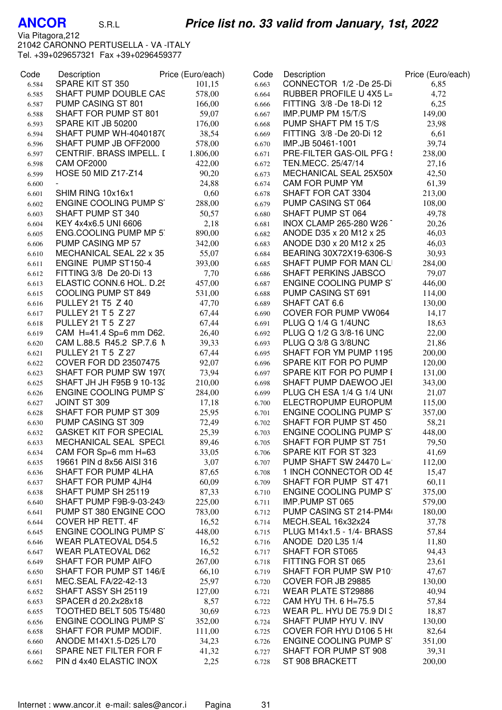| Code           | Description                                 | Price (Euro/each) | Code           | Description                                     | Price (Euro/each) |
|----------------|---------------------------------------------|-------------------|----------------|-------------------------------------------------|-------------------|
| 6.584          | SPARE KIT ST 350                            | 101,15            | 6.663          | CONNECTOR 1/2 -De 25-Di                         | 6,85              |
| 6.585          | SHAFT PUMP DOUBLE CAS                       | 578,00            | 6.664          | RUBBER PROFILE U 4X5 L=                         | 4,72              |
| 6.587          | PUMP CASING ST 801                          | 166,00            | 6.666          | FITTING 3/8 - De 18-Di 12                       | 6,25              |
| 6.588          | SHAFT FOR PUMP ST 801                       | 59,07             | 6.667          | IMP.PUMP PM 15/T/S                              | 149,00            |
| 6.593          | SPARE KIT JB 50200                          | 176,00            | 6.668          | PUMP SHAFT PM 15 T/S                            | 23,98             |
| 6.594          | SHAFT PUMP WH-40401870                      | 38,54             | 6.669          | FITTING 3/8 - De 20-Di 12                       | 6,61              |
| 6.596          | SHAFT PUMP JB OFF2000                       | 578,00            | 6.670          | IMP.JB 50461-1001                               | 39,74             |
| 6.597          | CENTRIF. BRASS IMPELL. [                    | 1.806,00          | 6.671          | PRE-FILTER GAS-OIL PFG!                         | 238,00            |
| 6.598          | <b>CAM OF2000</b>                           | 422,00            | 6.672          | TEN.MECC. 25/47/14                              | 27,16             |
| 6.599          | HOSE 50 MID Z17-Z14                         | 90,20             | 6.673          | MECHANICAL SEAL 25X50X                          | 42,50             |
| 6.600          |                                             | 24,88             | 6.674          | CAM FOR PUMP YM                                 | 61,39             |
| 6.601          | SHIM RING 10x16x1                           | 0,60              | 6.678          | SHAFT FOR CAT 3304                              | 213,00            |
| 6.602          | ENGINE COOLING PUMP ST                      | 288,00            | 6.679          | PUMP CASING ST 064                              | 108,00            |
| 6.603          | SHAFT PUMP ST 340                           | 50,57             | 6.680          | SHAFT PUMP ST 064                               | 49,78             |
| 6.604          | KEY 4x4x6.5 UNI 6606                        | 2,18              | 6.681          | INOX CLAMP 265-280 W26                          | 20,26             |
| 6.605          | ENG.COOLING PUMP MP 5                       | 890,00            | 6.682          | ANODE D35 x 20 M12 x 25                         | 46,03             |
| 6.606          | PUMP CASING MP 57                           | 342,00            | 6.683          | ANODE D30 x 20 M12 x 25                         | 46,03             |
| 6.610          | MECHANICAL SEAL 22 x 35                     | 55,07             | 6.684          | BEARING 30X72X19-6306-S                         | 30,93             |
| 6.611          | ENGINE PUMP ST150-4                         | 393,00            | 6.685          | SHAFT PUMP FOR MAN CLI                          | 284,00            |
| 6.612          | FITTING 3/8 De 20-Di 13                     | 7,70              | 6.686          | SHAFT PERKINS JABSCO                            | 79,07             |
| 6.613          | ELASTIC CONN.6 HOL. D.25                    | 457,00            | 6.687          | ENGINE COOLING PUMP ST                          | 446,00            |
| 6.615          | <b>COOLING PUMP ST 849</b>                  | 531,00            | 6.688          | PUMP CASING ST 691                              | 114,00            |
| 6.616          | PULLEY 21 T5 Z 40                           | 47,70             | 6.689          | SHAFT CAT 6.6                                   | 130,00            |
| 6.617          | PULLEY 21 T 5 Z 27                          | 67,44             | 6.690          | COVER FOR PUMP VW064                            | 14,17             |
| 6.618          | PULLEY 21 T 5 Z 27                          | 67,44             | 6.691          | PLUG Q 1/4 G 1/4UNC                             | 18,63             |
| 6.619          | CAM H=41.4 Sp=6 mm D62.                     | 26,40             | 6.692          | PLUG Q 1/2 G 3/8-16 UNC                         | 22,00             |
| 6.620          | CAM L.88.5 R45.2 SP.7.6 N                   | 39,33             | 6.693          | PLUG Q 3/8 G 3/8UNC                             | 21,86             |
| 6.621          | PULLEY 21 T 5 Z 27                          | 67,44             | 6.695          | SHAFT FOR YM PUMP 1195                          | 200,00            |
| 6.622          | <b>COVER FOR DD 23507475</b>                | 92,07             | 6.696          | SPARE KIT FOR PO PUMP                           | 120,00            |
| 6.623          | SHAFT FOR PUMP SW 1970                      | 73,94             | 6.697          | SPARE KIT FOR PO PUMP I                         | 131,00            |
| 6.625          | SHAFT JH JH F95B 9 10-132                   | 210,00            | 6.698          | SHAFT PUMP DAEWOO JEI                           | 343,00            |
| 6.626          | ENGINE COOLING PUMP ST                      | 284,00            | 6.699          | PLUG CH ESA 1/4 G 1/4 UN                        | 21,07             |
| 6.627          | JOINT ST 309                                | 17,18             | 6.700          | ELECTROPUMP EUROPUM                             | 115,00            |
| 6.628          | SHAFT FOR PUMP ST 309                       | 25,95             | 6.701          | ENGINE COOLING PUMP ST                          | 357,00            |
| 6.630          | PUMP CASING ST 309                          | 72,49             | 6.702          | SHAFT FOR PUMP ST 450                           | 58,21             |
| 6.632          | <b>GASKET KIT FOR SPECIAL</b>               | 25,39             | 6.703          | ENGINE COOLING PUMP ST                          | 448,00            |
| 6.633          | MECHANICAL SEAL SPECI.                      | 89,46             | 6.705          | SHAFT FOR PUMP ST 751                           | 79,50             |
| 6.634          | CAM FOR $Sp=6$ mm $H=63$                    | 33,05             | 6.706          | SPARE KIT FOR ST 323                            | 41,69             |
| 6.635          | 19661 PIN d 8x56 AISI 316                   | 3,07              | 6.707          | PUMP SHAFT SW 24470 L=                          | 112,00            |
| 6.636          | SHAFT FOR PUMP 4LHA                         | 87,65             | 6.708          | 1 INCH CONNECTOR OD 45                          | 15,47             |
| 6.637          | SHAFT FOR PUMP 4JH4                         | 60,09             | 6.709          | SHAFT FOR PUMP ST 471                           | 60,11             |
| 6.638          | SHAFT PUMP SH 25119                         | 87,33             | 6.710          | ENGINE COOLING PUMP ST                          | 375,00            |
| 6.640          | SHAFT PUMP F9B-9-03-243                     | 225,00            | 6.711          | IMP.PUMP ST 065                                 | 579,00            |
| 6.641          | PUMP ST 380 ENGINE COO<br>COVER HP RETT. 4F | 783,00            | 6.712          | PUMP CASING ST 214-PM4                          | 180,00            |
| 6.644          | ENGINE COOLING PUMP ST                      | 16,52<br>448,00   | 6.714          | MECH.SEAL 16x32x24<br>PLUG M14x1.5 - 1/4- BRASS | 37,78             |
| 6.645          | <b>WEAR PLATEOVAL D54.5</b>                 |                   | 6.715          | ANODE D20 L35 1/4                               | 57,84             |
| 6.646          | <b>WEAR PLATEOVAL D62</b>                   | 16,52<br>16,52    | 6.716          | SHAFT FOR ST065                                 | 11,80<br>94,43    |
| 6.647          | SHAFT FOR PUMP AIFO                         | 267,00            | 6.717          | FITTING FOR ST 065                              | 23,61             |
| 6.649          | SHAFT FOR PUMP ST 146/E                     | 66,10             | 6.718          | SHAFT FOR PUMP SW P10                           | 47,67             |
| 6.650          | MEC.SEAL FA/22-42-13                        | 25,97             | 6.719          | COVER FOR JB 29885                              | 130,00            |
| 6.651          | SHAFT ASSY SH 25119                         | 127,00            | 6.720          | <b>WEAR PLATE ST29886</b>                       | 40,94             |
| 6.652          | SPACER d 20.2x28x18                         | 8,57              | 6.721          | CAM HYU TH. 6 H=75.5                            | 57,84             |
| 6.653          | TOOTHED BELT 505 T5/480                     | 30,69             | 6.722          | WEAR PL. HYU DE 75.9 DI 3                       | 18,87             |
| 6.655<br>6.656 | ENGINE COOLING PUMP ST                      | 352,00            | 6.723<br>6.724 | SHAFT PUMP HYU V. INV                           | 130,00            |
| 6.658          | SHAFT FOR PUMP MODIF.                       | 111,00            | 6.725          | COVER FOR HYU D106 5 H                          | 82,64             |
| 6.660          | ANODE M14X1.5-D25 L70                       | 34,23             | 6.726          | ENGINE COOLING PUMP ST                          | 351,00            |
| 6.661          | SPARE NET FILTER FOR F                      | 41,32             | 6.727          | SHAFT FOR PUMP ST 908                           | 39,31             |
| 6.662          | PIN d 4x40 ELASTIC INOX                     | 2,25              | 6.728          | ST 908 BRACKETT                                 | 200,00            |
|                |                                             |                   |                |                                                 |                   |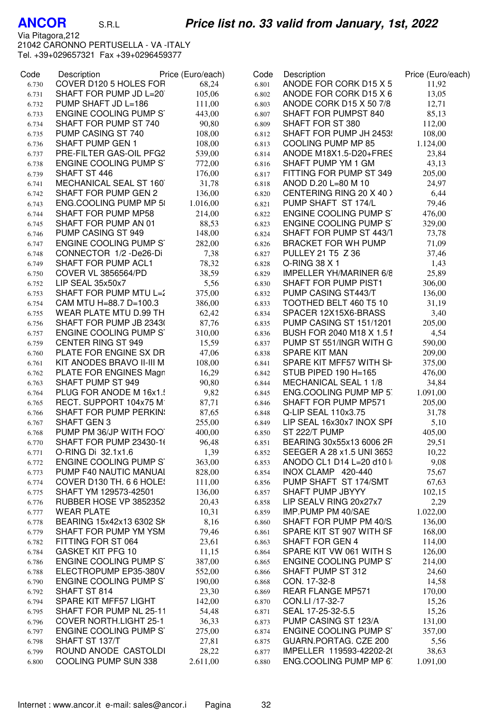| Code  | Description                    | Price (Euro/each) | Code  | Description                | Price (Euro/each) |
|-------|--------------------------------|-------------------|-------|----------------------------|-------------------|
| 6.730 | COVER D120 5 HOLES FOR         | 68,24             | 6.801 | ANODE FOR CORK D15 X 5     | 11,92             |
| 6.731 | SHAFT FOR PUMP JD L=20         | 105,06            | 6.802 | ANODE FOR CORK D15 X 6     | 13,05             |
| 6.732 | PUMP SHAFT JD L=186            | 111,00            | 6.803 | ANODE CORK D15 X 50 7/8    | 12,71             |
| 6.733 | ENGINE COOLING PUMP ST         | 443,00            | 6.807 | SHAFT FOR PUMPST 840       | 85,13             |
| 6.734 | SHAFT FOR PUMP ST 740          | 90,80             | 6.809 | SHAFT FOR ST 380           | 112,00            |
| 6.735 | PUMP CASING ST 740             | 108,00            | 6.812 | SHAFT FOR PUMP JH 2453!    | 108,00            |
| 6.736 | SHAFT PUMP GEN 1               | 108,00            | 6.813 | COOLING PUMP MP 85         | 1.124,00          |
| 6.737 | PRE-FILTER GAS-OIL PFG2        | 539,00            | 6.814 | ANODE M18X1.5-D20+FRES     | 23,84             |
| 6.738 | ENGINE COOLING PUMP ST         | 772,00            | 6.816 | SHAFT PUMP YM 1 GM         | 43,13             |
| 6.739 | SHAFT ST 446                   | 176,00            | 6.817 | FITTING FOR PUMP ST 349    | 205,00            |
| 6.741 | MECHANICAL SEAL ST 160         | 31,78             | 6.818 | ANOD D.20 L=80 M 10        | 24,97             |
| 6.742 | SHAFT FOR PUMP GEN 2           | 136,00            | 6.820 | CENTERING RING 20 X 40 >   | 6,44              |
| 6.743 | <b>ENG.COOLING PUMP MP 58</b>  | 1.016,00          | 6.821 | PUMP SHAFT ST 174/L        | 79,46             |
| 6.744 | SHAFT FOR PUMP MP58            | 214,00            | 6.822 | ENGINE COOLING PUMP ST     | 476,00            |
| 6.745 | SHAFT FOR PUMP AN 01           | 88,53             | 6.823 | ENGINE COOLING PUMP ST     | 329,00            |
| 6.746 | PUMP CASING ST 949             | 148,00            | 6.824 | SHAFT FOR PUMP ST 443/1    | 73,78             |
| 6.747 | ENGINE COOLING PUMP ST         | 282,00            | 6.826 | <b>BRACKET FOR WH PUMP</b> | 71,09             |
| 6.748 | CONNECTOR 1/2 -De26-Di         | 7,38              | 6.827 | PULLEY 21 T5 Z 36          | 37,46             |
| 6.749 | SHAFT FOR PUMP ACL1            | 78,32             | 6.828 | O-RING 38 X 1              | 1,43              |
| 6.750 | <b>COVER VL 3856564/PD</b>     | 38,59             | 6.829 | IMPELLER YH/MARINER 6/8    | 25,89             |
| 6.752 | LIP SEAL 35x50x7               | 5,56              | 6.830 | SHAFT FOR PUMP PIST1       | 306,00            |
| 6.753 | SHAFT FOR PUMP MTU L=2         | 375,00            | 6.832 | PUMP CASING ST443/T        | 136,00            |
|       | CAM MTU H=88.7 D=100.3         | 386,00            | 6.833 | TOOTHED BELT 460 T5 10     | 31,19             |
| 6.754 | WEAR PLATE MTU D.99 TH         | 62,42             | 6.834 | SPACER 12X15X6-BRASS       | 3,40              |
| 6.755 | SHAFT FOR PUMP JB 2343(        | 87,76             |       | PUMP CASING ST 151/1201    | 205,00            |
| 6.756 | ENGINE COOLING PUMP ST         | 310,00            | 6.835 | BUSH FOR 2040 M18 X 1.51   | 4,54              |
| 6.757 | <b>CENTER RING ST 949</b>      | 15,59             | 6.836 | PUMP ST 551/INGR WITH G    | 590,00            |
| 6.759 |                                |                   | 6.837 |                            |                   |
| 6.760 | PLATE FOR ENGINE SX DR         | 47,06             | 6.838 | SPARE KIT MAN              | 209,00            |
| 6.761 | KIT ANODES BRAVO II-III M      | 108,00            | 6.841 | SPARE KIT MFF57 WITH SF    | 375,00            |
| 6.762 | PLATE FOR ENGINES Magn         | 16,29             | 6.842 | STUB PIPED 190 H=165       | 476,00            |
| 6.763 | SHAFT PUMP ST 949              | 90,80             | 6.844 | MECHANICAL SEAL 1 1/8      | 34,84             |
| 6.764 | PLUG FOR ANODE M 16x1.         | 9,82              | 6.845 | ENG.COOLING PUMP MP 5      | 1.091,00          |
| 6.765 | RECT. SUPPORT 104x75 M         | 87,71             | 6.846 | SHAFT FOR PUMP MP571       | 205,00            |
| 6.766 | <b>SHAFT FOR PUMP PERKIN!</b>  | 87,65             | 6.848 | Q-LIP SEAL 110x3.75        | 31,78             |
| 6.767 | SHAFT GEN 3                    | 255,00            | 6.849 | LIP SEAL 16x30x7 INOX SPI  | 5,10              |
| 6.768 | PUMP PM 36/JP WITH FOO.        | 400,00            | 6.850 | ST 222/T PUMP              | 405,00            |
| 6.770 | <b>SHAFT FOR PUMP 23430-16</b> | 96,48             | 6.851 | BEARING 30x55x13 6006 2F   | 29,51             |
| 6.771 | O-RING Di 32.1x1.6             | 1,39              | 6.852 | SEEGER A 28 x1.5 UNI 3653  | 10,22             |
| 6.772 | ENGINE COOLING PUMP ST         | 363,00            | 6.853 | ANODO CL1 D14 L=20 d10 l   | 9,08              |
| 6.773 | PUMP F40 NAUTIC MANUAL         | 828,00            | 6.854 | INOX CLAMP 420-440         | 75,67             |
| 6.774 | COVER D130 TH. 6 6 HOLE!       | 111,00            | 6.856 | PUMP SHAFT ST 174/SMT      | 67,63             |
| 6.775 | SHAFT YM 129573-42501          | 136,00            | 6.857 | SHAFT PUMP JBYYY           | 102,15            |
| 6.776 | RUBBER HOSE VP 3852352         | 20,43             | 6.858 | LIP SEALV RING 20x27x7     | 2,29              |
| 6.777 | <b>WEAR PLATE</b>              | 10,31             | 6.859 | IMP.PUMP PM 40/SAE         | 1.022,00          |
| 6.778 | BEARING 15x42x13 6302 SK       | 8,16              | 6.860 | SHAFT FOR PUMP PM 40/S     | 136,00            |
| 6.779 | SHAFT FOR PUMP YM YSM          | 79,46             | 6.861 | SPARE KIT ST 907 WITH SF   | 168,00            |
| 6.782 | FITTING FOR ST 064             | 23,61             | 6.863 | SHAFT FOR GEN 4            | 114,00            |
| 6.784 | <b>GASKET KIT PFG 10</b>       | 11,15             | 6.864 | SPARE KIT VW 061 WITH S    | 126,00            |
| 6.786 | ENGINE COOLING PUMP ST         | 387,00            | 6.865 | ENGINE COOLING PUMP ST     | 214,00            |
| 6.788 | ELECTROPUMP EP35-380V          | 552,00            | 6.866 | SHAFT PUMP ST 312          | 24,60             |
| 6.790 | ENGINE COOLING PUMP ST         | 190,00            | 6.868 | CON. 17-32-8               | 14,58             |
| 6.792 | SHAFT ST 814                   | 23,30             | 6.869 | <b>REAR FLANGE MP571</b>   | 170,00            |
| 6.794 | SPARE KIT MFF57 LIGHT          | 142,00            | 6.870 | CON.LI /17-32-7            | 15,26             |
| 6.795 | SHAFT FOR PUMP NL 25-11        | 54,48             | 6.871 | SEAL 17-25-32-5.5          | 15,26             |
| 6.796 | <b>COVER NORTH.LIGHT 25-1</b>  | 36,33             | 6.873 | PUMP CASING ST 123/A       | 131,00            |
| 6.797 | ENGINE COOLING PUMP ST         | 275,00            | 6.874 | ENGINE COOLING PUMP ST     | 357,00            |
| 6.798 | SHAFT ST 137/T                 | 27,81             | 6.875 | GUARN.PORTAG. CZE 200      | 5,56              |
| 6.799 | ROUND ANODE CASTOLDI           | 28,22             | 6.877 | IMPELLER 119593-42202-20   | 38,63             |
| 6.800 | COOLING PUMP SUN 338           | 2.611,00          | 6.880 | ENG.COOLING PUMP MP 6      | 1.091,00          |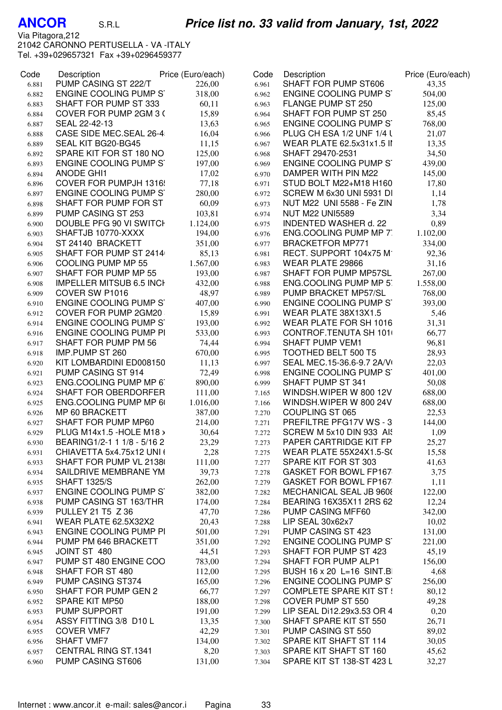| Code  | Description                               | Price (Euro/each) | Code  | Description                      | Price (Euro/each) |
|-------|-------------------------------------------|-------------------|-------|----------------------------------|-------------------|
| 6.881 | PUMP CASING ST 222/T                      | 226,00            | 6.961 | SHAFT FOR PUMP ST606             | 43,35             |
| 6.882 | ENGINE COOLING PUMP ST                    | 318,00            | 6.962 | ENGINE COOLING PUMP ST           | 504,00            |
| 6.883 | SHAFT FOR PUMP ST 333                     | 60,11             | 6.963 | FLANGE PUMP ST 250               | 125,00            |
| 6.884 | COVER FOR PUMP 2GM 3 (                    | 15,89             | 6.964 | SHAFT FOR PUMP ST 250            | 85,45             |
| 6.887 | SEAL 22-42-13                             | 13,63             | 6.965 | ENGINE COOLING PUMP ST           | 768,00            |
| 6.888 | <b>CASE SIDE MEC.SEAL 26-4</b>            | 16,04             | 6.966 | PLUG CH ESA 1/2 UNF 1/4 l        | 21,07             |
| 6.889 | SEAL KIT BG20-BG45                        | 11,15             | 6.967 | <b>WEAR PLATE 62.5x31x1.5 II</b> | 13,35             |
| 6.892 | SPARE KIT FOR ST 180 NO                   | 125,00            | 6.968 | SHAFT 29470-2531                 | 34,50             |
| 6.893 | ENGINE COOLING PUMP ST                    | 197,00            | 6.969 | ENGINE COOLING PUMP ST           | 439,00            |
| 6.894 | ANODE GHI1                                | 17,02             | 6.970 | DAMPER WITH PIN M22              | 145,00            |
| 6.896 | <b>COVER FOR PUMPJH 1316!</b>             | 77,18             | 6.971 | STUD BOLT M22+M18 H160           | 17,80             |
| 6.897 | ENGINE COOLING PUMP ST                    | 280,00            | 6.972 | SCREW M 6x30 UNI 5931 DI         | 1,14              |
| 6.898 | SHAFT FOR PUMP FOR ST                     | 60,09             | 6.973 | NUT M22 UNI 5588 - Fe ZIN        | 1,78              |
| 6.899 | PUMP CASING ST 253                        | 103,81            | 6.974 | <b>NUT M22 UNI5589</b>           | 3,34              |
|       | DOUBLE PFG 90 VI SWITCH                   | 1.124,00          | 6.975 | INDENTED WASHER d. 22            | 0,89              |
| 6.900 | SHAFTJB 10770-XXXX                        |                   |       | ENG.COOLING PUMP MP 7            |                   |
| 6.903 | ST 24140 BRACKETT                         | 194,00            | 6.976 | <b>BRACKETFOR MP771</b>          | 1.102,00          |
| 6.904 |                                           | 351,00            | 6.977 |                                  | 334,00            |
| 6.905 | SHAFT FOR PUMP ST 2414                    | 85,13             | 6.981 | RECT. SUPPORT 104x75 M           | 92,36             |
| 6.906 | COOLING PUMP MP 55                        | 1.567,00          | 6.983 | WEAR PLATE 29866                 | 31,16             |
| 6.907 | SHAFT FOR PUMP MP 55                      | 193,00            | 6.987 | SHAFT FOR PUMP MP57SL            | 267,00            |
| 6.908 | <b>IMPELLER MITSUB 6.5 INCH</b>           | 432,00            | 6.988 | ENG.COOLING PUMP MP 5            | 1.558,00          |
| 6.909 | COVER SW P1016                            | 48,97             | 6.989 | PUMP BRACKET MP57/SL             | 768,00            |
| 6.910 | ENGINE COOLING PUMP ST                    | 407,00            | 6.990 | ENGINE COOLING PUMP ST           | 393,00            |
| 6.912 | <b>COVER FOR PUMP 2GM20</b>               | 15,89             | 6.991 | WEAR PLATE 38X13X1.5             | 5,46              |
| 6.914 | ENGINE COOLING PUMP ST                    | 193,00            | 6.992 | WEAR PLATE FOR SH 1016           | 31,31             |
| 6.916 | ENGINE COOLING PUMP PI                    | 533,00            | 6.993 | <b>CONTROF.TENUTA SH 101</b>     | 66,77             |
| 6.917 | SHAFT FOR PUMP PM 56                      | 74,44             | 6.994 | SHAFT PUMP VEM1                  | 96,81             |
| 6.918 | IMP.PUMP ST 260                           | 670,00            | 6.995 | TOOTHED BELT 500 T5              | 28,93             |
| 6.920 | KIT LOMBARDINI ED008150                   | 11,13             | 6.997 | SEAL MEC.15-36.6-9.7 2A/V        | 22,03             |
| 6.921 | PUMP CASING ST 914                        | 72,49             | 6.998 | ENGINE COOLING PUMP ST           | 401,00            |
| 6.923 | ENG.COOLING PUMP MP 6.                    | 890,00            | 6.999 | SHAFT PUMP ST 341                | 50,08             |
| 6.924 | SHAFT FOR OBERDORFER                      | 111,00            | 7.165 | WINDSH.WIPER W 800 12V           | 688,00            |
| 6.925 | ENG.COOLING PUMP MP 60                    | 1.016,00          | 7.166 | WINDSH.WIPER W 800 24V           | 688,00            |
| 6.926 | MP 60 BRACKETT                            | 387,00            | 7.270 | <b>COUPLING ST 065</b>           | 22,53             |
| 6.927 | SHAFT FOR PUMP MP60                       | 214,00            | 7.271 | PREFILTRE PFG17V WS - 3          | 144,00            |
| 6.929 | PLUG M14x1.5 - HOLE M18 x                 | 30,64             | 7.272 | SCREW M 5x10 DIN 933 AIS         | 1,09              |
| 6.930 | BEARING1/2-1 1 1/8 - 5/16 2               | 23,29             | 7.273 | PAPER CARTRIDGE KIT FP           | 25,27             |
| 6.931 | CHIAVETTA 5x4.75x12 UNI (                 | 2,28              | 7.275 | WEAR PLATE 55X24X1.5-S(          | 15,58             |
| 6.933 | SHAFT FOR PUMP VL 21380                   | 111,00            | 7.277 | SPARE KIT FOR ST 303             | 41,63             |
| 6.934 | SAILDRIVE MEMBRANE YM                     | 39,73             | 7.278 | <b>GASKET FOR BOWL FP167</b>     | 3,75              |
| 6.935 | <b>SHAFT 1325/S</b>                       | 262,00            | 7.279 | <b>GASKET FOR BOWL FP167</b>     | 1,11              |
|       | <b>ENGINE COOLING PUMP ST</b>             | 382,00            | 7.282 | MECHANICAL SEAL JB 9608          | 122,00            |
| 6.937 | PUMP CASING ST 163/THR                    |                   |       | BEARING 16X35X11 2RS 62          |                   |
| 6.938 |                                           | 174,00            | 7.284 |                                  | 12,24             |
| 6.939 | PULLEY 21 T5 Z 36<br>WEAR PLATE 62.5X32X2 | 47,70             | 7.286 | PUMP CASING MFF60                | 342,00            |
| 6.941 |                                           | 20,43             | 7.288 | LIP SEAL 30x62x7                 | 10,02             |
| 6.943 | ENGINE COOLING PUMP PI                    | 501,00            | 7.291 | PUMP CASING ST 423               | 131,00            |
| 6.944 | PUMP PM 646 BRACKETT                      | 351,00            | 7.292 | ENGINE COOLING PUMP ST           | 221,00            |
| 6.945 | JOINT ST 480                              | 44,51             | 7.293 | SHAFT FOR PUMP ST 423            | 45,19             |
| 6.947 | PUMP ST 480 ENGINE COO                    | 783,00            | 7.294 | SHAFT FOR PUMP ALP1              | 156,00            |
| 6.948 | SHAFT FOR ST 480                          | 112,00            | 7.295 | BUSH 16 x 20 L=16 SINT.B         | 4,68              |
| 6.949 | PUMP CASING ST374                         | 165,00            | 7.296 | ENGINE COOLING PUMP ST           | 256,00            |
| 6.950 | SHAFT FOR PUMP GEN 2                      | 66,77             | 7.297 | <b>COMPLETE SPARE KIT ST!</b>    | 80,12             |
| 6.952 | <b>SPARE KIT MP50</b>                     | 188,00            | 7.298 | <b>COVER PUMP ST 550</b>         | 49,28             |
| 6.953 | PUMP SUPPORT                              | 191,00            | 7.299 | LIP SEAL Di12.29x3.53 OR 4       | 0,20              |
| 6.954 | ASSY FITTING 3/8 D10 L                    | 13,35             | 7.300 | SHAFT SPARE KIT ST 550           | 26,71             |
| 6.955 | <b>COVER VMF7</b>                         | 42,29             | 7.301 | PUMP CASING ST 550               | 89,02             |
| 6.956 | SHAFT VMF7                                | 134,00            | 7.302 | SPARE KIT SHAFT ST 114           | 30,05             |
| 6.957 | <b>CENTRAL RING ST.1341</b>               | 8,20              | 7.303 | SPARE KIT SHAFT ST 160           | 45,62             |
| 6.960 | PUMP CASING ST606                         | 131,00            | 7.304 | SPARE KIT ST 138-ST 423 L        | 32,27             |